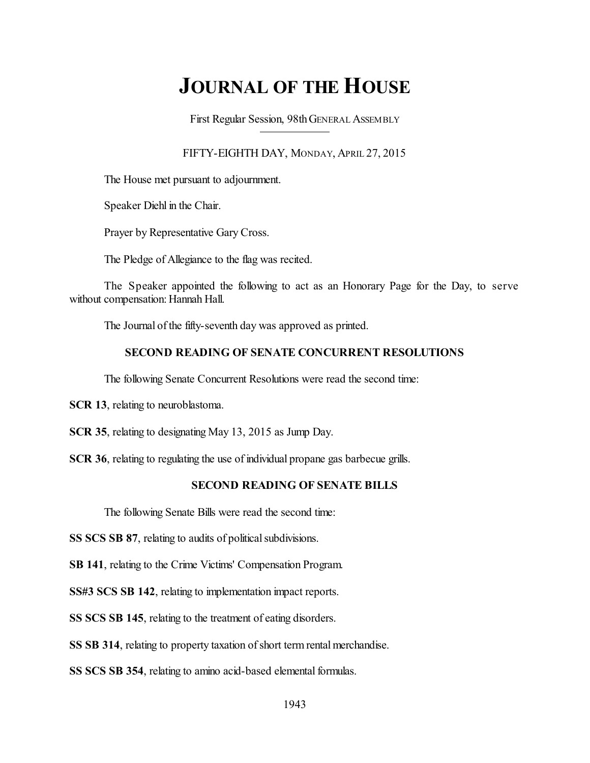# **JOURNAL OF THE HOUSE**

First Regular Session, 98thGENERAL ASSEMBLY

FIFTY-EIGHTH DAY, MONDAY, APRIL 27, 2015

The House met pursuant to adjournment.

Speaker Diehl in the Chair.

Prayer by Representative Gary Cross.

The Pledge of Allegiance to the flag was recited.

The Speaker appointed the following to act as an Honorary Page for the Day, to serve without compensation: Hannah Hall.

The Journal of the fifty-seventh day was approved as printed.

### **SECOND READING OF SENATE CONCURRENT RESOLUTIONS**

The following Senate Concurrent Resolutions were read the second time:

**SCR 13**, relating to neuroblastoma.

**SCR 35**, relating to designating May 13, 2015 as Jump Day.

**SCR 36**, relating to regulating the use of individual propane gas barbecue grills.

### **SECOND READING OF SENATE BILLS**

The following Senate Bills were read the second time:

**SS SCS SB 87**, relating to audits of political subdivisions.

**SB 141**, relating to the Crime Victims' Compensation Program.

**SS#3 SCS SB 142**, relating to implementation impact reports.

**SS SCS SB 145**, relating to the treatment of eating disorders.

**SS SB 314**, relating to property taxation of short term rental merchandise.

**SS SCS SB 354**, relating to amino acid-based elemental formulas.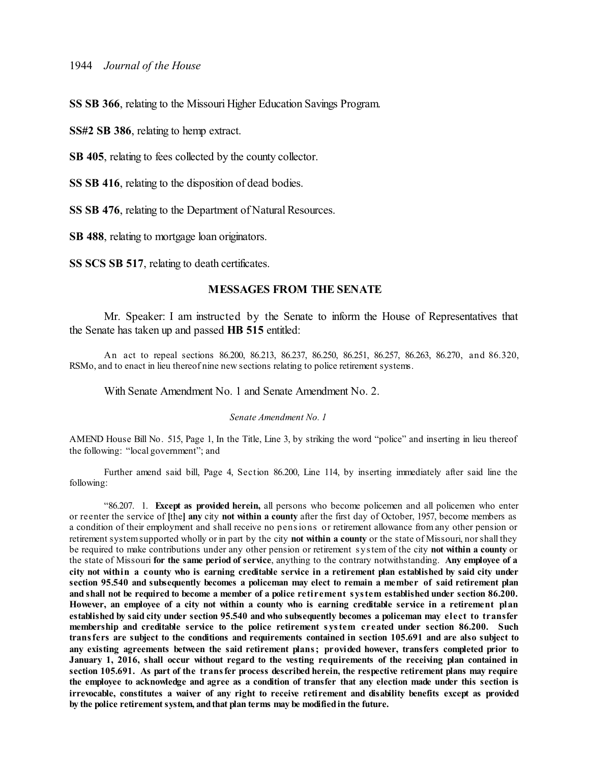**SS SB 366**, relating to the Missouri Higher Education Savings Program.

**SS#2 SB 386**, relating to hemp extract.

**SB 405**, relating to fees collected by the county collector.

**SS SB 416**, relating to the disposition of dead bodies.

**SS SB 476**, relating to the Department of Natural Resources.

**SB 488**, relating to mortgage loan originators.

**SS SCS SB 517**, relating to death certificates.

#### **MESSAGES FROM THE SENATE**

Mr. Speaker: I am instructed by the Senate to inform the House of Representatives that the Senate has taken up and passed **HB 515** entitled:

An act to repeal sections 86.200, 86.213, 86.237, 86.250, 86.251, 86.257, 86.263, 86.270, and 86.320, RSMo, and to enact in lieu thereof nine new sections relating to police retirement systems.

With Senate Amendment No. 1 and Senate Amendment No. 2.

#### *Senate Amendment No. 1*

AMEND House Bill No. 515, Page 1, In the Title, Line 3, by striking the word "police" and inserting in lieu thereof the following: "local government"; and

Further amend said bill, Page 4, Section 86.200, Line 114, by inserting immediately after said line the following:

"86.207. 1. **Except as provided herein,** all persons who become policemen and all policemen who enter or reenter the service of **[**the**] any** city **not within a county** after the first day of October, 1957, become members as a condition of their employment and shall receive no pensions or retirement allowance from any other pension or retirement systemsupported wholly or in part by the city **not within a county** or the state of Missouri, norshall they be required to make contributions under any other pension or retirement s ystem of the city **not within a county** or the state of Missouri **for the same period of service**, anything to the contrary notwithstanding. **Any employee of a** city not within a county who is earning creditable service in a retirement plan established by said city under **section 95.540 and subsequently becomes a policeman may elect to remain a member of said retirement plan** and shall not be required to become a member of a police retirement system established under section 86.200. However, an employee of a city not within a county who is earning creditable service in a retirement plan established by said city under section 95.540 and who subsequently becomes a policeman may elect to transfer **membership and creditable service to the police retirement s ystem created under section 86.200. Such** transfers are subject to the conditions and requirements contained in section 105.691 and are also subject to **any existing agreements between the said retirement plans; provided however, transfers completed prior to** January 1, 2016, shall occur without regard to the vesting requirements of the receiving plan contained in **section 105.691. As part of the transfer process described herein, the respective retirement plans may require** the employee to acknowledge and agree as a condition of transfer that any election made under this section is **irrevocable, constitutes a waiver of any right to receive retirement and disability benefits except as provided by the police retirementsystem, andthat plan terms may be modifiedin the future.**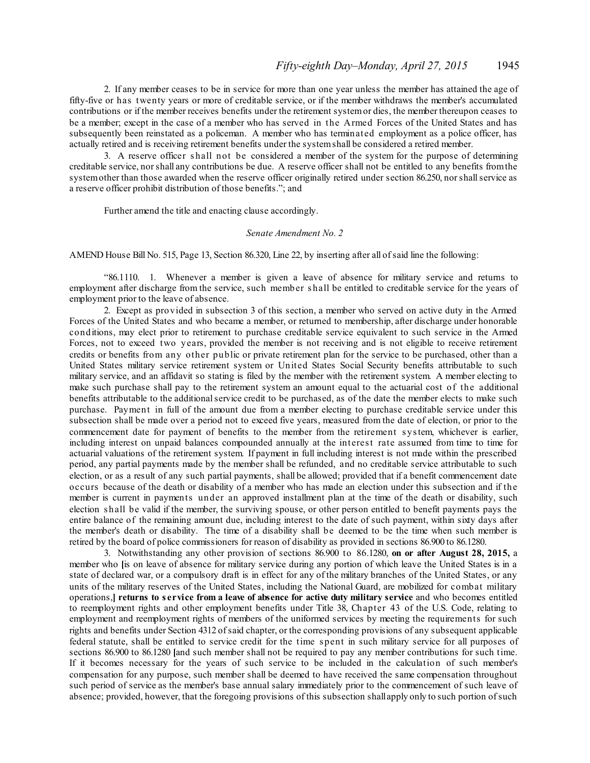2. If any member ceases to be in service for more than one year unless the member has attained the age of fifty-five or has twenty years or more of creditable service, or if the member withdraws the member's accumulated contributions or if the member receives benefits under the retirement systemor dies, the member thereupon ceases to be a member; except in the case of a member who has served in the Armed Forces of the United States and has subsequently been reinstated as a policeman. A member who has terminated employment as a police officer, has actually retired and is receiving retirement benefits under the systemshall be considered a retired member.

3. A reserve officer s hall not be considered a member of the system for the purpose of determining creditable service, norshall any contributions be due. A reserve officer shall not be entitled to any benefits fromthe system other than those awarded when the reserve officer originally retired under section 86.250, nor shall service as a reserve officer prohibit distribution of those benefits."; and

Further amend the title and enacting clause accordingly.

#### *Senate Amendment No. 2*

AMEND House Bill No. 515, Page 13, Section 86.320, Line 22, by inserting after all ofsaid line the following:

"86.1110. 1. Whenever a member is given a leave of absence for military service and returns to employment after discharge from the service, such member s hall be entitled to creditable service for the years of employment prior to the leave of absence.

2. Except as provided in subsection 3 of this section, a member who served on active duty in the Armed Forces of the United States and who became a member, or returned to membership, after discharge under honorable conditions, may elect prior to retirement to purchase creditable service equivalent to such service in the Armed Forces, not to exceed two years, provided the member is not receiving and is not eligible to receive retirement credits or benefits from any other public or private retirement plan for the service to be purchased, other than a United States military service retirement system or United States Social Security benefits attributable to such military service, and an affidavit so stating is filed by the member with the retirement system. A member electing to make such purchase shall pay to the retirement system an amount equal to the actuarial cost of the additional benefits attributable to the additionalservice credit to be purchased, as of the date the member elects to make such purchase. Payment in full of the amount due from a member electing to purchase creditable service under this subsection shall be made over a period not to exceed five years, measured from the date of election, or prior to the commencement date for payment of benefits to the member from the retirement s ystem, whichever is earlier, including interest on unpaid balances compounded annually at the interest rate assumed from time to time for actuarial valuations of the retirement system. If payment in full including interest is not made within the prescribed period, any partial payments made by the member shall be refunded, and no creditable service attributable to such election, or as a result of any such partial payments, shall be allowed; provided that if a benefit commencement date occurs because of the death or disability of a member who has made an election under this subsection and if the member is current in payments under an approved installment plan at the time of the death or disability, such election s hall be valid if the member, the surviving spouse, or other person entitled to benefit payments pays the entire balance of the remaining amount due, including interest to the date of such payment, within sixty days after the member's death or disability. The time of a disability shall be deemed to be the time when such member is retired by the board of police commissioners for reason of disability as provided in sections 86.900 to 86.1280.

3. Notwithstanding any other provision of sections 86.900 to 86.1280, **on or after August 28, 2015,** a member who **[**is on leave of absence for military service during any portion of which leave the United States is in a state of declared war, or a compulsory draft is in effect for any of the military branches of the United States, or any units of the military reserves of the United States, including the National Guard, are mobilized for combat military operations,**] returns to s ervice from a leave of absence for active duty military service** and who becomes entitled to reemployment rights and other employment benefits under Title 38, Chapter 43 of the U.S. Code, relating to employment and reemployment rights of members of the uniformed services by meeting the requirements for such rights and benefits under Section 4312 ofsaid chapter, or the corresponding provisions of any subsequent applicable federal statute, shall be entitled to service credit for the time s pent in such military service for all purposes of sections 86.900 to 86.1280 **[**and such member shall not be required to pay any member contributions for such time. If it becomes necessary for the years of such service to be included in the calculation of such member's compensation for any purpose, such member shall be deemed to have received the same compensation throughout such period of service as the member's base annual salary immediately prior to the commencement of such leave of absence; provided, however, that the foregoing provisions of this subsection shallapply only to such portion ofsuch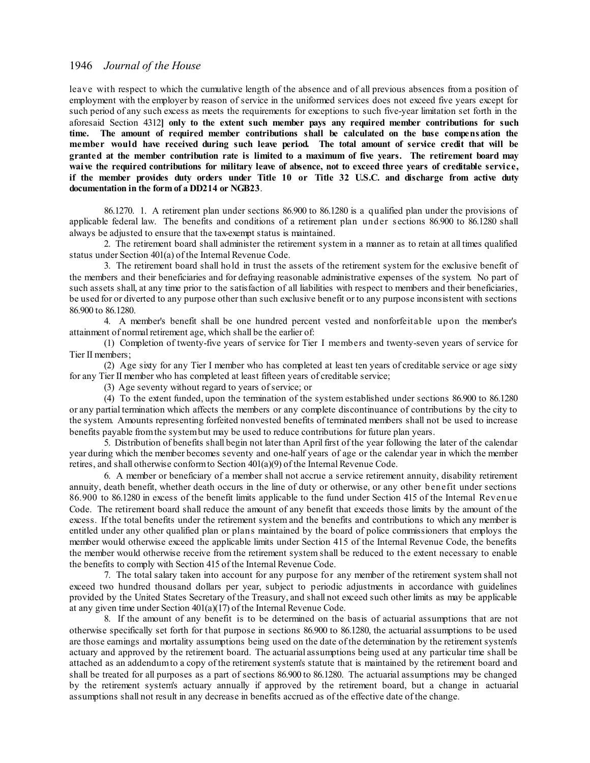leave with respect to which the cumulative length of the absence and of all previous absences from a position of employment with the employer by reason of service in the uniformed services does not exceed five years except for such period of any such excess as meets the requirements for exceptions to such five-year limitation set forth in the aforesaid Section 4312**] only to the extent such member pays any required member contributions for such time. The amount of required member contributions shall be calculated on the base compens ation the member would have received during such leave period. The total amount of service credit that will be** granted at the member contribution rate is limited to a maximum of five years. The retirement board may **waive the required contributions for military leave of absence, not to exceed three years of creditable service,** if the member provides duty orders under Title 10 or Title 32 U.S.C. and discharge from active duty **documentation in the form of a DD214 or NGB23**.

86.1270. 1. A retirement plan under sections 86.900 to 86.1280 is a qualified plan under the provisions of applicable federal law. The benefits and conditions of a retirement plan under s ections 86.900 to 86.1280 shall always be adjusted to ensure that the tax-exempt status is maintained.

2. The retirement board shall administer the retirement system in a manner as to retain at all times qualified status under Section 401(a) of the Internal Revenue Code.

3. The retirement board shall hold in trust the assets of the retirement system for the exclusive benefit of the members and their beneficiaries and for defraying reasonable administrative expenses of the system. No part of such assets shall, at any time prior to the satisfaction of all liabilities with respect to members and their beneficiaries, be used for or diverted to any purpose other than such exclusive benefit or to any purpose inconsistent with sections 86.900 to 86.1280.

4. A member's benefit shall be one hundred percent vested and nonforfeitable upon the member's attainment of normal retirement age, which shall be the earlier of:

(1) Completion of twenty-five years of service for Tier I members and twenty-seven years of service for Tier II members;

(2) Age sixty for any Tier I member who has completed at least ten years of creditable service or age sixty for any Tier II member who has completed at least fifteen years of creditable service;

(3) Age seventy without regard to years of service; or

(4) To the extent funded, upon the termination of the system established under sections 86.900 to 86.1280 or any partial termination which affects the members or any complete discontinuance of contributions by the city to the system. Amounts representing forfeited nonvested benefits of terminated members shall not be used to increase benefits payable fromthe systembut may be used to reduce contributions for future plan years.

5. Distribution of benefits shall begin not later than Aprilfirst of the year following the later of the calendar year during which the member becomes seventy and one-half years of age or the calendar year in which the member retires, and shall otherwise conformto Section 401(a)(9) of the Internal Revenue Code.

6. A member or beneficiary of a member shall not accrue a service retirement annuity, disability retirement annuity, death benefit, whether death occurs in the line of duty or otherwise, or any other benefit under sections 86.900 to 86.1280 in excess of the benefit limits applicable to the fund under Section 415 of the Internal Revenue Code. The retirement board shall reduce the amount of any benefit that exceeds those limits by the amount of the excess. If the total benefits under the retirement system and the benefits and contributions to which any member is entitled under any other qualified plan or plans maintained by the board of police commissioners that employs the member would otherwise exceed the applicable limits under Section 415 of the Internal Revenue Code, the benefits the member would otherwise receive from the retirement system shall be reduced to the extent necessary to enable the benefits to comply with Section 415 of the Internal Revenue Code.

7. The total salary taken into account for any purpose for any member of the retirement system shall not exceed two hundred thousand dollars per year, subject to periodic adjustments in accordance with guidelines provided by the United States Secretary of the Treasury, and shall not exceed such other limits as may be applicable at any given time under Section 401(a)(17) of the Internal Revenue Code.

8. If the amount of any benefit is to be determined on the basis of actuarial assumptions that are not otherwise specifically set forth for that purpose in sections 86.900 to 86.1280, the actuarial assumptions to be used are those earnings and mortality assumptions being used on the date of the determination by the retirement system's actuary and approved by the retirement board. The actuarial assumptions being used at any particular time shall be attached as an addendumto a copy of the retirement system's statute that is maintained by the retirement board and shall be treated for all purposes as a part of sections 86.900 to 86.1280. The actuarial assumptions may be changed by the retirement system's actuary annually if approved by the retirement board, but a change in actuarial assumptions shall not result in any decrease in benefits accrued as of the effective date of the change.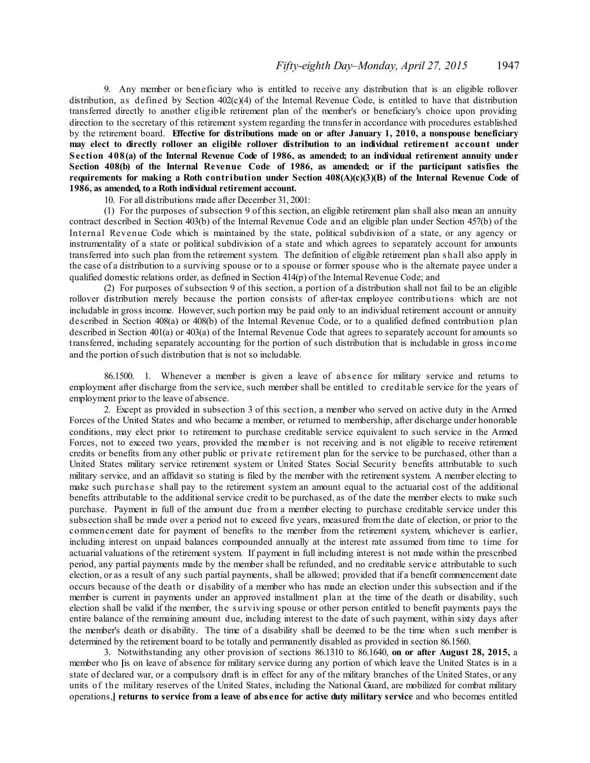9. Any member or beneficiary who is entitled to receive any distribution that is an eligible rollover distribution, as defined by Section 402(c)(4) of the Internal Revenue Code, is entitled to have that distribution transferred directly to another eligible retirement plan of the member's or beneficiary's choice upon providing direction to the secretary of this retirement system regarding the transfer in accordance with procedures established by the retirement board. **Effective for distributions made on or after January 1, 2010, a nonspouse beneficiary may elect to directly rollover an eligible rollover distribution to an individual retirement account under** Section 408(a) of the Internal Revenue Code of 1986, as amended: to an individual retirement annuity under **Section 408(b) of the Internal Revenue Code of 1986, as amended; or if the participant satisfies the requirements for making a Roth contribution under Section 408(A)(c)(3)(B) of the Internal Revenue Code of 1986, as amended, to a Roth individual retirement account.**

10. For all distributions made after December 31, 2001:

(1) For the purposes of subsection 9 of this section, an eligible retirement plan shall also mean an annuity contract described in Section 403(b) of the Internal Revenue Code and an eligible plan under Section 457(b) of the Internal Revenue Code which is maintained by the state, political subdivision of a state, or any agency or instrumentality of a state or political subdivision of a state and which agrees to separately account for amounts transferred into such plan from the retirement system. The definition of eligible retirement plan s hall also apply in the case of a distribution to a surviving spouse or to a spouse or former spouse who is the alternate payee under a qualified domestic relations order, as defined in Section 414(p) of the Internal Revenue Code; and

(2) For purposes of subsection 9 of this section, a portion of a distribution shall not fail to be an eligible rollover distribution merely because the portion consists of after-tax employee contributions which are not includable in gross income. However, such portion may be paid only to an individual retirement account or annuity described in Section 408(a) or 408(b) of the Internal Revenue Code, or to a qualified defined contribution plan described in Section 401(a) or 403(a) of the Internal Revenue Code that agrees to separately account for amounts so transferred, including separately accounting for the portion of such distribution that is includable in gross income and the portion of such distribution that is not so includable.

86.1500. 1. Whenever a member is given a leave of abs ence for military service and returns to employment after discharge from the service, such member shall be entitled to creditable service for the years of employment prior to the leave of absence.

2. Except as provided in subsection 3 of this section, a member who served on active duty in the Armed Forces of the United States and who became a member, or returned to membership, after discharge under honorable conditions, may elect prior to retirement to purchase creditable service equivalent to such service in the Armed Forces, not to exceed two years, provided the member is not receiving and is not eligible to receive retirement credits or benefits from any other public or private retirement plan for the service to be purchased, other than a United States military service retirement system or United States Social Security benefits attributable to such military service, and an affidavit so stating is filed by the member with the retirement system. A member electing to make such purchase shall pay to the retirement system an amount equal to the actuarial cost of the additional benefits attributable to the additional service credit to be purchased, as of the date the member elects to make such purchase. Payment in full of the amount due from a member electing to purchase creditable service under this subsection shall be made over a period not to exceed five years, measured from the date of election, or prior to the commencement date for payment of benefits to the member from the retirement system, whichever is earlier, including interest on unpaid balances compounded annually at the interest rate assumed from time to time for actuarial valuations of the retirement system. If payment in full including interest is not made within the prescribed period, any partial payments made by the member shall be refunded, and no creditable service attributable to such election, or as a result of any such partial payments, shall be allowed; provided that if a benefit commencement date occurs because of the death or disability of a member who has made an election under this subsection and if the member is current in payments under an approved installment plan at the time of the death or disability, such election shall be valid if the member, the s urviving spouse or other person entitled to benefit payments pays the entire balance of the remaining amount due, including interest to the date of such payment, within sixty days after the member's death or disability. The time of a disability shall be deemed to be the time when s uch member is determined by the retirement board to be totally and permanently disabled as provided in section 86.1560.

3. Notwithstanding any other provision of sections 86.1310 to 86.1640, **on or after August 28, 2015,** a member who **[**is on leave of absence for military service during any portion of which leave the United States is in a state of declared war, or a compulsory draft is in effect for any of the military branches of the United States, or any units of the military reserves of the United States, including the National Guard, are mobilized for combat military operations,**] returns to service from a leave of abs ence for active duty military service** and who becomes entitled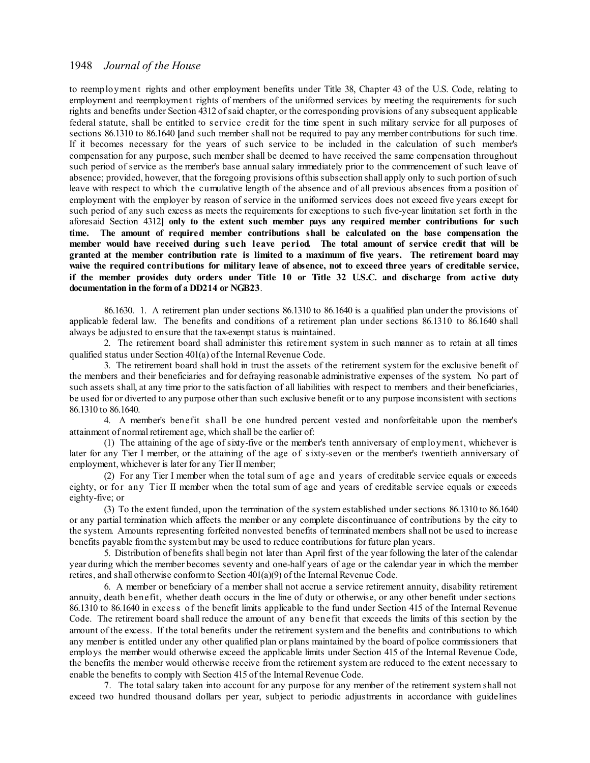to reemployment rights and other employment benefits under Title 38, Chapter 43 of the U.S. Code, relating to employment and reemployment rights of members of the uniformed services by meeting the requirements for such rights and benefits under Section 4312 ofsaid chapter, or the corresponding provisions of any subsequent applicable federal statute, shall be entitled to s ervice credit for the time spent in such military service for all purposes of sections 86.1310 to 86.1640 **[**and such member shall not be required to pay any member contributions for such time. If it becomes necessary for the years of such service to be included in the calculation of such member's compensation for any purpose, such member shall be deemed to have received the same compensation throughout such period of service as the member's base annual salary immediately prior to the commencement of such leave of absence; provided, however, that the foregoing provisions ofthis subsection shall apply only to such portion ofsuch leave with respect to which the cumulative length of the absence and of all previous absences from a position of employment with the employer by reason of service in the uniformed services does not exceed five years except for such period of any such excess as meets the requirements for exceptions to such five-year limitation set forth in the aforesaid Section 4312**] only to the extent such member pays any required member contributions for such time. The amount of required member contributions shall be calculated on the base compensation the member would have received during such leave period. The total amount of service credit that will be** granted at the member contribution rate is limited to a maximum of five years. The retirement board may waive the required contributions for military leave of absence, not to exceed three years of creditable service, if the member provides duty orders under Title 10 or Title 32 U.S.C. and discharge from active duty **documentation in the form of a DD214 or NGB23**.

86.1630. 1. A retirement plan under sections 86.1310 to 86.1640 is a qualified plan under the provisions of applicable federal law. The benefits and conditions of a retirement plan under sections 86.1310 to 86.1640 shall always be adjusted to ensure that the tax-exempt status is maintained.

2. The retirement board shall administer this retirement system in such manner as to retain at all times qualified status under Section 401(a) of the Internal Revenue Code.

3. The retirement board shall hold in trust the assets of the retirement system for the exclusive benefit of the members and their beneficiaries and for defraying reasonable administrative expenses of the system. No part of such assets shall, at any time prior to the satisfaction of all liabilities with respect to members and their beneficiaries, be used for or diverted to any purpose other than such exclusive benefit or to any purpose inconsistent with sections 86.1310 to 86.1640.

4. A member's benefit s hall be one hundred percent vested and nonforfeitable upon the member's attainment of normal retirement age, which shall be the earlier of:

(1) The attaining of the age of sixty-five or the member's tenth anniversary of employment, whichever is later for any Tier I member, or the attaining of the age of sixty-seven or the member's twentieth anniversary of employment, whichever is later for any Tier II member;

(2) For any Tier I member when the total sum of age and years of creditable service equals or exceeds eighty, or for any Tier II member when the total sum of age and years of creditable service equals or exceeds eighty-five; or

(3) To the extent funded, upon the termination of the system established under sections 86.1310 to 86.1640 or any partial termination which affects the member or any complete discontinuance of contributions by the city to the system. Amounts representing forfeited nonvested benefits of terminated members shall not be used to increase benefits payable fromthe systembut may be used to reduce contributions for future plan years.

5. Distribution of benefits shall begin not later than April first of the year following the later of the calendar year during which the member becomes seventy and one-half years of age or the calendar year in which the member retires, and shall otherwise conformto Section 401(a)(9) of the Internal Revenue Code.

6. A member or beneficiary of a member shall not accrue a service retirement annuity, disability retirement annuity, death benefit, whether death occurs in the line of duty or otherwise, or any other benefit under sections 86.1310 to 86.1640 in excess of the benefit limits applicable to the fund under Section 415 of the Internal Revenue Code. The retirement board shall reduce the amount of any benefit that exceeds the limits of this section by the amount of the excess. If the total benefits under the retirement system and the benefits and contributions to which any member is entitled under any other qualified plan or plans maintained by the board of police commissioners that employs the member would otherwise exceed the applicable limits under Section 415 of the Internal Revenue Code, the benefits the member would otherwise receive from the retirement system are reduced to the extent necessary to enable the benefits to comply with Section 415 of the Internal Revenue Code.

7. The total salary taken into account for any purpose for any member of the retirement system shall not exceed two hundred thousand dollars per year, subject to periodic adjustments in accordance with guidelines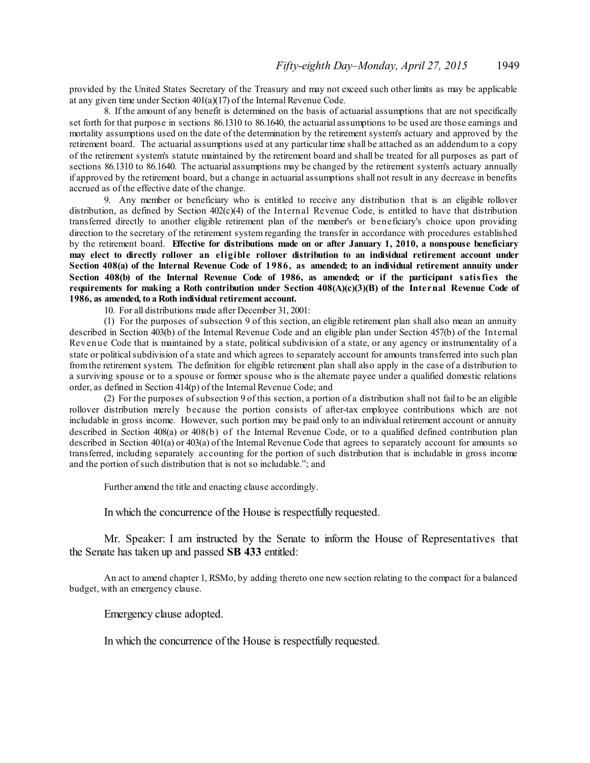provided by the United States Secretary of the Treasury and may not exceed such other limits as may be applicable at any given time under Section 401(a)(17) of the Internal Revenue Code.

8. If the amount of any benefit is determined on the basis of actuarial assumptions that are not specifically set forth for that purpose in sections 86.1310 to 86.1640, the actuarial assumptions to be used are those earnings and mortality assumptions used on the date of the determination by the retirement system's actuary and approved by the retirement board. The actuarial assumptions used at any particular time shall be attached as an addendum to a copy of the retirement system's statute maintained by the retirement board and shall be treated for all purposes as part of sections 86.1310 to 86.1640. The actuarial assumptions may be changed by the retirement system's actuary annually if approved by the retirement board, but a change in actuarial assumptions shall not result in any decrease in benefits accrued as of the effective date of the change.

9. Any member or beneficiary who is entitled to receive any distribution that is an eligible rollover distribution, as defined by Section 402(c)(4) of the Internal Revenue Code, is entitled to have that distribution transferred directly to another eligible retirement plan of the member's or beneficiary's choice upon providing direction to the secretary of the retirement system regarding the transfer in accordance with procedures established by the retirement board. **Effective for distributions made on or after January 1, 2010, a nonspouse beneficiary may elect to directly rollover an eligible rollover distribution to an individual retirement account under** Section 408(a) of the Internal Revenue Code of 1986, as amended; to an individual retirement annuity under Section 408(b) of the Internal Revenue Code of 1986, as amended; or if the participant satisfies the **requirements for making a Roth contribution under Section 408(A)(c)(3)(B) of the Internal Revenue Code of 1986, as amended, to a Roth individual retirement account.**

10. For all distributions made after December 31, 2001:

(1) For the purposes of subsection 9 of this section, an eligible retirement plan shall also mean an annuity described in Section 403(b) of the Internal Revenue Code and an eligible plan under Section 457(b) of the Internal Revenue Code that is maintained by a state, political subdivision of a state, or any agency or instrumentality of a state or political subdivision of a state and which agrees to separately account for amounts transferred into such plan fromthe retirement system. The definition for eligible retirement plan shall also apply in the case of a distribution to a surviving spouse or to a spouse or former spouse who is the alternate payee under a qualified domestic relations order, as defined in Section 414(p) of the Internal Revenue Code; and

(2) For the purposes ofsubsection 9 of this section, a portion of a distribution shall not fail to be an eligible rollover distribution merely because the portion consists of after-tax employee contributions which are not includable in gross income. However, such portion may be paid only to an individual retirement account or annuity described in Section 408(a) or 408(b) of the Internal Revenue Code, or to a qualified defined contribution plan described in Section 401(a) or 403(a) of the Internal Revenue Code that agrees to separately account for amounts so transferred, including separately accounting for the portion of such distribution that is includable in gross income and the portion of such distribution that is not so includable."; and

Further amend the title and enacting clause accordingly.

In which the concurrence of the House is respectfully requested.

Mr. Speaker: I am instructed by the Senate to inform the House of Representatives that the Senate has taken up and passed **SB 433** entitled:

An act to amend chapter 1, RSMo, by adding thereto one new section relating to the compact for a balanced budget, with an emergency clause.

Emergency clause adopted.

In which the concurrence of the House is respectfully requested.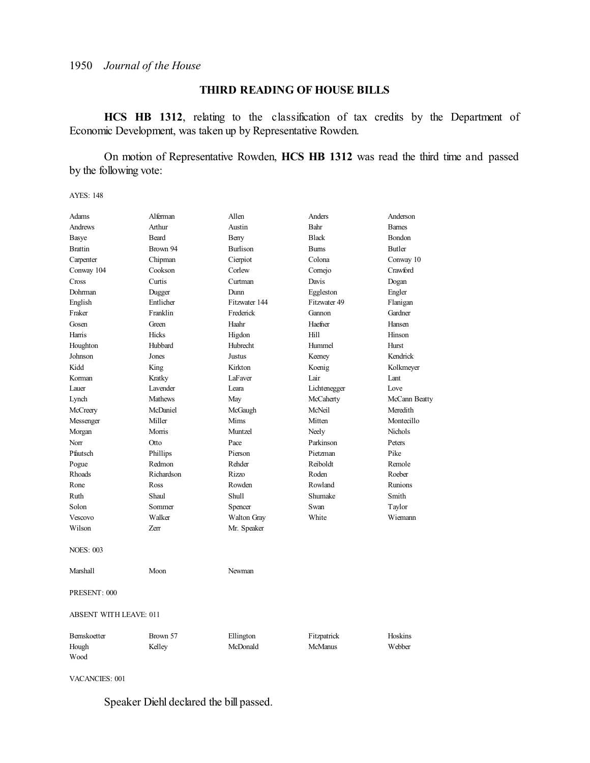### **THIRD READING OF HOUSE BILLS**

**HCS HB 1312**, relating to the classification of tax credits by the Department of Economic Development, was taken up by Representative Rowden.

On motion of Representative Rowden, **HCS HB 1312** was read the third time and passed by the following vote:

AYES: 148

| Adams                         | Alferman       | Allen              | Anders         | Anderson      |
|-------------------------------|----------------|--------------------|----------------|---------------|
| Andrews                       | Arthur         | Austin             | Bahr           | <b>Bames</b>  |
| <b>Basye</b>                  | Beard          | Berry              | <b>Black</b>   | Bondon        |
| <b>Brattin</b>                | Brown 94       | <b>Burlison</b>    | <b>Burns</b>   | <b>Butler</b> |
| Carpenter                     | Chipman        | Cierpiot           | Colona         | Conway 10     |
| Conway 104                    | Cookson        | Corlew             | Comejo         | Crawford      |
| Cross                         | Curtis         | Curtman            | Davis          | Dogan         |
| Dohrman                       | Dugger         | Dunn               | Eggleston      | Engler        |
| English                       | Entlicher      | Fitzwater 144      | Fitzwater 49   | Flanigan      |
| Fraker                        | Franklin       | Frederick          | Gannon         | Gardner       |
| Gosen                         | Green          | Haahr              | Haefner        | Hansen        |
| Harris                        | <b>Hicks</b>   | Higdon             | Hill           | Hinson        |
| Houghton                      | Hubbard        | Hubrecht           | Hummel         | Hurst         |
| Johnson                       | Jones          | Justus             | Keeney         | Kendrick      |
| Kidd                          | King           | Kirkton            | Koenig         | Kolkmeyer     |
| Korman                        | Kratky         | LaFaver            | Lair           | Lant          |
| Lauer                         | Lavender       | Leara              | Lichtenegger   | Love          |
| Lynch                         | <b>Mathews</b> | May                | McCaherty      | McCann Beatty |
| McCreery                      | McDaniel       | McGaugh            | McNeil         | Meredith      |
| Messenger                     | Miller         | Mims               | Mitten         | Montecillo    |
| Morgan                        | Morris         | Muntzel            | Neely          | Nichols       |
| Norr                          | Otto           | Pace               | Parkinson      | Peters        |
| Pfautsch                      | Phillips       | Pierson            | Pietzman       | Pike          |
| Pogue                         | Redmon         | Rehder             | Reiboldt       | Remole        |
| Rhoads                        | Richardson     | Rizzo              | Roden          | Roeber        |
| Rone                          | Ross           | Rowden             | Rowland        | Runions       |
| Ruth                          | Shaul          | <b>Shull</b>       | Shumake        | Smith         |
| Solon                         | Sommer         | Spencer            | Swan           | Taylor        |
| <b>Vescovo</b>                | Walker         | <b>Walton Gray</b> | White          | Wiemann       |
| Wilson                        | Zerr           | Mr. Speaker        |                |               |
| <b>NOES: 003</b>              |                |                    |                |               |
| Marshall                      | Moon           | Newman             |                |               |
| PRESENT: 000                  |                |                    |                |               |
| <b>ABSENT WITH LEAVE: 011</b> |                |                    |                |               |
| Bernskoetter                  | Brown 57       | Ellington          | Fitzpatrick    | Hoskins       |
| Hough<br>Wood                 | Kelley         | McDonald           | <b>McManus</b> | Webber        |

VACANCIES: 001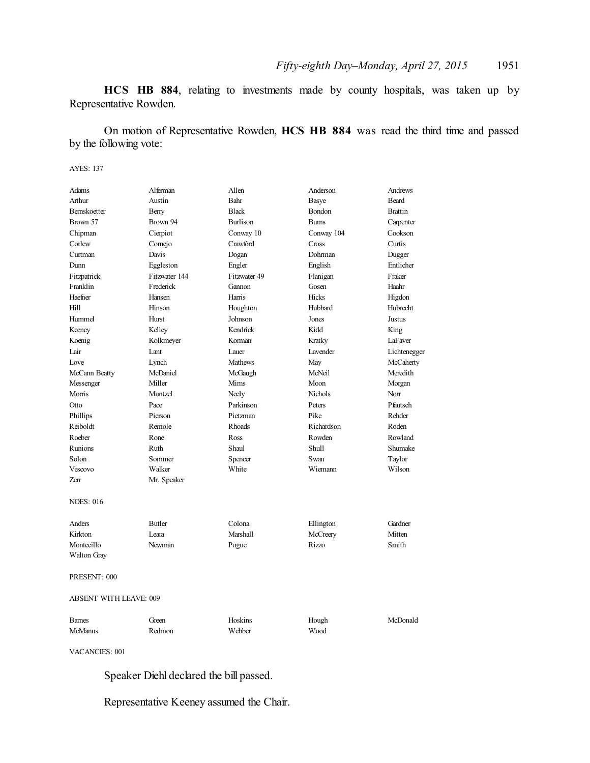**HCS HB 884**, relating to investments made by county hospitals, was taken up by Representative Rowden.

On motion of Representative Rowden, **HCS HB 884** was read the third time and passed by the following vote:

AYES: 137

| Adams                         | Alferman      | Allen           | Anderson        | Andrews        |
|-------------------------------|---------------|-----------------|-----------------|----------------|
| Arthur                        | Austin        | Bahr            | Basye           | <b>Beard</b>   |
| <b>Bernskoetter</b>           | Berry         | <b>Black</b>    | <b>Bondon</b>   | <b>Brattin</b> |
| Brown 57                      | Brown 94      | <b>Burlison</b> | <b>Bums</b>     | Carpenter      |
| Chipman                       | Cierpiot      | Conway 10       | Conway 104      | Cookson        |
| Corlew                        | Comejo        | Crawford        | Cross           | Curtis         |
| Curtman                       | Davis         | Dogan           | Dohrman         | Dugger         |
| Dunn                          | Eggleston     | Engler          | English         | Entlicher      |
| Fitzpatrick                   | Fitzwater 144 | Fitzwater 49    | Flanigan        | Fraker         |
| Franklin                      | Frederick     | Gannon          | Gosen           | Haahr          |
| Haefner                       | Hansen        | Harris          | <b>Hicks</b>    | Higdon         |
| Hill                          | Hinson        | Houghton        | Hubbard         | Hubrecht       |
| Hummel                        | Hurst         | Johnson         | Jones           | Justus         |
| Keeney                        | Kelley        | Kendrick        | Kidd            | King           |
| Koenig                        | Kolkmeyer     | Korman          | Kratky          | LaFaver        |
| Lair                          | Lant          | Lauer           | <b>Lavender</b> | Lichtenegger   |
| Love                          | Lynch         | <b>Mathews</b>  | May             | McCaherty      |
| McCann Beatty                 | McDaniel      | McGaugh         | McNeil          | Meredith       |
| Messenger                     | Miller        | Mims            | Moon            | Morgan         |
| Morris                        | Muntzel       | Neely           | <b>Nichols</b>  | Norr           |
| Otto                          | Pace          | Parkinson       | Peters          | Pfautsch       |
| Phillips                      | Pierson       | Pietzman        | Pike            | Rehder         |
| Reiboldt                      | Remole        | Rhoads          | Richardson      | Roden          |
| Roeber                        | Rone          | Ross            | Rowden          | Rowland        |
| Runions                       | Ruth          | Shaul           | Shull           | Shumake        |
| Solon                         | Sommer        | Spencer         | Swan            | Taylor         |
| Vescovo                       | Walker        | White           | Wiemann         | Wilson         |
| Zerr                          | Mr. Speaker   |                 |                 |                |
| <b>NOES: 016</b>              |               |                 |                 |                |
| Anders                        | Butler        | Colona          | Ellington       | Gardner        |
| Kirkton                       | Leara         | <b>Marshall</b> | McCreery        | Mitten         |
| Montecillo                    | Newman        | Pogue           | Rizzo           | Smith          |
| Walton Gray                   |               |                 |                 |                |
| PRESENT: 000                  |               |                 |                 |                |
| <b>ABSENT WITH LEAVE: 009</b> |               |                 |                 |                |
| <b>Barnes</b>                 | Green         | Hoskins         | Hough           | McDonald       |
| <b>McManus</b>                | Redmon        | Webber          | Wood            |                |

VACANCIES: 001

Speaker Diehl declared the bill passed.

Representative Keeney assumed the Chair.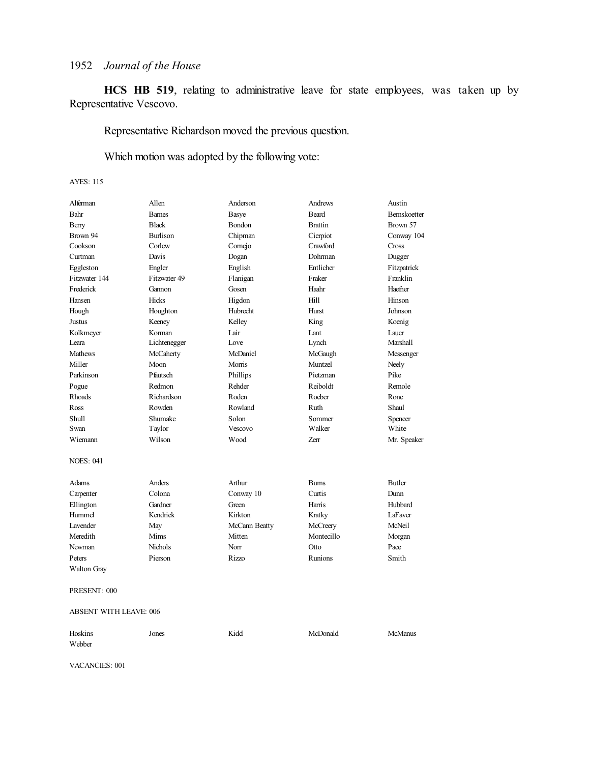**HCS HB 519**, relating to administrative leave for state employees, was taken up by Representative Vescovo.

Representative Richardson moved the previous question.

Which motion was adopted by the following vote:

### AYES: 115

| Alferman             | Allen           | Anderson      | <b>Andrews</b> | Austin              |
|----------------------|-----------------|---------------|----------------|---------------------|
| Bahr                 | <b>Barnes</b>   | Basye         | <b>Beard</b>   | <b>Bernskoetter</b> |
| Berry                | <b>Black</b>    | Bondon        | <b>Brattin</b> | Brown 57            |
| Brown 94             | <b>Burlison</b> | Chipman       | Cierpiot       | Conway 104          |
| Cookson              | Corlew          | Cornejo       | Crawford       | Cross               |
| Curtman              | Davis           | Dogan         | Dohrman        | Dugger              |
| Eggleston            | Engler          | English       | Entlicher      | Fitzpatrick         |
| Fitzwater 144        | Fitzwater 49    | Flanigan      | Fraker         | Franklin            |
| Frederick            | Gannon          | Gosen         | Haahr          | Haefner             |
| Hansen               | Hicks           | Higdon        | Hill           | Hinson              |
| Hough                | Houghton        | Hubrecht      | Hurst          | Johnson             |
| Justus               | Keeney          | Kelley        | King           | Koenig              |
| Kolkmeyer            | Korman          | Lair          | Lant           | Lauer               |
| Leara                | Lichtenegger    | Love          | Lynch          | Marshall            |
| <b>Mathews</b>       | McCaherty       | McDaniel      | McGaugh        | Messenger           |
| Miller               | Moon            | Morris        | Muntzel        | Neely               |
| Parkinson            | Pfautsch        | Phillips      | Pietzman       | Pike                |
| Pogue                | Redmon          | Rehder        | Reiboldt       | Remole              |
| Rhoads               | Richardson      | Roden         | Roeber         | Rone                |
| Ross                 | Rowden          | Rowland       | Ruth           | Shaul               |
| <b>Shull</b>         | Shumake         | Solon         | Sommer         | Spencer             |
| Swan                 | Taylor          | Vescovo       | Walker         | White               |
| Wiemann              | Wilson          | Wood          | Zerr           | Mr. Speaker         |
| <b>NOES: 041</b>     |                 |               |                |                     |
| Adams                | Anders          | Arthur        | <b>Burns</b>   | <b>Butler</b>       |
| Carpenter            | Colona          | Conway 10     | Curtis         | Dunn                |
| Ellington            | Gardner         | Green         | Harris         | Hubbard             |
| Hummel               | Kendrick        | Kirkton       | Kratky         | LaFaver             |
| L <sub>avender</sub> | May             | McCann Beatty | McCreery       | McNeil              |
| Meredith             | Mims            | Mitten        | Montecillo     | Morgan              |
| Newman               | <b>Nichols</b>  | Norr          | Otto           | Pace                |
| Peters               | Pierson         | <b>Rizzo</b>  | Runions        | Smith               |
| Walton Gray          |                 |               |                |                     |
|                      |                 |               |                |                     |

PRESENT: 000

ABSENT WITH LEAVE: 006

| Hoskins | Jones | Kidd | McDonald | <b>McManus</b> |
|---------|-------|------|----------|----------------|
| Webber  |       |      |          |                |

VACANCIES: 001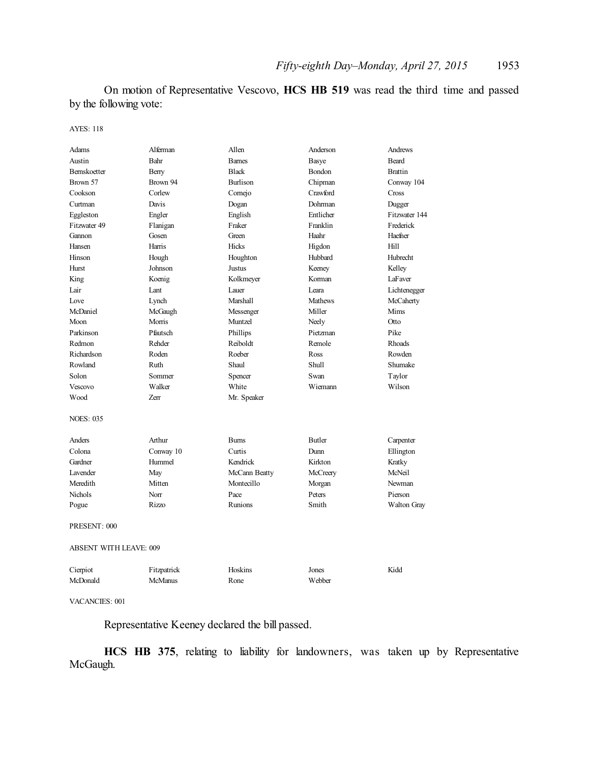On motion of Representative Vescovo, **HCS HB 519** was read the third time and passed by the following vote:

AYES: 118

| Adams                  | Alferman       | Allen           | Anderson      | Andrews            |
|------------------------|----------------|-----------------|---------------|--------------------|
| Austin                 | Bahr           | <b>Barnes</b>   | Basye         | <b>Beard</b>       |
| <b>Bernskoetter</b>    | Berry          | <b>Black</b>    | Bondon        | <b>Brattin</b>     |
| Brown 57               | Brown 94       | <b>Burlison</b> | Chipman       | Conway 104         |
| Cookson                | Corlew         | Comejo          | Crawford      | Cross              |
| Curtman                | Davis          | Dogan           | Dohrman       | Dugger             |
| Eggleston              | Engler         | English         | Entlicher     | Fitzwater 144      |
| Fitzwater 49           | Flanigan       | Fraker          | Franklin      | Frederick          |
| Gannon                 | Gosen          | Green           | Haahr         | Haefner            |
| Hansen                 | Harris         | Hicks           | Higdon        | Hill               |
| Hinson                 | Hough          | Houghton        | Hubbard       | Hubrecht           |
| Hurst                  | Johnson        | Justus          | Keeney        | Kelley             |
| King                   | Koenig         | Kolkmeyer       | Korman        | LaFaver            |
| Lair                   | Lant           | Lauer           | Leara         | Lichtenegger       |
| Love                   | Lynch          | Marshall        | Mathews       | McCaherty          |
| McDaniel               | McGaugh        | Messenger       | Miller        | Mims               |
| Moon                   | Morris         | Muntzel         | Neely         | Otto               |
| Parkinson              | Pfautsch       | Phillips        | Pietzman      | Pike               |
| Redmon                 | Rehder         | Reiboldt        | Remole        | Rhoads             |
| Richardson             | Roden          | Roeber          | Ross          | Rowden             |
| Rowland                | Ruth           | Shaul           | Shull         | Shumake            |
| Solon                  | Sommer         | Spencer         | Swan          | Taylor             |
| Vescovo                | Walker         | White           | Wiemann       | Wilson             |
| Wood                   | Zerr           | Mr. Speaker     |               |                    |
| <b>NOES: 035</b>       |                |                 |               |                    |
| Anders                 | Arthur         | <b>Burns</b>    | <b>Butler</b> | Carpenter          |
| Colona                 | Conway 10      | Curtis          | Dunn          | Ellington          |
| Gardner                | Hummel         | Kendrick        | Kirkton       | Kratky             |
| <b>Lavender</b>        | May            | McCann Beatty   | McCreery      | McNeil             |
| Meredith               | Mitten         | Montecillo      | Morgan        | <b>Newman</b>      |
| <b>Nichols</b>         | Norr           | Pace            | Peters        | Pierson            |
| Pogue                  | Rizzo          | Runions         | Smith         | <b>Walton Gray</b> |
| PRESENT: 000           |                |                 |               |                    |
| ABSENT WITH LEAVE: 009 |                |                 |               |                    |
| Cierpiot               | Fitzpatrick    | Hoskins         | Jones         | Kidd               |
| McDonald               | <b>McManus</b> | Rone            | Webber        |                    |
|                        |                |                 |               |                    |

VACANCIES: 001

Representative Keeney declared the bill passed.

**HCS HB 375**, relating to liability for landowners, was taken up by Representative McGaugh.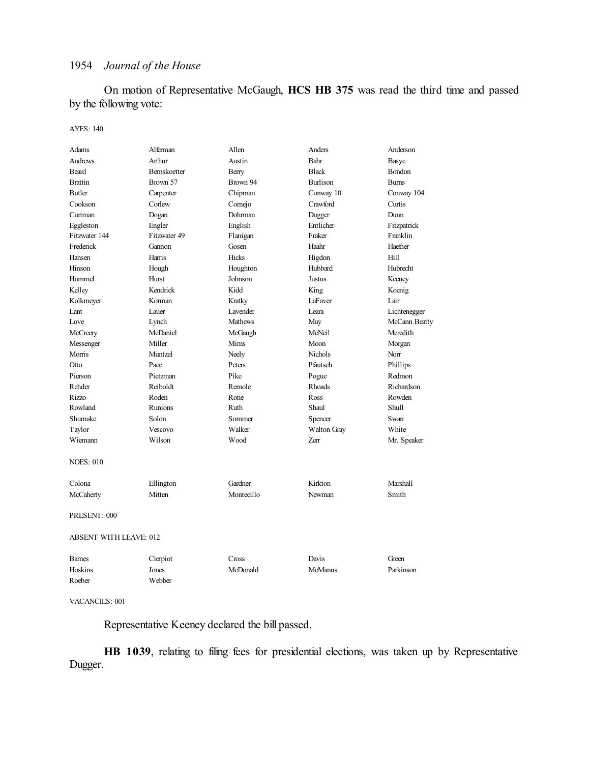On motion of Representative McGaugh, **HCS HB 375** was read the third time and passed by the following vote:

#### AYES: 140

| Adams                         | Alferman       | Allen           | Anders          | Anderson      |
|-------------------------------|----------------|-----------------|-----------------|---------------|
| <b>Andrews</b>                | Arthur         | Austin          | Bahr            | Basye         |
| Beard                         | Bernskoetter   | Berry           | <b>Black</b>    | Bondon        |
| <b>Brattin</b>                | Brown 57       | Brown 94        | <b>Burlison</b> | <b>Burns</b>  |
| Butler                        | Carpenter      | Chipman         | Conway 10       | Conway 104    |
| Cookson                       | Corlew         | Cornejo         | Crawford        | Curtis        |
| Curtman                       | Dogan          | Dohrman         | Dugger          | Dunn          |
| Eggleston                     | Engler         | English         | Entlicher       | Fitzpatrick   |
| Fitzwater 144                 | Fitzwater 49   | Flanigan        | Fraker          | Franklin      |
| Frederick                     | Gannon         | Gosen           | Haahr           | Haefner       |
| Hansen                        | Harris         | <b>Hicks</b>    | Higdon          | Hill          |
| Hinson                        | Hough          | Houghton        | Hubbard         | Hubrecht      |
| Hummel                        | Hurst          | Johnson         | <b>Justus</b>   | Keeney        |
| Kelley                        | Kendrick       | Kidd            | King            | Koenig        |
| Kolkmeyer                     | Korman         | Kratky          | LaFaver         | Lair          |
| Lant                          | Lauer          | <b>Lavender</b> | I eara          | Lichtenegger  |
| Love                          | Lynch          | Mathews         | May             | McCann Beatty |
| McCreery                      | McDaniel       | McGaugh         | McNeil          | Meredith      |
| Messenger                     | Miller         | Mims            | Moon            | Morgan        |
| Morris                        | Muntzel        | Neely           | <b>Nichols</b>  | Norr          |
| Otto                          | Pace           | Peters          | Pfautsch        | Phillips      |
| Pierson                       | Pietzman       | Pike            | Pogue           | Redmon        |
| Rehder                        | Reiboldt       | Remole          | <b>Rhoads</b>   | Richardson    |
| Rizzo                         | Roden          | Rone            | Ross            | Rowden        |
| Rowland                       | <b>Runions</b> | Ruth            | Shaul           | Shull         |
| Shumake                       | Solon          | Sommer          | Spencer         | Swan          |
| Taylor                        | Vescovo        | Walker          | Walton Gray     | White         |
| Wiemann                       | Wilson         | Wood            | Zerr            | Mr. Speaker   |
| <b>NOES: 010</b>              |                |                 |                 |               |
| Colona                        | Ellington      | Gardner         | Kirkton         | Marshall      |
| McCaherty                     | Mitten         | Montecillo      | Newman          | Smith         |
| PRESENT: 000                  |                |                 |                 |               |
| <b>ABSENT WITH LEAVE: 012</b> |                |                 |                 |               |
| <b>Barnes</b>                 | Cierpiot       | Cross           | Davis           | Green         |
| Hoskins                       | Jones          | McDonald        | McManus         | Parkinson     |
| Roeber                        | Webber         |                 |                 |               |

#### VACANCIES: 001

Representative Keeney declared the bill passed.

**HB 1039**, relating to filing fees for presidential elections, was taken up by Representative Dugger.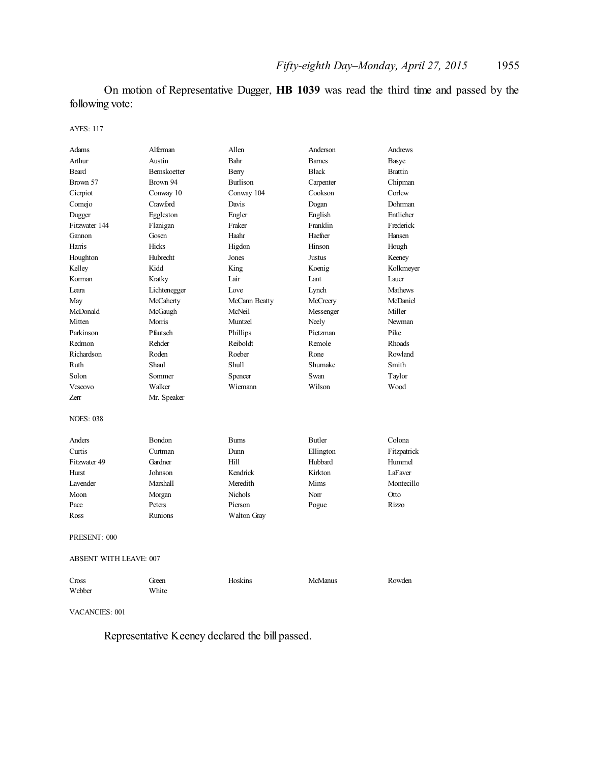On motion of Representative Dugger, **HB 1039** was read the third time and passed by the following vote:

AYES: 117

| Adams                         | Alferman     | Allen         | Anderson       | Andrews        |
|-------------------------------|--------------|---------------|----------------|----------------|
| Arthur                        | Austin       | Bahr          | <b>Bames</b>   | Basye          |
| Beard                         | Bernskoetter | Berry         | <b>Black</b>   | <b>Brattin</b> |
| Brown 57                      | Brown 94     | Burlison      | Carpenter      | Chipman        |
| Cierpiot                      | Conway 10    | Conway 104    | Cookson        | Corlew         |
| Cornejo                       | Crawford     | Davis         | Dogan          | Dohrman        |
| Dugger                        | Eggleston    | Engler        | English        | Entlicher      |
| Fitzwater 144                 | Flanigan     | Fraker        | Franklin       | Frederick      |
| Gannon                        | Gosen        | Haahr         | Haefner        | Hansen         |
| Harris                        | <b>Hicks</b> | Higdon        | Hinson         | Hough          |
| Houghton                      | Hubrecht     | Jones         | Justus         | Keeney         |
| Kelley                        | Kidd         | King          | Koenig         | Kolkmeyer      |
| Korman                        | Kratky       | Lair          | Lant           | Lauer          |
| Leara                         | Lichtenegger | Love          | Lynch          | <b>Mathews</b> |
| May                           | McCaherty    | McCann Beatty | McCreery       | McDaniel       |
| McDonald                      | McGaugh      | McNeil        | Messenger      | Miller         |
| Mitten                        | Morris       | Muntzel       | Neely          | Newman         |
| Parkinson                     | Pfautsch     | Phillips      | Pietzman       | Pike           |
| Redmon                        | Rehder       | Reiboldt      | Remole         | Rhoads         |
| Richardson                    | Roden        | Roeber        | Rone           | Rowland        |
| Ruth                          | Shaul        | Shull         | Shumake        | Smith          |
| Solon                         | Sommer       | Spencer       | Swan           | Taylor         |
| Vescovo                       | Walker       | Wiemann       | Wilson         | Wood           |
| <b>Zerr</b>                   | Mr. Speaker  |               |                |                |
| <b>NOES: 038</b>              |              |               |                |                |
| Anders                        | Bondon       | <b>Burns</b>  | <b>Butler</b>  | Colona         |
| Curtis                        | Curtman      | Dunn          | Ellington      | Fitzpatrick    |
| Fitzwater 49                  | Gardner      | Hill          | Hubbard        | Hummel         |
| Hurst                         | Johnson      | Kendrick      | Kirkton        | LaFaver        |
| Lavender                      | Marshall     | Meredith      | Mims           | Montecillo     |
| Moon                          | Morgan       | Nichols       | Norr           | Otto           |
| Pace                          | Peters       | Pierson       | Pogue          | Rizzo          |
| Ross                          | Runions      | Walton Gray   |                |                |
| PRESENT: 000                  |              |               |                |                |
| <b>ABSENT WITH LEAVE: 007</b> |              |               |                |                |
| Cross                         | Green        | Hoskins       | <b>McManus</b> | Rowden         |

VACANCIES: 001

Webber White

Representative Keeney declared the bill passed.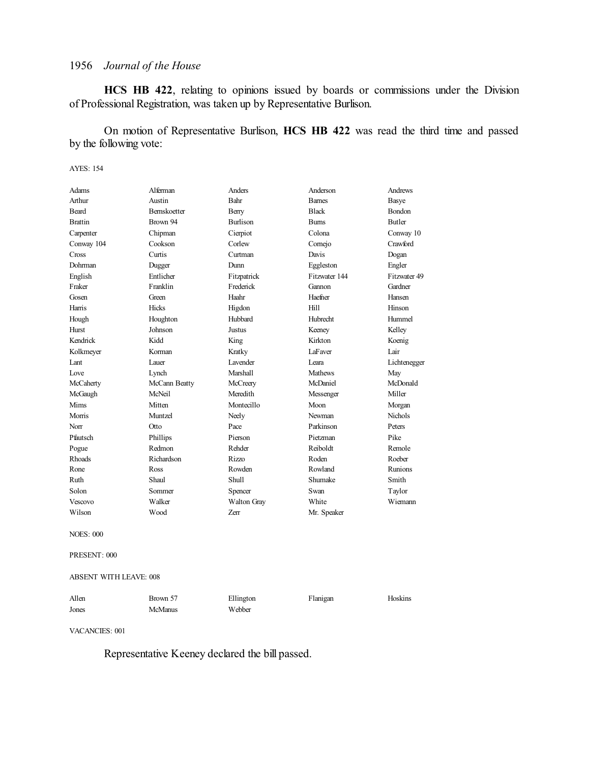**HCS HB 422**, relating to opinions issued by boards or commissions under the Division of Professional Registration, was taken up by Representative Burlison.

On motion of Representative Burlison, **HCS HB 422** was read the third time and passed by the following vote:

#### AYES: 154

| Adams          | Alferman            | Anders          | Anderson       | Andrews        |
|----------------|---------------------|-----------------|----------------|----------------|
| Arthur         | Austin              | Bahr            | <b>Bames</b>   | Basye          |
| <b>Beard</b>   | <b>Bernskoetter</b> | Berry           | <b>Black</b>   | <b>Bondon</b>  |
| <b>Brattin</b> | Brown 94            | <b>Burlison</b> | <b>Burns</b>   | <b>Butler</b>  |
| Carpenter      | Chipman             | Cierpiot        | Colona         | Conway 10      |
| Conway 104     | Cookson             | Corlew          | Comejo         | Crawford       |
| Cross          | Curtis              | Curtman         | Davis          | Dogan          |
| Dohrman        | Dugger              | Dunn            | Eggleston      | Engler         |
| English        | Entlicher           | Fitzpatrick     | Fitzwater 144  | Fitzwater 49   |
| Fraker         | Franklin            | Frederick       | Gannon         | Gardner        |
| Gosen          | Green               | Haahr           | Haefner        | Hansen         |
| Harris         | Hicks               | Higdon          | Hill           | Hinson         |
| Hough          | Houghton            | Hubbard         | Hubrecht       | Hummel         |
| <b>Hurst</b>   | Johnson             | Justus          | Keeney         | Kelley         |
| Kendrick       | Kidd                | King            | Kirkton        | Koenig         |
| Kolkmeyer      | Korman              | Kratky          | LaFaver        | Lair           |
| Lant           | Lauer               | <b>Lavender</b> | Leara          | Lichtenegger   |
| Love           | Lynch               | Marshall        | <b>Mathews</b> | May            |
| McCaherty      | McCann Beatty       | McCreery        | McDaniel       | McDonald       |
| McGaugh        | McNeil              | Meredith        | Messenger      | Miller         |
| Mims           | Mitten              | Montecillo      | Moon           | Morgan         |
| Morris         | Muntzel             | Neely           | Newman         | <b>Nichols</b> |
| Norr           | Otto                | Pace            | Parkinson      | Peters         |
| Pfautsch       | Phillips            | Pierson         | Pietzman       | Pike           |
| Pogue          | Redmon              | Rehder          | Reiboldt       | Remole         |
| <b>Rhoads</b>  | Richardson          | Rizzo           | Roden          | Roeber         |
| Rone           | Ross                | Rowden          | Rowland        | <b>Runions</b> |
| Ruth           | Shaul               | Shull           | Shumake        | Smith          |
| Solon          | Sommer              | Spencer         | Swan           | Taylor         |
| Vescovo        | Walker              | Walton Gray     | White          | Wiemann        |
| Wilson         | Wood                | Zerr            | Mr. Speaker    |                |

NOES: 000

PRESENT: 000

#### ABSENT WITH LEAVE: 008

| Allen | Brown 57 | Ellington | Flanigan | Hoskins |
|-------|----------|-----------|----------|---------|
| Jones | McManus  | Webber    |          |         |

VACANCIES: 001

Representative Keeney declared the bill passed.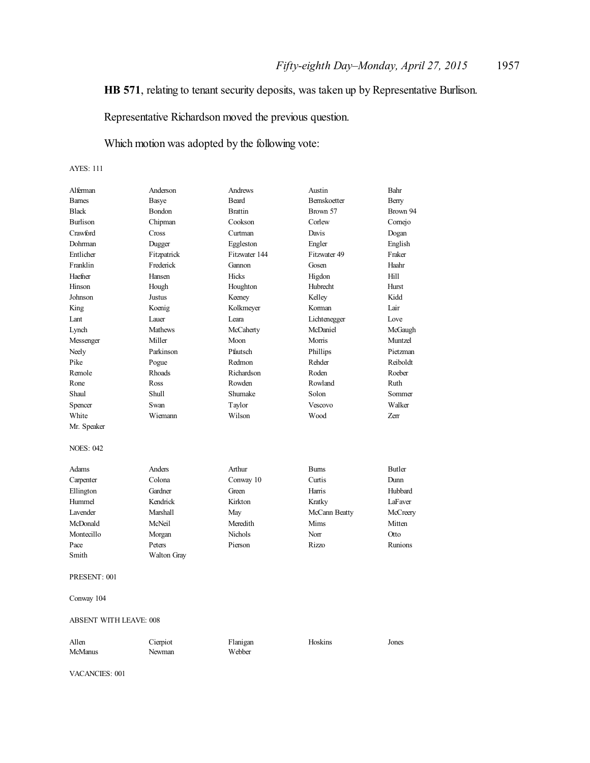### **HB 571**, relating to tenant security deposits, was taken up by Representative Burlison.

Representative Richardson moved the previous question.

Which motion was adopted by the following vote:

#### AYES: 111

| Alferman<br><b>Barnes</b>     | Anderson       | Andrews<br>Beard | Austin<br>Bernskoetter | Bahr          |
|-------------------------------|----------------|------------------|------------------------|---------------|
| <b>Black</b>                  | Basye          | <b>Brattin</b>   | Brown 57               | Berry         |
|                               | Bondon         |                  |                        | Brown 94      |
| Burlison                      | Chipman        | Cookson          | Corlew                 | Cornejo       |
| Crawford                      | Cross          | Curtman          | Davis                  | Dogan         |
| Dohrman                       | Dugger         | Eggleston        | Engler                 | English       |
| Entlicher                     | Fitzpatrick    | Fitzwater 144    | Fitzwater 49           | Fraker        |
| Franklin                      | Frederick      | Gannon           | Gosen                  | Haahr         |
| Haefner                       | Hansen         | Hicks            | Higdon                 | Hill          |
| Hinson                        | Hough          | Houghton         | Hubrecht               | Hurst         |
| Johnson                       | Justus         | Keeney           | Kelley                 | Kidd          |
| King                          | Koenig         | Kolkmeyer        | Korman                 | Lair          |
| Lant                          | Lauer          | Leara            | Lichtenegger           | Love          |
| Lynch                         | <b>Mathews</b> | McCaherty        | McDaniel               | McGaugh       |
| Messenger                     | Miller         | Moon             | Morris                 | Muntzel       |
| Neely                         | Parkinson      | Pfautsch         | Phillips               | Pietzman      |
| Pike                          | Pogue          | Redmon           | Rehder                 | Reiboldt      |
| Remole                        | Rhoads         | Richardson       | Roden                  | Roeber        |
| Rone                          | Ross           | Rowden           | Rowland                | Ruth          |
| Shaul                         | Shull          | Shumake          | Solon                  | Sommer        |
| Spencer                       | Swan           | Taylor           | Vescovo                | Walker        |
| White                         | Wiemann        | Wilson           | Wood                   | Zerr          |
| Mr. Speaker                   |                |                  |                        |               |
| <b>NOES: 042</b>              |                |                  |                        |               |
| <b>Adams</b>                  | Anders         | Arthur           | <b>Burns</b>           | <b>Butler</b> |
| Carpenter                     | Colona         | Conway 10        | Curtis                 | Dunn          |
| Ellington                     | Gardner        | Green            | Harris                 | Hubbard       |
| Hummel                        | Kendrick       | Kirkton          | Kratky                 | LaFaver       |
| <b>Lavender</b>               | Marshall       | May              | McCann Beatty          | McCreery      |
| McDonald                      | McNeil         | Meredith         | Mims                   | Mitten        |
| Montecillo                    | Morgan         | Nichols          | Norr                   | Otto          |
| Pace                          | Peters         | Pierson          | <b>Rizzo</b>           | Runions       |
| Smith                         | Walton Gray    |                  |                        |               |
| PRESENT: 001                  |                |                  |                        |               |
| Conway 104                    |                |                  |                        |               |
| <b>ABSENT WITH LEAVE: 008</b> |                |                  |                        |               |
| Allen                         | Cierpiot       | Flanigan         | Hoskins                | Jones         |

VACANCIES: 001

McManus Newman Webber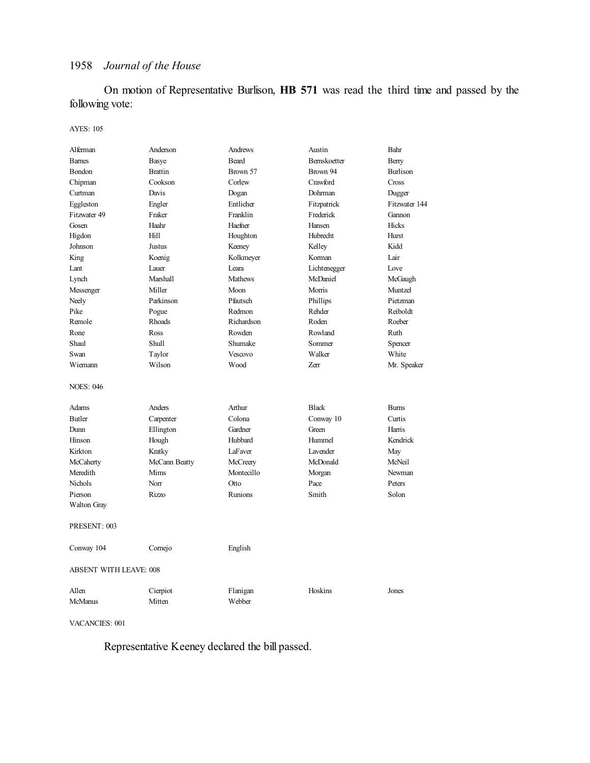On motion of Representative Burlison, **HB 571** was read the third time and passed by the following vote:

#### AYES: 105

| Alferman                      | Anderson       | Andrews        | Austin       | Bahr            |
|-------------------------------|----------------|----------------|--------------|-----------------|
| <b>Barnes</b>                 | Basye          | Beard          | Bernskoetter | Berry           |
| Bondon                        | <b>Brattin</b> | Brown 57       | Brown 94     | <b>Burlison</b> |
| Chipman                       | Cookson        | Corlew         | Crawford     | Cross           |
| Curtman                       | Davis          | Dogan          | Dohrman      | Dugger          |
| Eggleston                     | Engler         | Entlicher      | Fitzpatrick  | Fitzwater 144   |
| Fitzwater 49                  | Fraker         | Franklin       | Frederick    | Gannon          |
| Gosen                         | Haahr          | Haefner        | Hansen       | Hicks           |
| Higdon                        | Hill           | Houghton       | Hubrecht     | Hurst           |
| Johnson                       | Justus         | Keeney         | Kelley       | Kidd            |
| King                          | Koenig         | Kolkmeyer      | Korman       | Lair            |
| Lant                          | Lauer          | Leara          | Lichtenegger | Love            |
| Lynch                         | Marshall       | <b>Mathews</b> | McDaniel     | McGaugh         |
| Messenger                     | Miller         | Moon           | Morris       | Muntzel         |
| Neely                         | Parkinson      | Pfautsch       | Phillips     | Pietzman        |
| Pike                          | Pogue          | Redmon         | Rehder       | Reiboldt        |
| Remole                        | Rhoads         | Richardson     | Roden        | Roeber          |
| Rone                          | Ross           | Rowden         | Rowland      | Ruth            |
| Shaul                         | Shull          | Shumake        | Sommer       | Spencer         |
| Swan                          | Taylor         | Vescovo        | Walker       | White           |
| Wiemann                       | Wilson         | Wood           | Zerr         | Mr. Speaker     |
| <b>NOES: 046</b>              |                |                |              |                 |
| Adams                         | Anders         | Arthur         | <b>Black</b> | <b>Burns</b>    |
| <b>Butler</b>                 | Carpenter      | Colona         | Conway 10    | Curtis          |
| Dunn                          | Ellington      | Gardner        | Green        | Harris          |
| Hinson                        | Hough          | Hubbard        | Hummel       | Kendrick        |
| Kirkton                       | Kratky         | LaFaver        | Lavender     | May             |
| McCaherty                     | McCann Beatty  | McCreery       | McDonald     | McNeil          |
| Meredith                      | Mims           | Montecillo     | Morgan       | Newman          |
| Nichols                       | Norr           | Otto           | Pace         | Peters          |
| Pierson                       | Rizzo          | Runions        | Smith        | Solon           |
| Walton Gray                   |                |                |              |                 |
| PRESENT: 003                  |                |                |              |                 |
| Conway 104                    | Comejo         | English        |              |                 |
| <b>ABSENT WITH LEAVE: 008</b> |                |                |              |                 |
| Allen                         | Cierpiot       | Flanigan       | Hoskins      | Jones           |
| McManus                       | Mitten         | Webber         |              |                 |

VACANCIES: 001

Representative Keeney declared the bill passed.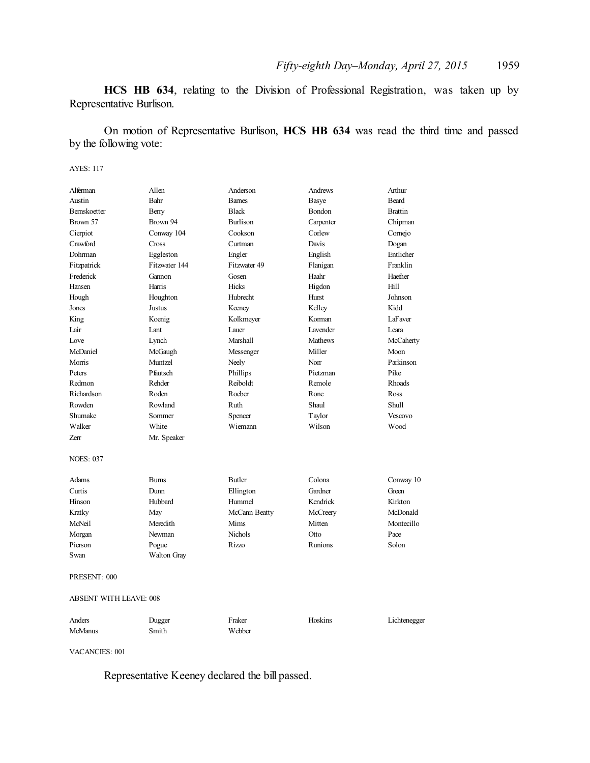**HCS HB 634**, relating to the Division of Professional Registration, was taken up by Representative Burlison.

On motion of Representative Burlison, **HCS HB 634** was read the third time and passed by the following vote:

#### AYES: 117

| Alferman               | Allen              | Anderson        | Andrews        | Arthur         |
|------------------------|--------------------|-----------------|----------------|----------------|
| Austin                 | Bahr               | <b>Barnes</b>   | <b>Basye</b>   | <b>Beard</b>   |
| Bernskoetter           | Berry              | <b>Black</b>    | Bondon         | <b>Brattin</b> |
| Brown 57               | Brown 94           | <b>Burlison</b> | Carpenter      | Chipman        |
| Cierpiot               | Conway 104         | Cookson         | Corlew         | Comejo         |
| Crawford               | Cross              | Curtman         | Davis          | Dogan          |
| Dohrman                | Eggleston          | Engler          | English        | Entlicher      |
| Fitzpatrick            | Fitzwater 144      | Fitzwater 49    | Flanigan       | Franklin       |
| Frederick              | Gannon             | Gosen           | Haahr          | Haefner        |
| Hansen                 | Harris             | Hicks           | Higdon         | Hill           |
| Hough                  | Houghton           | Hubrecht        | Hurst          | Johnson        |
| Jones                  | Justus             | Keeney          | Kelley         | Kidd           |
| King                   | Koenig             | Kolkmeyer       | Korman         | LaFaver        |
| Lair                   | Lant               | Lauer           | Lavender       | Leara          |
| Love                   | Lynch              | Marshall        | Mathews        | McCaherty      |
| McDaniel               | McGaugh            | Messenger       | Miller         | Moon           |
| Morris                 | Muntzel            | Neely           | Norr           | Parkinson      |
| Peters                 | Pfautsch           | Phillips        | Pietzman       | Pike           |
| Redmon                 | Rehder             | Reiboldt        | Remole         | Rhoads         |
| Richardson             | Roden              | Roeber          | Rone           | Ross           |
| Rowden                 | Rowland            | Ruth            | Shaul          | <b>Shull</b>   |
| Shumake                | Sommer             | Spencer         | Taylor         | Vescovo        |
| Walker                 | White              | Wiemann         | Wilson         | Wood           |
| Zerr                   | Mr. Speaker        |                 |                |                |
| <b>NOES: 037</b>       |                    |                 |                |                |
| <b>Adams</b>           | <b>Bums</b>        | <b>Butler</b>   | Colona         | Conway 10      |
| Curtis                 | Dunn               | Ellington       | Gardner        | Green          |
| Hinson                 | Hubbard            | Hummel          | Kendrick       | Kirkton        |
| Kratky                 | May                | McCann Beatty   | McCreery       | McDonald       |
| McNeil                 | Meredith           | Mims            | Mitten         | Montecillo     |
| Morgan                 | Newman             | <b>Nichols</b>  | Otto           | Pace           |
| Pierson                | Pogue              | Rizzo           | <b>Runions</b> | Solon          |
| Swan                   | <b>Walton Gray</b> |                 |                |                |
| PRESENT: 000           |                    |                 |                |                |
| ABSENT WITH LEAVE: 008 |                    |                 |                |                |
| Anders                 | Dugger             | Fraker          | Hoskins        | Lichtenegger   |
| <b>McManus</b>         | Smith              | Webber          |                |                |

VACANCIES: 001

Representative Keeney declared the bill passed.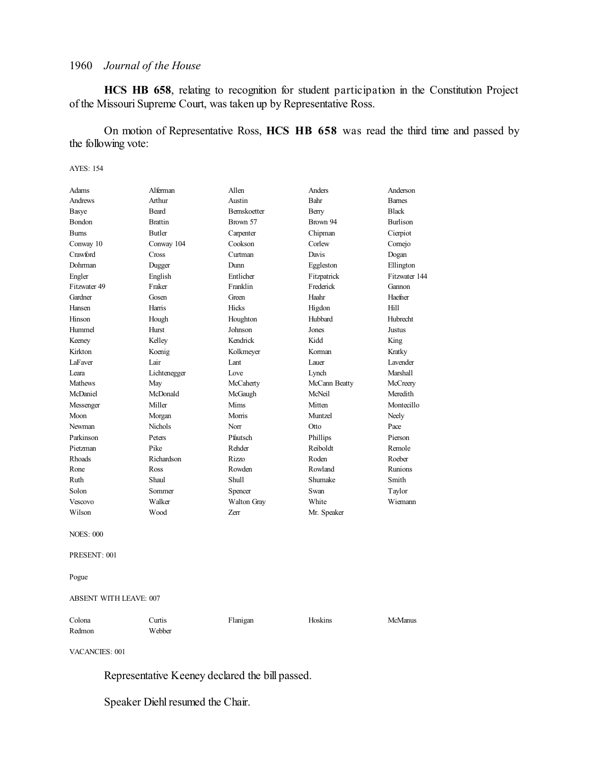**HCS HB 658**, relating to recognition for student participation in the Constitution Project of the Missouri Supreme Court, was taken up by Representative Ross.

On motion of Representative Ross, **HCS HB 658** was read the third time and passed by the following vote:

#### AYES: 154

| Adams            | Alferman       | Allen        | Anders        | Anderson        |
|------------------|----------------|--------------|---------------|-----------------|
| <b>Andrews</b>   | Arthur         | Austin       | Bahr          | <b>Bames</b>    |
| Basye            | Beard          | Bernskoetter | Berry         | <b>Black</b>    |
| <b>Bondon</b>    | <b>Brattin</b> | Brown 57     | Brown 94      | <b>Burlison</b> |
| <b>Burns</b>     | <b>Butler</b>  | Carpenter    | Chipman       | Cierpiot        |
| Conway 10        | Conway 104     | Cookson      | Corlew        | Comejo          |
| Crawford         | Cross          | Curtman      | Davis         | Dogan           |
| Dohrman          | Dugger         | Dunn         | Eggleston     | Ellington       |
| Engler           | English        | Entlicher    | Fitzpatrick   | Fitzwater 144   |
| Fitzwater 49     | Fraker         | Franklin     | Frederick     | Gannon          |
| Gardner          | Gosen          | Green        | Haahr         | Haefner         |
| Hansen           | Harris         | Hicks        | Higdon        | Hill            |
| Hinson           | Hough          | Houghton     | Hubbard       | Hubrecht        |
| Hummel           | Hurst          | Johnson      | Jones         | <b>Justus</b>   |
| Keeney           | Kelley         | Kendrick     | Kidd          | King            |
| Kirkton          | Koenig         | Kolkmeyer    | Korman        | Kratky          |
| LaFaver          | Lair           | Lant         | Lauer         | Lavender        |
| Leara            | Lichtenegger   | Love         | Lynch         | Marshal1        |
| <b>Mathews</b>   | May            | McCaherty    | McCann Beatty | McCreery        |
| McDaniel         | McDonald       | McGaugh      | McNeil        | Meredith        |
| Messenger        | Miller         | Mims         | Mitten        | Montecillo      |
| Moon             | Morgan         | Morris       | Muntzel       | Neely           |
| Newman           | <b>Nichols</b> | Norr         | Otto          | Pace            |
| Parkinson        | Peters         | Pfautsch     | Phillips      | Pierson         |
| Pietzman         | Pike           | Rehder       | Reiboldt      | Remole          |
| <b>Rhoads</b>    | Richardson     | Rizzo        | Roden         | Roeber          |
| Rone             | Ross           | Rowden       | Rowland       | <b>Runions</b>  |
| Ruth             | Shaul          | Shull        | Shumake       | Smith           |
| Solon            | Sommer         | Spencer      | Swan          | Taylor          |
| Vescovo          | Walker         | Walton Gray  | White         | Wiemann         |
| Wilson           | Wood           | Zerr         | Mr. Speaker   |                 |
| <b>NOES: 000</b> |                |              |               |                 |
| PRESENT: 001     |                |              |               |                 |

Pogue

ABSENT WITH LEAVE: 007

| Colona | Curtis | Flanigan | Hoskins | McManus |
|--------|--------|----------|---------|---------|
| Redmon | Webber |          |         |         |

VACANCIES: 001

Representative Keeney declared the bill passed.

Speaker Diehl resumed the Chair.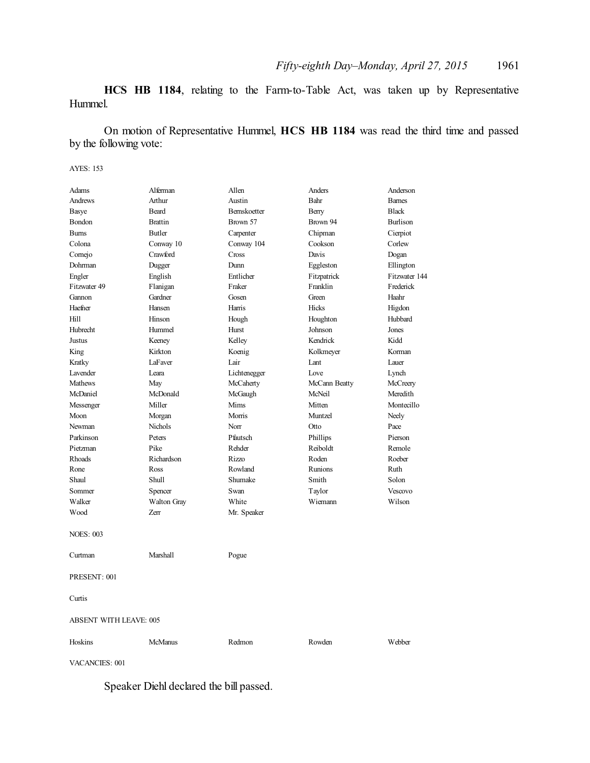**HCS HB 1184**, relating to the Farm-to-Table Act, was taken up by Representative Hummel.

On motion of Representative Hummel, **HCS HB 1184** was read the third time and passed by the following vote:

#### AYES: 153

| Adams                         | Alferman           | Allen        | Anders         | Anderson        |  |
|-------------------------------|--------------------|--------------|----------------|-----------------|--|
| Andrews                       | Arthur             | Austin       | Bahr           | <b>Barnes</b>   |  |
| Basye                         | Beard              | Bernskoetter | Berry          | <b>Black</b>    |  |
| Bondon                        | <b>Brattin</b>     | Brown 57     | Brown 94       | <b>Burlison</b> |  |
| <b>Bums</b>                   | <b>Butler</b>      | Carpenter    | Chipman        | Cierpiot        |  |
| Colona                        | Conway 10          | Conway 104   | Cookson        | Corlew          |  |
| Comejo                        | Crawford           | Cross        | Davis          | Dogan           |  |
| Dohrman                       | Dugger             | Dunn         | Eggleston      | Ellington       |  |
| Engler                        | English            | Entlicher    | Fitzpatrick    | Fitzwater 144   |  |
| Fitzwater 49                  | Flanigan           | Fraker       | Franklin       | Frederick       |  |
| Gannon                        | Gardner            | Gosen        | Green          | Haahr           |  |
| Haefner                       | Hansen             | Harris       | Hicks          | Higdon          |  |
| Hill                          | Hinson             | Hough        | Houghton       | Hubbard         |  |
| Hubrecht                      | Hummel             | Hurst        | Johnson        | Jones           |  |
| Justus                        | Keeney             | Kelley       | Kendrick       | Kidd            |  |
| King                          | Kirkton            | Koenig       | Kolkmeyer      | Korman          |  |
| Kratky                        | LaFaver            | Lair         | Lant           | Lauer           |  |
| Lavender                      | I eara             | Lichtenegger | Love           | Lynch           |  |
| Mathews                       | May                | McCaherty    | McCann Beatty  | McCreery        |  |
| McDaniel                      | McDonald           | McGaugh      | McNeil         | Meredith        |  |
| Messenger                     | Miller             | <b>Mims</b>  | Mitten         | Montecillo      |  |
| Moon                          | Morgan             | Morris       | Muntzel        | Neely           |  |
| Newman                        | <b>Nichols</b>     | Norr         | Otto           | Pace            |  |
| Parkinson                     | Peters             | Pfautsch     | Phillips       | Pierson         |  |
| Pietzman                      | Pike               | Rehder       | Reiboldt       | Remole          |  |
| Rhoads                        | Richardson         | Rizzo        | Roden          | Roeber          |  |
| Rone                          | Ross               | Rowland      | <b>Runions</b> | Ruth            |  |
| Shaul                         | Shull              | Shumake      | Smith          | Solon           |  |
| Sommer                        | Spencer            | Swan         | Taylor         | Vescovo         |  |
| Walker                        | <b>Walton Gray</b> | White        | Wiemann        | Wilson          |  |
| Wood                          | Zerr               | Mr. Speaker  |                |                 |  |
| <b>NOES: 003</b>              |                    |              |                |                 |  |
| Curtman                       | Marshall           | Pogue        |                |                 |  |
| PRESENT: 001                  |                    |              |                |                 |  |
| Curtis                        |                    |              |                |                 |  |
| <b>ABSENT WITH LEAVE: 005</b> |                    |              |                |                 |  |
| Hoskins                       | <b>McManus</b>     | Redmon       | Rowden         | Webber          |  |

VACANCIES: 001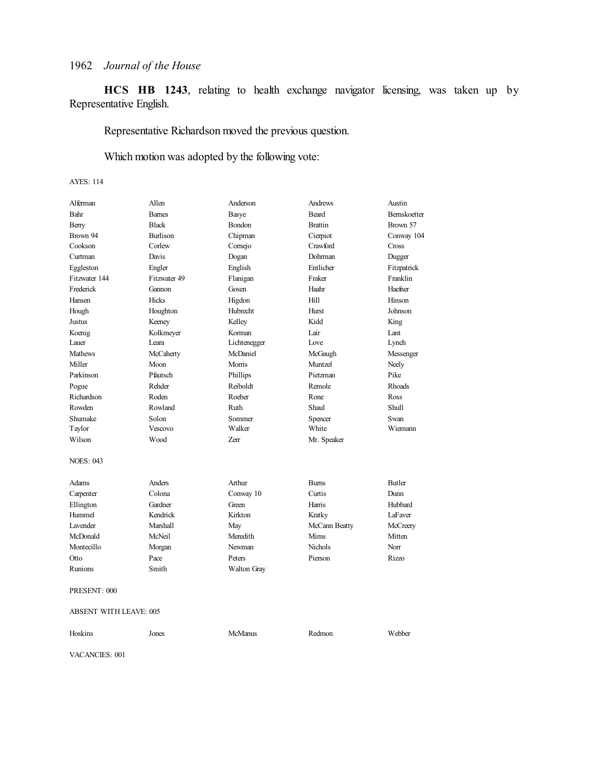**HCS HB 1243**, relating to health exchange navigator licensing, was taken up by Representative English.

Representative Richardson moved the previous question.

Which motion was adopted by the following vote:

### AYES: 114

| Alferman         | Allen           | Anderson     | Andrews        | Austin              |
|------------------|-----------------|--------------|----------------|---------------------|
| Bahr             | <b>Barnes</b>   | Basye        | <b>Beard</b>   | <b>Bernskoetter</b> |
| Berry            | <b>Black</b>    | Bondon       | <b>Brattin</b> | Brown 57            |
| Brown 94         | <b>Burlison</b> | Chipman      | Cierpiot       | Conway 104          |
| Cookson          | Corlew          | Cornejo      | Crawford       | Cross               |
| Curtman          | Davis           | Dogan        | Dohrman        | Dugger              |
| Eggleston        | Engler          | English      | Entlicher      | Fitzpatrick         |
| Fitzwater 144    | Fitzwater 49    | Flanigan     | Fraker         | Franklin            |
| Frederick        | Gannon          | Gosen        | Haahr          | Haefner             |
| Hansen           | Hicks           | Higdon       | Hill           | Hinson              |
| Hough            | Houghton        | Hubrecht     | Hurst          | Johnson             |
| Justus           | Keeney          | Kelley       | Kidd           | King                |
| Koenig           | Kolkmeyer       | Korman       | Lair           | Lant                |
| Lauer            | Leara           | Lichtenegger | Love           | Lynch               |
| <b>Mathews</b>   | McCaherty       | McDaniel     | McGaugh        | Messenger           |
| Miller           | Moon            | Morris       | Muntzel        | Neely               |
| Parkinson        | Pfautsch        | Phillips     | Pietzman       | Pike                |
| Pogue            | Rehder          | Reiboldt     | Remole         | <b>Rhoads</b>       |
| Richardson       | Roden           | Roeber       | Rone           | Ross                |
| Rowden           | Rowland         | Ruth         | Shaul          | Shull               |
| Shumake          | Solon           | Sommer       | Spencer        | Swan                |
| Taylor           | Vescovo         | Walker       | White          | Wiemann             |
| Wilson           | Wood            | Zerr         | Mr. Speaker    |                     |
| <b>NOES: 043</b> |                 |              |                |                     |
| Adams            | Anders          | Arthur       | <b>Burns</b>   | <b>Butler</b>       |
| Carpenter        | Colona          | Conway 10    | Curtis         | Dunn                |
| Ellington        | Gardner         | Green        | Harris         | Hubbard             |
| Hummel           | Kendrick        | Kirkton      | Kratky         | LaFaver             |
| Lavender         | Marshall        | May          | McCann Beatty  | McCreery            |
| McDonald         | McNeil          | Meredith     | Mims           | Mitten              |
| Montecillo       | Morgan          | Newman       | <b>Nichols</b> | Norr                |
| Otto             | Pace            | Peters       | Pierson        | Rizzo               |
| Runions          | Smith           | Walton Gray  |                |                     |
| PRESENT: 000     |                 |              |                |                     |

ABSENT WITH LEAVE: 005

| Hoskins | Jones | <b>McManus</b> | Redmon | Webber |
|---------|-------|----------------|--------|--------|
|         |       |                |        |        |

VACANCIES: 001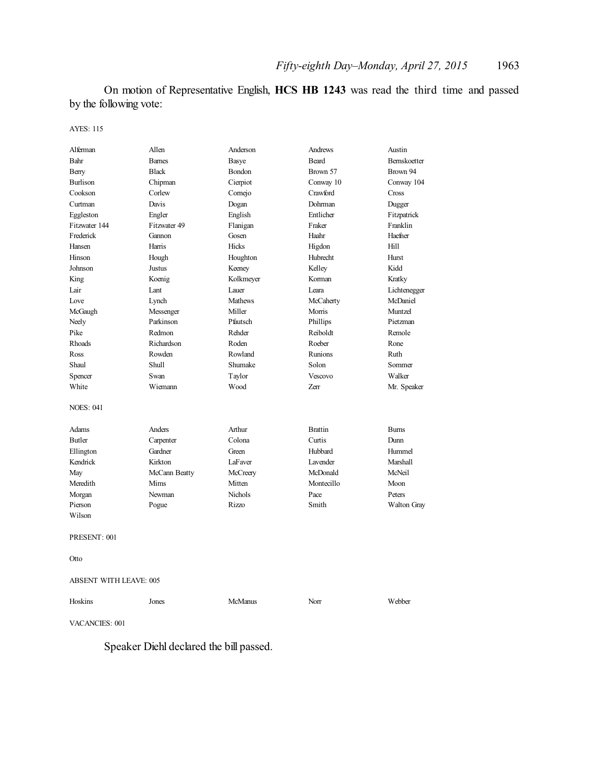On motion of Representative English, **HCS HB 1243** was read the third time and passed by the following vote:

AYES: 115

| Alferman                      | Allen         | Anderson       | Andrews        | Austin       |
|-------------------------------|---------------|----------------|----------------|--------------|
| Bahr                          | <b>Barnes</b> | Basye          | Beard          | Bernskoetter |
| Berry                         | <b>Black</b>  | Bondon         | Brown 57       | Brown 94     |
| <b>Burlison</b>               | Chipman       | Cierpiot       | Conway 10      | Conway 104   |
| Cookson                       | Corlew        | Comejo         | Crawford       | Cross        |
| Curtman                       | Davis         | Dogan          | Dohrman        | Dugger       |
| Eggleston                     | Engler        | English        | Entlicher      | Fitzpatrick  |
| Fitzwater 144                 | Fitzwater 49  | Flanigan       | Fraker         | Franklin     |
| Frederick                     | Gannon        | Gosen          | Haahr          | Haefner      |
| Hansen                        | Harris        | Hicks          | Higdon         | Hill         |
| Hinson                        | Hough         | Houghton       | Hubrecht       | Hurst        |
| Johnson                       | Justus        | Keeney         | Kelley         | Kidd         |
| King                          | Koenig        | Kolkmeyer      | Korman         | Kratky       |
| Lair                          | Lant          | Lauer          | Leara          | Lichtenegger |
| Love                          | Lynch         | <b>Mathews</b> | McCaherty      | McDaniel     |
| McGaugh                       | Messenger     | Miller         | Morris         | Muntzel      |
| Neely                         | Parkinson     | Pfautsch       | Phillips       | Pietzman     |
| Pike                          | Redmon        | Rehder         | Reiboldt       | Remole       |
| Rhoads                        | Richardson    | Roden          | Roeber         | Rone         |
| Ross                          | Rowden        | Rowland        | <b>Runions</b> | Ruth         |
| Shaul                         | Shull         | Shumake        | Solon          | Sommer       |
| Spencer                       | Swan          | Taylor         | Vescovo        | Walker       |
| White                         | Wiemann       | Wood           | Zerr           | Mr. Speaker  |
| <b>NOES: 041</b>              |               |                |                |              |
| Adams                         | Anders        | Arthur         | <b>Brattin</b> | <b>Burns</b> |
| <b>Butler</b>                 | Carpenter     | Colona         | Curtis         | Dunn         |
| Ellington                     | Gardner       | Green          | Hubbard        | Hummel       |
| Kendrick                      | Kirkton       | LaFaver        | Lavender       | Marshall     |
| May                           | McCann Beatty | McCreery       | McDonald       | McNeil       |
| Meredith                      | Mims          | Mitten         | Montecillo     | Moon         |
| Morgan                        | Newman        | Nichols        | Pace           | Peters       |
| Pierson                       | Pogue         | Rizzo          | Smith          | Walton Gray  |
| Wilson                        |               |                |                |              |
| PRESENT: 001                  |               |                |                |              |
| Otto                          |               |                |                |              |
| <b>ABSENT WITH LEAVE: 005</b> |               |                |                |              |
| Hoskins                       | Jones         | <b>McManus</b> | Norr           | Webber       |

VACANCIES: 001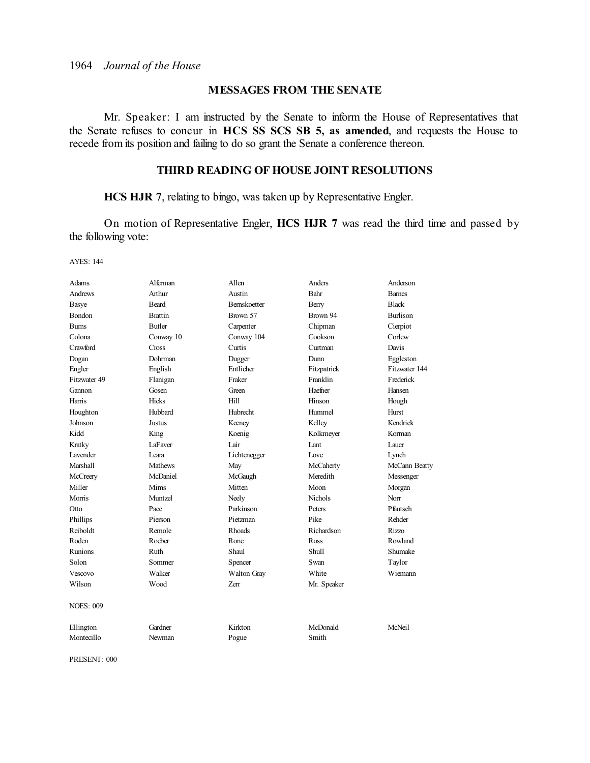### **MESSAGES FROM THE SENATE**

Mr. Speaker: I am instructed by the Senate to inform the House of Representatives that the Senate refuses to concur in **HCS SS SCS SB 5, as amended**, and requests the House to recede from its position and failing to do so grant the Senate a conference thereon.

### **THIRD READING OF HOUSE JOINT RESOLUTIONS**

**HCS HJR 7**, relating to bingo, was taken up by Representative Engler.

On motion of Representative Engler, **HCS HJR 7** was read the third time and passed by the following vote:

AYES: 144

| Adams            | Alferman       | Allen               | Anders         | Anderson        |
|------------------|----------------|---------------------|----------------|-----------------|
| <b>Andrews</b>   | Arthur         | Austin              | Bahr           | <b>Barnes</b>   |
| Basye            | <b>Beard</b>   | <b>Bernskoetter</b> | Berry          | <b>Black</b>    |
| Bondon           | <b>Brattin</b> | Brown 57            | Brown 94       | <b>Burlison</b> |
| <b>Burns</b>     | <b>Butler</b>  | Carpenter           | Chipman        | Cierpiot        |
| Colona           | Conway 10      | Conway 104          | Cookson        | Corlew          |
| Crawford         | Cross          | Curtis              | Curtman        | Davis           |
| Dogan            | Dohrman        | Dugger              | Dunn           | Eggleston       |
| Engler           | English        | Entlicher           | Fitzpatrick    | Fitzwater 144   |
| Fitzwater 49     | Flanigan       | Fraker              | Franklin       | Frederick       |
| Gannon           | Gosen          | Green               | Haefner        | Hansen          |
| Harris           | <b>Hicks</b>   | Hill                | Hinson         | Hough           |
| Houghton         | Hubbard        | Hubrecht            | Hummel         | Hurst           |
| Johnson          | Justus         | Keeney              | Kelley         | Kendrick        |
| Kidd             | King           | Koenig              | Kolkmeyer      | Korman          |
| Kratky           | LaFaver        | Lair                | Lant           | Lauer           |
| <b>Lavender</b>  | Leara          | Lichtenegger        | Love           | Lynch           |
| Marshall         | <b>Mathews</b> | May                 | McCaherty      | McCann Beatty   |
| McCreery         | McDaniel       | McGaugh             | Meredith       | Messenger       |
| Miller           | Mims           | Mitten              | Moon           | Morgan          |
| Morris           | Muntzel        | Neely               | <b>Nichols</b> | Norr            |
| Otto             | Pace           | Parkinson           | Peters         | Pfautsch        |
| Phillips         | Pierson        | Pietzman            | Pike           | Rehder          |
| Reiboldt         | Remole         | <b>Rhoads</b>       | Richardson     | Rizzo           |
| Roden            | Roeber         | Rone                | Ross           | Rowland         |
| Runions          | Ruth           | Shaul               | Shull          | Shumake         |
| Solon            | Sommer         | Spencer             | Swan           | Taylor          |
| Vescovo          | Walker         | Walton Gray         | White          | Wiemann         |
| Wilson           | Wood           | Zerr                | Mr. Speaker    |                 |
| <b>NOES: 009</b> |                |                     |                |                 |
| Ellington        | Gardner        | Kirkton             | McDonald       | McNeil          |
| Montecillo       | Newman         | Pogue               | Smith          |                 |

PRESENT: 000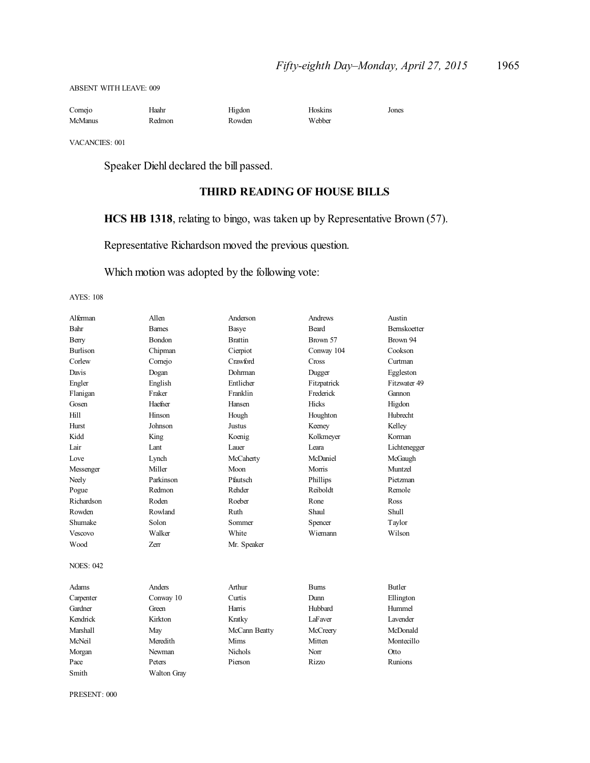ABSENT WITH LEAVE: 009

| Comejo         | Haahr  | Higdon | <b>Hoskins</b> | Jones |
|----------------|--------|--------|----------------|-------|
| <b>McManus</b> | Redmon | Rowden | Webber         |       |

VACANCIES: 001

Speaker Diehl declared the bill passed.

### **THIRD READING OF HOUSE BILLS**

**HCS HB 1318**, relating to bingo, was taken up by Representative Brown (57).

Representative Richardson moved the previous question.

Which motion was adopted by the following vote:

#### AYES: 108

| Alferman         | Allen              | Anderson       | Andrews      | Austin              |
|------------------|--------------------|----------------|--------------|---------------------|
| Bahr             | <b>Barnes</b>      | Basye          | <b>Beard</b> | <b>Bernskoetter</b> |
| Berry            | <b>Bondon</b>      | <b>Brattin</b> | Brown 57     | Brown 94            |
| <b>Burlison</b>  | Chipman            | Cierpiot       | Conway 104   | Cookson             |
| Corlew           | Cornejo            | Crawford       | Cross        | Curtman             |
| Davis            | Dogan              | Dohrman        | Dugger       | Eggleston           |
| Engler           | English            | Entlicher      | Fitzpatrick  | Fitzwater 49        |
| Flanigan         | Fraker             | Franklin       | Frederick    | Gannon              |
| Gosen            | Haefner            | Hansen         | <b>Hicks</b> | Higdon              |
| Hill             | Hinson             | Hough          | Houghton     | Hubrecht            |
| Hurst            | Johnson            | <b>Justus</b>  | Keeney       | Kelley              |
| Kidd             | King               | Koenig         | Kolkmeyer    | Korman              |
| Lair             | Lant               | Lauer          | Leara        | Lichtenegger        |
| Love             | Lynch              | McCaherty      | McDaniel     | McGaugh             |
| Messenger        | Miller             | Moon           | Morris       | Muntzel             |
| Neely            | Parkinson          | Pfautsch       | Phillips     | Pietzman            |
| Pogue            | Redmon             | Rehder         | Reiboldt     | Remole              |
| Richardson       | Roden              | Roeber         | Rone         | Ross                |
| Rowden           | Rowland            | Ruth           | Shaul        | Shull               |
| Shumake          | Solon              | Sommer         | Spencer      | Taylor              |
| Vescovo          | Walker             | White          | Wiemann      | Wilson              |
| Wood             | Zerr               | Mr. Speaker    |              |                     |
| <b>NOES: 042</b> |                    |                |              |                     |
| Adams            | Anders             | Arthur         | <b>Burns</b> | <b>Butler</b>       |
| Carpenter        | Conway 10          | Curtis         | Dunn         | Ellington           |
| Gardner          | Green              | Harris         | Hubbard      | Hummel              |
| Kendrick         | Kirkton            | Kratky         | LaFaver      | <b>L</b> avender    |
| Marshall         | May                | McCann Beatty  | McCreery     | McDonald            |
| McNeil           | Meredith           | Mims           | Mitten       | Montecillo          |
| Morgan           | Newman             | <b>Nichols</b> | Norr         | Otto                |
| Pace             | Peters             | Pierson        | Rizzo        | Runions             |
| Smith            | <b>Walton Gray</b> |                |              |                     |

PRESENT: 000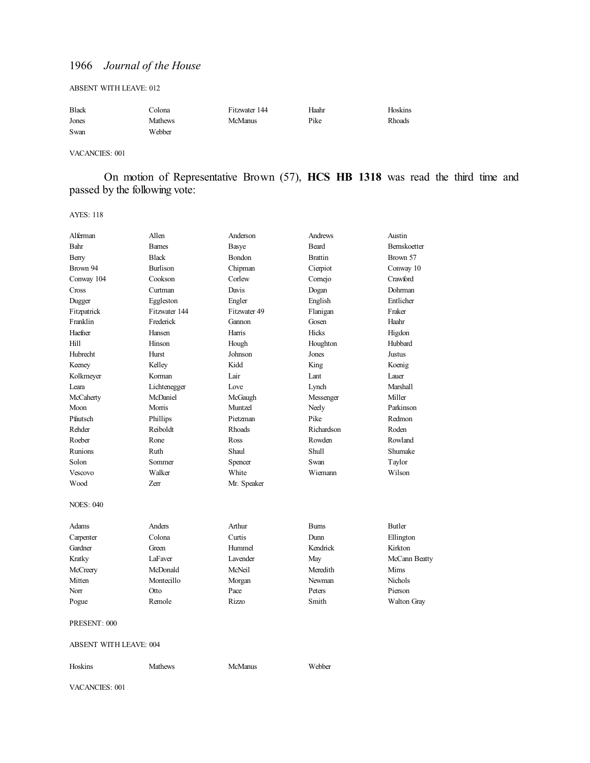#### ABSENT WITH LEAVE: 012

| <b>Black</b> | Colona  | Fitzwater 144 | Haahr | Hoskins |
|--------------|---------|---------------|-------|---------|
| Jones        | Mathews | McManus       | Pike  | Rhoads  |
| Swan         | Webber  |               |       |         |

VACANCIES: 001

On motion of Representative Brown (57), **HCS HB 1318** was read the third time and passed by the following vote:

#### AYES: 118

| Alferman                      | Allen           | Anderson     | Andrews        | Austin        |
|-------------------------------|-----------------|--------------|----------------|---------------|
| Bahr                          | <b>Barnes</b>   | Basye        | Beard          | Bernskoetter  |
| Berry                         | <b>Black</b>    | Bondon       | <b>Brattin</b> | Brown 57      |
| Brown 94                      | <b>Burlison</b> | Chipman      | Cierpiot       | Conway 10     |
| Conway 104                    | Cookson         | Corlew       | Comejo         | Crawford      |
| Cross                         | Curtman         | Davis        | Dogan          | Dohrman       |
| Dugger                        | Eggleston       | Engler       | English        | Entlicher     |
| Fitzpatrick                   | Fitzwater 144   | Fitzwater 49 | Flanigan       | Fraker        |
| Franklin                      | Frederick       | Gannon       | Gosen          | Haahr         |
| Haefner                       | Hansen          | Harris       | <b>Hicks</b>   | Higdon        |
| Hill                          | Hinson          | Hough        | Houghton       | Hubbard       |
| Hubrecht                      | Hurst           | Johnson      | Jones          | Justus        |
| Keeney                        | Kelley          | Kidd         | King           | Koenig        |
| Kolkmeyer                     | Korman          | Lair         | Lant           | Lauer         |
| Leara                         | Lichtenegger    | Love         | Lynch          | Marshall      |
| McCaherty                     | McDaniel        | McGaugh      | Messenger      | Miller        |
| Moon                          | Morris          | Muntzel      | Neely          | Parkinson     |
| Pfautsch                      | Phillips        | Pietzman     | Pike           | Redmon        |
| Rehder                        | Reiboldt        | Rhoads       | Richardson     | Roden         |
| Roeber                        | Rone            | Ross         | Rowden         | Rowland       |
| Runions                       | Ruth            | Shaul        | Shull          | Shumake       |
| Solon                         | Sommer          | Spencer      | Swan           | Taylor        |
| Vescovo                       | Walker          | White        | Wiemann        | Wilson        |
| Wood                          | <b>Zerr</b>     | Mr. Speaker  |                |               |
| <b>NOES: 040</b>              |                 |              |                |               |
| Adams                         | Anders          | Arthur       | <b>Burns</b>   | <b>Butler</b> |
| Carpenter                     | Colona          | Curtis       | Dunn           | Ellington     |
| Gardner                       | Green           | Hummel       | Kendrick       | Kirkton       |
| Kratky                        | LaFaver         | Lavender     | May            | McCann Beatty |
| McCreery                      | McDonald        | McNeil       | Meredith       | Mims          |
| Mitten                        | Montecillo      | Morgan       | Newman         | Nichols       |
| Norr                          | Otto            | Pace         | Peters         | Pierson       |
| Pogue                         | Remole          | Rizzo        | Smith          | Walton Gray   |
| PRESENT: 000                  |                 |              |                |               |
| <b>ABSENT WITH LEAVE: 004</b> |                 |              |                |               |

Hoskins Mathews McManus Webber

VACANCIES: 001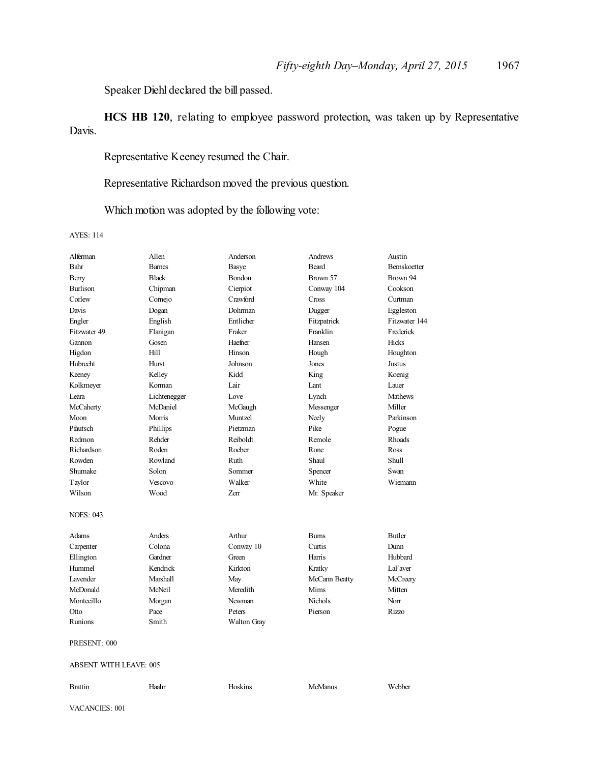Speaker Diehl declared the bill passed.

**HCS HB 120**, relating to employee password protection, was taken up by Representative Davis.

Representative Keeney resumed the Chair.

Representative Richardson moved the previous question.

Which motion was adopted by the following vote:

AYES: 114

| Alferman         | Allen                         | Anderson           | Andrews        | Austin        |  |
|------------------|-------------------------------|--------------------|----------------|---------------|--|
| Bahr             | <b>Barnes</b>                 | Basye              | <b>Beard</b>   | Bernskoetter  |  |
| Berry            | <b>Black</b>                  | Bondon             | Brown 57       | Brown 94      |  |
| <b>Burlison</b>  | Chipman                       | Cierpiot           | Conway 104     | Cookson       |  |
| Corlew           | Comejo                        | Crawford           | Cross          | Curtman       |  |
| Davis            | Dogan                         | Dohrman            | Dugger         | Eggleston     |  |
| Engler           | English                       | Entlicher          | Fitzpatrick    | Fitzwater 144 |  |
| Fitzwater 49     | Flanigan                      | Fraker             | Franklin       | Frederick     |  |
| Gannon           | Gosen                         | Haefner            | Hansen         | Hicks         |  |
| Higdon           | Hill                          | Hinson             | Hough          | Houghton      |  |
| Hubrecht         | Hurst                         | Johnson            | Jones          | Justus        |  |
| Keeney           | Kelley                        | Kidd               | King           | Koenig        |  |
| Kolkmeyer        | Korman                        | Lair               | Lant           | Lauer         |  |
| Leara            | Lichtenegger                  | Love               | Lynch          | Mathews       |  |
| McCaherty        | McDaniel                      | McGaugh            | Messenger      | Miller        |  |
| Moon             | Morris                        | Muntzel            | Neely          | Parkinson     |  |
| Pfautsch         | Phillips                      | Pietzman           | Pike           | Pogue         |  |
| Redmon           | Rehder                        | Reiboldt           | Remole         | Rhoads        |  |
| Richardson       | Roden                         | Roeber             | Rone           | Ross          |  |
| Rowden           | Rowland                       | Ruth               | Shaul          | Shull         |  |
| Shumake          | Solon                         | Sommer             | Spencer        | Swan          |  |
| Taylor           | Vescovo                       | Walker             | White          | Wiemann       |  |
| Wilson           | Wood                          | Zerr               | Mr. Speaker    |               |  |
| <b>NOES: 043</b> |                               |                    |                |               |  |
| Adams            | Anders                        | Arthur             | <b>Burns</b>   | <b>Butler</b> |  |
| Carpenter        | Colona                        | Conway 10          | Curtis         | Dunn          |  |
| Ellington        | Gardner                       | Green              | Harris         | Hubbard       |  |
| Hummel           | Kendrick                      | Kirkton            | Kratky         | LaFaver       |  |
| Lavender         | Marshall                      | May                | McCann Beatty  | McCreery      |  |
| McDonald         | McNeil                        | Meredith           | Mims           | Mitten        |  |
| Montecillo       | Morgan                        | Newman             | <b>Nichols</b> | Norr          |  |
| Otto             | Pace                          | Peters             | Pierson        | Rizzo         |  |
| Runions          | Smith                         | <b>Walton Gray</b> |                |               |  |
| PRESENT: 000     |                               |                    |                |               |  |
|                  | <b>ABSENT WITH LEAVE: 005</b> |                    |                |               |  |
| <b>Brattin</b>   | Haahr                         | Hoskins            | <b>McManus</b> | Webber        |  |
| VACANCIES: 001   |                               |                    |                |               |  |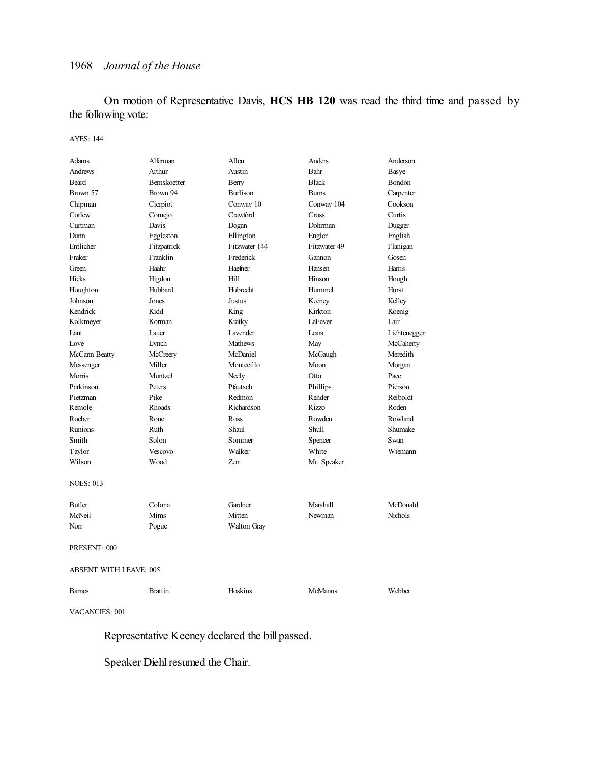On motion of Representative Davis, **HCS HB 120** was read the third time and passed by the following vote:

#### AYES: 144

| Adams                         | Alferman            | Allen              | Anders         | Anderson     |  |
|-------------------------------|---------------------|--------------------|----------------|--------------|--|
| Andrews                       | Arthur              | Austin             | Bahr           | Basye        |  |
| <b>Beard</b>                  | <b>Bernskoetter</b> | Berry              | <b>Black</b>   | Bondon       |  |
| Brown 57                      | Brown 94            | <b>Burlison</b>    | <b>Bums</b>    | Carpenter    |  |
| Chipman                       | Cierpiot            | Conway 10          | Conway 104     | Cookson      |  |
| Corlew                        | Comejo              | Crawford           | Cross          | Curtis       |  |
| Curtman                       | Davis               | Dogan              | Dohrman        | Dugger       |  |
| Dunn                          | Eggleston           | Ellington          | Engler         | English      |  |
| Entlicher                     | Fitzpatrick         | Fitzwater 144      | Fitzwater 49   | Flanigan     |  |
| Fraker                        | Franklin            | Frederick          | Gannon         | Gosen        |  |
| Green                         | Haahr               | Haefner            | Hansen         | Harris       |  |
| <b>Hicks</b>                  | Higdon              | Hi11               | Hinson         | Hough        |  |
| Houghton                      | Hubbard             | Hubrecht           | Hummel         | Hurst        |  |
| Johnson                       | Jones               | Justus             | Keeney         | Kelley       |  |
| Kendrick                      | Kidd                | King               | Kirkton        | Koenig       |  |
| Kolkmeyer                     | Korman              | Kratky             | LaFaver        | Lair         |  |
| Lant                          | Lauer               | Lavender           | Leara          | Lichtenegger |  |
| Love                          | Lynch               | <b>Mathews</b>     | May            | McCaherty    |  |
| McCann Beatty                 | McCreery            | McDaniel           | McGaugh        | Meredith     |  |
| Messenger                     | Miller              | Montecillo         | Moon           | Morgan       |  |
| Morris                        | Muntzel             | Neely              | Otto           | Pace         |  |
| Parkinson                     | Peters              | Pfautsch           | Phillips       | Pierson      |  |
| Pietzman                      | Pike                | Redmon             | Rehder         | Reiboldt     |  |
| Remole                        | Rhoads              | Richardson         | Rizzo          | Roden        |  |
| Roeber                        | Rone                | Ross               | Rowden         | Rowland      |  |
| Runions                       | Ruth                | Shaul              | <b>Shull</b>   | Shumake      |  |
| Smith                         | Solon               | Sommer             | Spencer        | Swan         |  |
| Taylor                        | Vescovo             | Walker             | White          | Wiemann      |  |
| Wilson                        | Wood                | Zerr               | Mr. Speaker    |              |  |
| <b>NOES: 013</b>              |                     |                    |                |              |  |
| <b>Butler</b>                 | Colona              | Gardner            | Marshall       | McDonald     |  |
| McNeil                        | Mims                | Mitten             | Newman         | Nichols      |  |
| Norr                          | Pogue               | <b>Walton Gray</b> |                |              |  |
| PRESENT: 000                  |                     |                    |                |              |  |
| <b>ABSENT WITH LEAVE: 005</b> |                     |                    |                |              |  |
| <b>Barnes</b>                 | <b>Brattin</b>      | Hoskins            | <b>McManus</b> | Webber       |  |

VACANCIES: 001

Representative Keeney declared the bill passed.

Speaker Diehl resumed the Chair.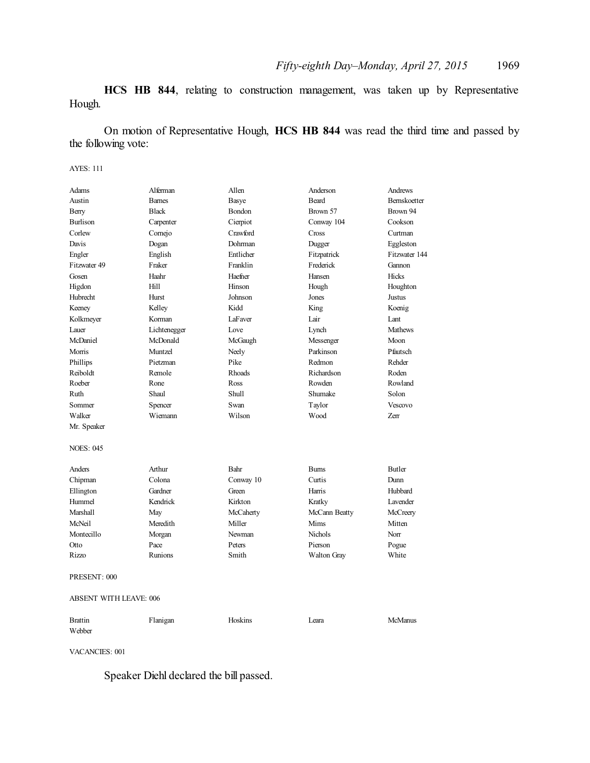**HCS HB 844**, relating to construction management, was taken up by Representative Hough.

On motion of Representative Hough, **HCS HB 844** was read the third time and passed by the following vote:

#### AYES: 111

| Adams                         | Alferman      | Allen          | Anderson           | Andrews        |
|-------------------------------|---------------|----------------|--------------------|----------------|
| Austin                        | <b>Barnes</b> | Basye          | <b>Beard</b>       | Bernskoetter   |
| Berry                         | <b>Black</b>  | Bondon         | Brown 57           | Brown 94       |
| <b>Burlison</b>               | Carpenter     | Cierpiot       | Conway 104         | Cookson        |
| Corlew                        | Cornejo       | Crawford       | Cross              | Curtman        |
| Davis                         | Dogan         | Dohrman        | Dugger             | Eggleston      |
| Engler                        | English       | Entlicher      | Fitzpatrick        | Fitzwater 144  |
| Fitzwater 49                  | Fraker        | Franklin       | Frederick          | Gannon         |
| Gosen                         | Haahr         | Haefner        | Hansen             | Hicks          |
| Higdon                        | Hill          | Hinson         | Hough              | Houghton       |
| Hubrecht                      | Hurst         | Johnson        | Jones              | Justus         |
| Keeney                        | Kelley        | Kidd           | King               | Koenig         |
| Kolkmeyer                     | Korman        | <b>LaFaver</b> | Lair               | Lant           |
| Lauer                         | Lichtenegger  | Love           | Lynch              | <b>Mathews</b> |
| McDaniel                      | McDonald      | McGaugh        | Messenger          | Moon           |
| Morris                        | Muntzel       | Neely          | Parkinson          | Pfautsch       |
| Phillips                      | Pietzman      | Pike           | Redmon             | Rehder         |
| Reiboldt                      | Remole        | Rhoads         | Richardson         | Roden          |
| Roeber                        | Rone          | Ross           | Rowden             | Rowland        |
| Ruth                          | Shaul         | Shull          | Shumake            | Solon          |
| Sommer                        | Spencer       | Swan           | Taylor             | Vescovo        |
| Walker                        | Wiemann       | Wilson         | Wood               | Zerr           |
| Mr. Speaker                   |               |                |                    |                |
|                               |               |                |                    |                |
| <b>NOES: 045</b>              |               |                |                    |                |
| Anders                        | Arthur        | Bahr           | <b>Burns</b>       | Butler         |
| Chipman                       | Colona        | Conway 10      | Curtis             | Dunn           |
| Ellington                     | Gardner       | Green          | Harris             | Hubbard        |
| Hummel                        | Kendrick      | Kirkton        | Kratky             | Lavender       |
| Marshall                      | May           | McCaherty      | McCann Beatty      | McCreery       |
| McNeil                        | Meredith      | Miller         | Mims               | Mitten         |
| Montecillo                    | Morgan        | Newman         | <b>Nichols</b>     | Norr           |
| Otto                          | Pace          | Peters         | Pierson            | Pogue          |
| Rizzo                         | Runions       | Smith          | <b>Walton Gray</b> | White          |
| PRESENT: 000                  |               |                |                    |                |
| <b>ABSENT WITH LEAVE: 006</b> |               |                |                    |                |
| <b>Brattin</b>                | Flanigan      | Hoskins        | Leara              | <b>McManus</b> |
| Webber                        |               |                |                    |                |

VACANCIES: 001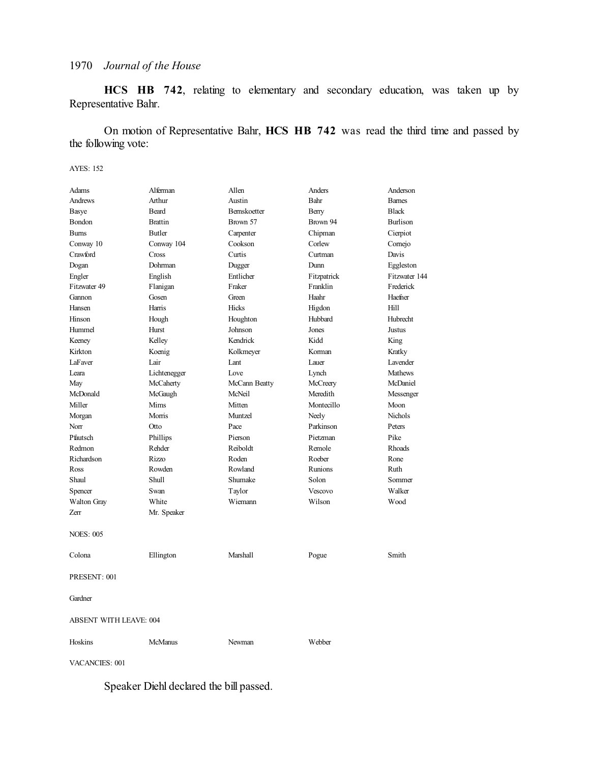**HCS HB 742**, relating to elementary and secondary education, was taken up by Representative Bahr.

On motion of Representative Bahr, **HCS HB 742** was read the third time and passed by the following vote:

#### AYES: 152

| <b>Adams</b>                  | Alferman       | Allen         | Anders      | Anderson        |  |
|-------------------------------|----------------|---------------|-------------|-----------------|--|
| Andrews                       | Arthur         | Austin        | Bahr        | <b>Bames</b>    |  |
| Basye                         | <b>Beard</b>   | Bernskoetter  | Berry       | <b>Black</b>    |  |
| Bondon                        | <b>Brattin</b> | Brown 57      | Brown 94    | <b>Burlison</b> |  |
| <b>Burns</b>                  | Butler         | Carpenter     | Chipman     | Cierpiot        |  |
| Conway 10                     | Conway 104     | Cookson       | Corlew      | Comejo          |  |
| Crawford                      | Cross          | Curtis        | Curtman     | Davis           |  |
| Dogan                         | Dohrman        | Dugger        | Dunn        | Eggleston       |  |
| Engler                        | English        | Entlicher     | Fitzpatrick | Fitzwater 144   |  |
| Fitzwater 49                  | Flanigan       | Fraker        | Franklin    | Frederick       |  |
| Gannon                        | Gosen          | Green         | Haahr       | Haefner         |  |
| Hansen                        | Harris         | Hicks         | Higdon      | Hill            |  |
| Hinson                        | Hough          | Houghton      | Hubbard     | Hubrecht        |  |
| Hummel                        | Hurst          | Johnson       | Jones       | Justus          |  |
| Keeney                        | Kelley         | Kendrick      | Kidd        | King            |  |
| Kirkton                       | Koenig         | Kolkmeyer     | Korman      | Kratky          |  |
| LaFaver                       | Lair           | Lant          | Lauer       | Lavender        |  |
| Leara                         | Lichtenegger   | Love          | Lynch       | <b>Mathews</b>  |  |
| May                           | McCaherty      | McCann Beatty | McCreery    | McDaniel        |  |
| McDonald                      | McGaugh        | McNeil        | Meredith    | Messenger       |  |
| Miller                        | Mims           | Mitten        | Montecillo  | Moon            |  |
| Morgan                        | Morris         | Muntzel       | Neely       | <b>Nichols</b>  |  |
| Norr                          | Otto           | Pace          | Parkinson   | Peters          |  |
| Pfautsch                      | Phillips       | Pierson       | Pietzman    | Pike            |  |
| Redmon                        | Rehder         | Reiboldt      | Remole      | <b>Rhoads</b>   |  |
| Richardson                    | Rizzo          | Roden         | Roeber      | Rone            |  |
| Ross                          | Rowden         | Rowland       | Runions     | Ruth            |  |
| Shaul                         | Shull          | Shumake       | Solon       | Sommer          |  |
| Spencer                       | Swan           | Taylor        | Vescovo     | Walker          |  |
| <b>Walton Gray</b>            | White          | Wiemann       | Wilson      | Wood            |  |
| Zerr                          | Mr. Speaker    |               |             |                 |  |
| <b>NOES: 005</b>              |                |               |             |                 |  |
| Colona                        | Ellington      | Marshall      | Pogue       | Smith           |  |
| PRESENT: 001                  |                |               |             |                 |  |
| Gardner                       |                |               |             |                 |  |
| <b>ABSENT WITH LEAVE: 004</b> |                |               |             |                 |  |
| Hoskins                       | McManus        | Newman        | Webber      |                 |  |

VACANCIES: 001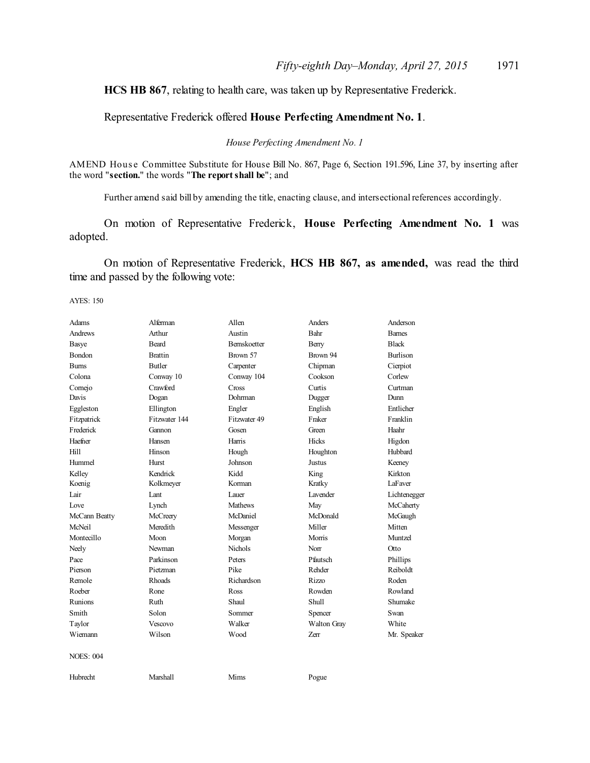**HCS HB 867**, relating to health care, was taken up by Representative Frederick.

Representative Frederick offered **House Perfecting Amendment No. 1**.

*House Perfecting Amendment No. 1*

AMEND House Committee Substitute for House Bill No. 867, Page 6, Section 191.596, Line 37, by inserting after the word "**section.**" the words "**The reportshall be**"; and

Further amend said bill by amending the title, enacting clause, and intersectional references accordingly.

On motion of Representative Frederick, **House Perfecting Amendment No. 1** was adopted.

On motion of Representative Frederick, **HCS HB 867, as amended,** was read the third time and passed by the following vote:

AYES: 150

| Adams            | Alferman       | Allen               | Anders        | Anderson        |
|------------------|----------------|---------------------|---------------|-----------------|
| <b>Andrews</b>   | Arthur         | Austin              | Bahr          | <b>Barnes</b>   |
| Basye            | <b>Beard</b>   | <b>Bernskoetter</b> | Berry         | <b>Black</b>    |
| <b>Bondon</b>    | <b>Brattin</b> | Brown 57            | Brown 94      | <b>Burlison</b> |
| <b>Burns</b>     | <b>Butler</b>  | Carpenter           | Chipman       | Cierpiot        |
| Colona           | Conway 10      | Conway 104          | Cookson       | Corlew          |
| Cornejo          | Crawford       | Cross               | Curtis        | Curtman         |
| Davis            | Dogan          | Dohrman             | Dugger        | Dunn            |
| Eggleston        | Ellington      | Engler              | English       | Entlicher       |
| Fitzpatrick      | Fitzwater 144  | Fitzwater 49        | Fraker        | Franklin        |
| Frederick        | Gannon         | Gosen               | Green         | Haahr           |
| Haefner          | Hansen         | Harris              | Hicks         | Higdon          |
| Hill             | Hinson         | Hough               | Houghton      | Hubbard         |
| Hummel           | <b>Hurst</b>   | Johnson             | <b>Justus</b> | Keeney          |
| Kelley           | Kendrick       | Kidd                | King          | Kirkton         |
| Koenig           | Kolkmeyer      | Korman              | Kratky        | LaFaver         |
| Lair             | Lant           | Lauer               | Lavender      | Lichtenegger    |
| Love             | Lynch          | <b>Mathews</b>      | May           | McCaherty       |
| McCann Beatty    | McCreery       | McDaniel            | McDonald      | McGaugh         |
| McNeil           | Meredith       | Messenger           | Miller        | Mitten          |
| Montecillo       | Moon           | Morgan              | Morris        | Muntzel         |
| Neely            | Newman         | <b>Nichols</b>      | Norr          | Otto            |
| Pace             | Parkinson      | Peters              | Pfautsch      | Phillips        |
| Pierson          | Pietzman       | Pike                | Rehder        | Reiboldt        |
| Remole           | Rhoads         | Richardson          | Rizzo         | Roden           |
| Roeber           | Rone           | Ross                | Rowden        | Rowland         |
| Runions          | Ruth           | Shaul               | Shull         | Shumake         |
| Smith            | Solon          | Sommer              | Spencer       | Swan            |
| Taylor           | Vescovo        | Walker              | Walton Gray   | White           |
| Wiemann          | Wilson         | Wood                | Zerr          | Mr. Speaker     |
| <b>NOES: 004</b> |                |                     |               |                 |
| Hubrecht         | Marshall       | Mims                | Pogue         |                 |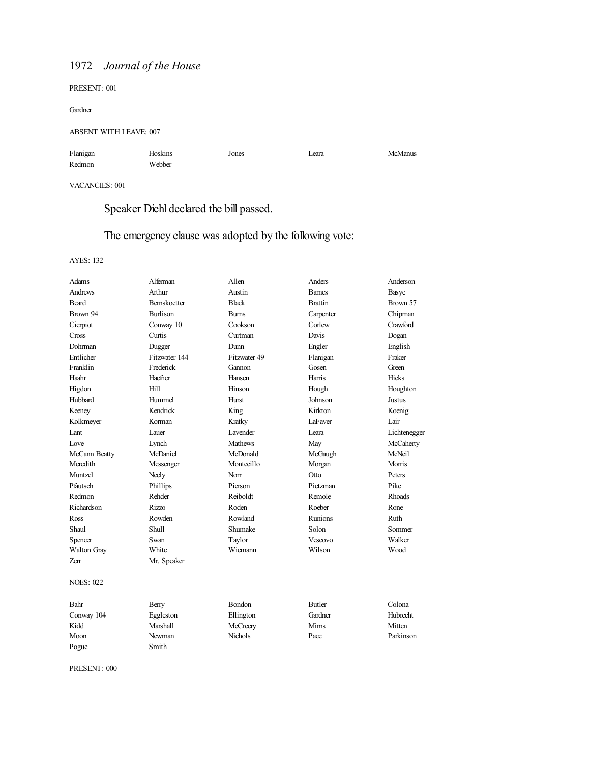PRESENT: 001

Gardner

### ABSENT WITH LEAVE: 007

| Flanigan | Hoskins | Jones | Leara | McManus |
|----------|---------|-------|-------|---------|
| Redmon   | Webber  |       |       |         |

VACANCIES: 001

Speaker Diehl declared the bill passed.

# The emergency clause was adopted by the following vote:

### AYES: 132

| Adams            | Alferman        | Allen          | Anders         | Anderson     |
|------------------|-----------------|----------------|----------------|--------------|
| Andrews          | Arthur          | Austin         | <b>Barnes</b>  | <b>Basye</b> |
| Beard            | Bernskoetter    | <b>Black</b>   | <b>Brattin</b> | Brown 57     |
| Brown 94         | <b>Burlison</b> | <b>Bums</b>    | Carpenter      | Chipman      |
| Cierpiot         | Conway 10       | Cookson        | Corlew         | Crawford     |
| Cross            | Curtis          | Curtman        | Davis          | Dogan        |
| Dohrman          | Dugger          | Dunn           | Engler         | English      |
| Entlicher        | Fitzwater 144   | Fitzwater 49   | Flanigan       | Fraker       |
| Franklin         | Frederick       | Gannon         | Gosen          | Green        |
| Haahr            | Haefner         | Hansen         | Harris         | Hicks        |
| Higdon           | Hill            | Hinson         | Hough          | Houghton     |
| Hubbard          | Hummel          | Hurst          | Johnson        | Justus       |
| Keeney           | Kendrick        | King           | Kirkton        | Koenig       |
| Kolkmeyer        | Korman          | Kratky         | <b>LaFaver</b> | Lair         |
| Lant             | Lauer           | Lavender       | Leara          | Lichtenegger |
| Love             | Lynch           | <b>Mathews</b> | May            | McCaherty    |
| McCann Beatty    | McDaniel        | McDonald       | McGaugh        | McNeil       |
| Meredith         | Messenger       | Montecillo     | Morgan         | Morris       |
| Muntzel          | Neely           | Norr           | Otto           | Peters       |
| Pfautsch         | Phillips        | Pierson        | Pietzman       | Pike         |
| Redmon           | Rehder          | Reiboldt       | Remole         | Rhoads       |
| Richardson       | <b>Rizzo</b>    | Roden          | Roeber         | Rone         |
| Ross             | Rowden          | Rowland        | <b>Runions</b> | Ruth         |
| Shaul            | Shull           | Shumake        | Solon          | Sommer       |
| Spencer          | Swan            | Taylor         | Vescovo        | Walker       |
| Walton Gray      | White           | Wiemann        | Wilson         | Wood         |
| Zerr             | Mr. Speaker     |                |                |              |
| <b>NOES: 022</b> |                 |                |                |              |
| Bahr             | Berry           | Bondon         | <b>Butler</b>  | Colona       |
| Conway 104       | Eggleston       | Ellington      | Gardner        | Hubrecht     |
| Kidd             | Marshall        | McCreery       | Mims           | Mitten       |
| Moon             | Newman          | <b>Nichols</b> | Pace           | Parkinson    |
| Pogue            | Smith           |                |                |              |

PRESENT: 000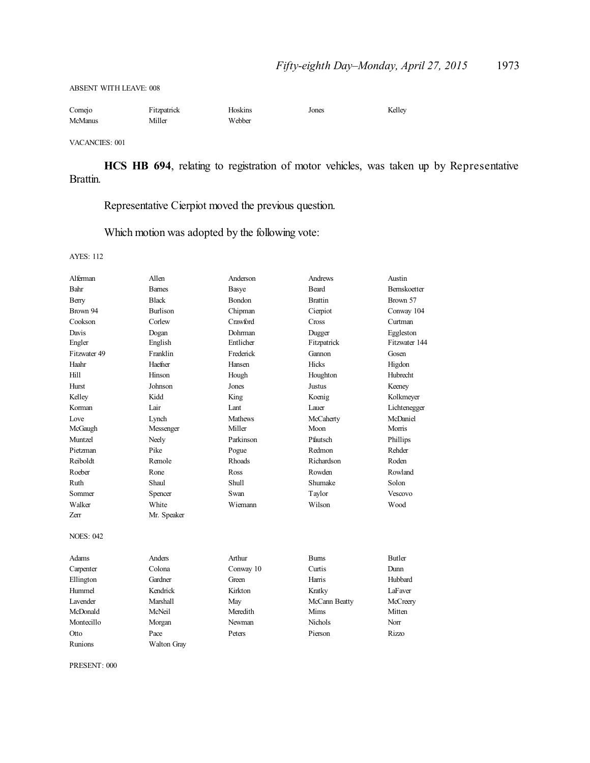ABSENT WITH LEAVE: 008

| Cornejo        | Fitzpatrick | Hoskins | Jones | Kelley |
|----------------|-------------|---------|-------|--------|
| <b>McManus</b> | Miller      | Webber  |       |        |

VACANCIES: 001

**HCS HB 694**, relating to registration of motor vehicles, was taken up by Representative Brattin.

Representative Cierpiot moved the previous question.

Which motion was adopted by the following vote:

AYES: 112

| Alferman         | Allen           | Anderson       | Andrews        | Austin          |
|------------------|-----------------|----------------|----------------|-----------------|
| Bahr             | <b>Barnes</b>   | <b>Basye</b>   | Beard          | Bernskoetter    |
| Berry            | <b>Black</b>    | Bondon         | <b>Brattin</b> | Brown 57        |
| Brown 94         | <b>Burlison</b> | Chipman        | Cierpiot       | Conway 104      |
| Cookson          | Corlew          | Crawford       | Cross          | Curtman         |
| Davis            | Dogan           | Dohrman        | Dugger         | Eggleston       |
| Engler           | English         | Entlicher      | Fitzpatrick    | Fitzwater 144   |
| Fitzwater 49     | Franklin        | Frederick      | Gannon         | Gosen           |
| Haahr            | Haefner         | Hansen         | Hicks          | Higdon          |
| Hill             | Hinson          | Hough          | Houghton       | <b>Hubrecht</b> |
| Hurst            | Johnson         | Jones          | Justus         | Keeney          |
| Kelley           | Kidd            | King           | Koenig         | Kolkmeyer       |
| Korman           | Lair            | Lant           | Lauer          | Lichtenegger    |
| Love             | Lynch           | <b>Mathews</b> | McCaherty      | McDaniel        |
| McGaugh          | Messenger       | Miller         | Moon           | Morris          |
| Muntzel          | Neely           | Parkinson      | Pfautsch       | Phillips        |
| Pietzman         | Pike            | Pogue          | Redmon         | Rehder          |
| Reiboldt         | Remole          | <b>Rhoads</b>  | Richardson     | Roden           |
| Roeber           | Rone            | Ross           | Rowden         | Rowland         |
| Ruth             | Shaul           | Shull          | Shumake        | Solon           |
| Sommer           | Spencer         | Swan           | Taylor         | Vescovo         |
| Walker           | White           | Wiemann        | Wilson         | Wood            |
| Zerr             | Mr. Speaker     |                |                |                 |
| <b>NOES: 042</b> |                 |                |                |                 |
| Adams            | Anders          | Arthur         | <b>Burns</b>   | <b>Butler</b>   |
| Carpenter        | Colona          | Conway 10      | Curtis         | Dunn            |
| Ellington        | Gardner         | Green          | Harris         | Hubbard         |
| Hummel           | Kendrick        | Kirkton        | Kratky         | LaFaver         |
| Lavender         | Marshall        | May            | McCann Beatty  | McCreery        |
| McDonald         | McNeil          | Meredith       | Mims           | Mitten          |
| Montecillo       | Morgan          | Newman         | <b>Nichols</b> | Norr            |
| Otto             | Pace            | Peters         | Pierson        | Rizzo           |
| Runions          | Walton Grav     |                |                |                 |

PRESENT: 000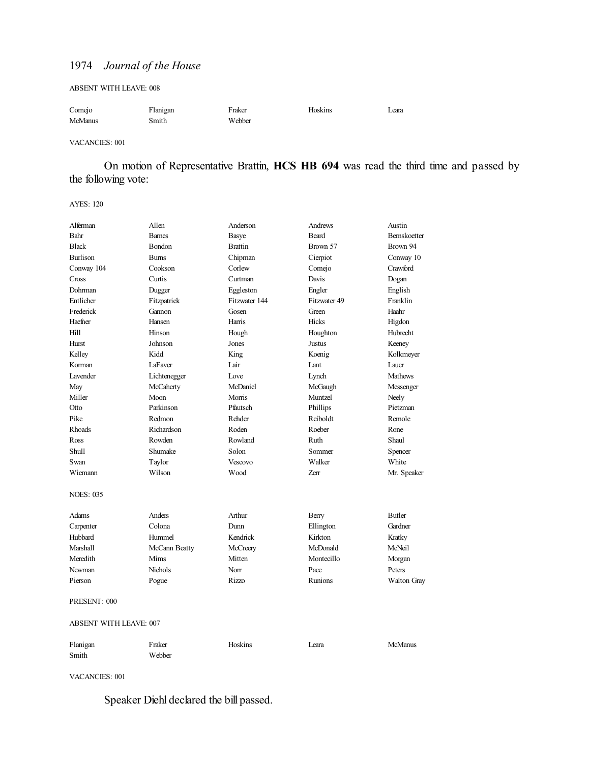#### ABSENT WITH LEAVE: 008

| Cornejo | Flanigan | Fraker | Hoskins | Leara |
|---------|----------|--------|---------|-------|
| McManus | Smith    | Webber |         |       |

#### VACANCIES: 001

On motion of Representative Brattin, **HCS HB 694** was read the third time and passed by the following vote:

#### AYES: 120

| Alferman         | Allen                         | Anderson       | Andrews      | Austin         |  |
|------------------|-------------------------------|----------------|--------------|----------------|--|
| Bahr             | <b>Barnes</b>                 | Basye          | Beard        | Bernskoetter   |  |
| <b>Black</b>     | <b>Bondon</b>                 | <b>Brattin</b> | Brown 57     | Brown 94       |  |
| <b>Burlison</b>  | <b>Burns</b>                  | Chipman        | Cierpiot     | Conway 10      |  |
| Conway 104       | Cookson                       | Corlew         | Comejo       | Crawford       |  |
| Cross            | Curtis                        | Curtman        | Davis        | Dogan          |  |
| Dohrman          | Dugger                        | Eggleston      | Engler       | English        |  |
| Entlicher        | Fitzpatrick                   | Fitzwater 144  | Fitzwater 49 | Franklin       |  |
| Frederick        | Gannon                        | Gosen          | Green        | Haahr          |  |
| Haefner          | Hansen                        | Harris         | Hicks        | Higdon         |  |
| Hill             | Hinson                        | Hough          | Houghton     | Hubrecht       |  |
| Hurst            | Johnson                       | Jones          | Justus       | Keeney         |  |
| Kelley           | Kidd                          | King           | Koenig       | Kolkmeyer      |  |
| Korman           | LaFaver                       | Lair           | Lant         | Lauer          |  |
| Lavender         | Lichtenegger                  | Love           | Lynch        | <b>Mathews</b> |  |
| May              | McCaherty                     | McDaniel       | McGaugh      | Messenger      |  |
| Miller           | Moon                          | Morris         | Muntzel      | Neely          |  |
| Otto             | Parkinson                     | Pfautsch       | Phillips     | Pietzman       |  |
| Pike             | Redmon                        | Rehder         | Reiboldt     | Remole         |  |
| Rhoads           | Richardson                    | Roden          | Roeber       | Rone           |  |
| Ross             | Rowden                        | Rowland        | Ruth         | Shaul          |  |
| Shull            | Shumake                       | Solon          | Sommer       | Spencer        |  |
| Swan             | Taylor                        | Vescovo        | Walker       | White          |  |
| Wiemann          | Wilson                        | Wood           | <b>Zerr</b>  | Mr. Speaker    |  |
| <b>NOES: 035</b> |                               |                |              |                |  |
| Adams            | Anders                        | Arthur         | Berry        | Butler         |  |
| Carpenter        | Colona                        | Dunn           | Ellington    | Gardner        |  |
| Hubbard          | Hummel                        | Kendrick       | Kirkton      | Kratky         |  |
| Marshall         | McCann Beatty                 | McCreery       | McDonald     | McNeil         |  |
| Meredith         | Mims                          | Mitten         | Montecillo   | Morgan         |  |
| Newman           | <b>Nichols</b>                | Norr           | Pace         | Peters         |  |
| Pierson          | Pogue                         | <b>Rizzo</b>   | Runions      | Walton Gray    |  |
| PRESENT: 000     |                               |                |              |                |  |
|                  | <b>ABSENT WITH LEAVE: 007</b> |                |              |                |  |
| Flanigan         | Fraker                        | Hoskins        | Leara        | <b>McManus</b> |  |
| Smith            | Webber                        |                |              |                |  |

VACANCIES: 001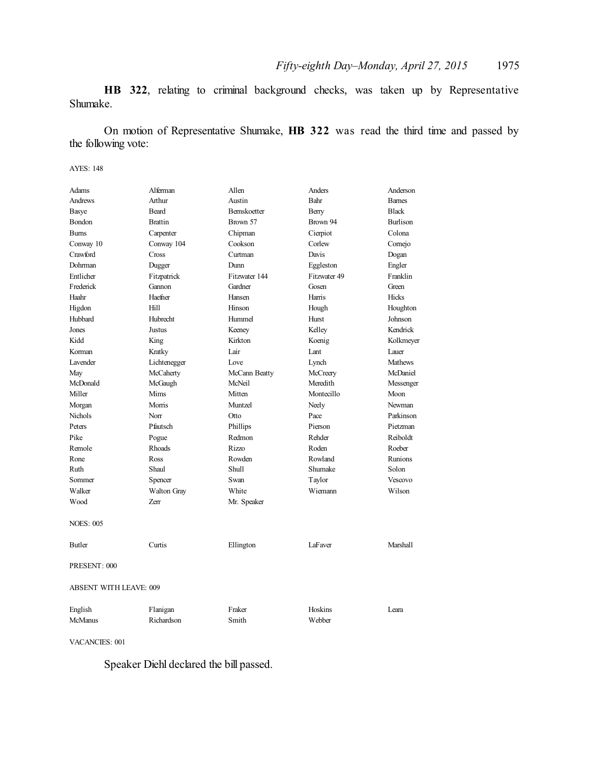**HB 322**, relating to criminal background checks, was taken up by Representative Shumake.

On motion of Representative Shumake, **HB 322** was read the third time and passed by the following vote:

#### AYES: 148

| Adams                         | Alferman       | Allen               | Anders       | Anderson        |  |
|-------------------------------|----------------|---------------------|--------------|-----------------|--|
| Andrews                       | Arthur         | Austin              | Bahr         | <b>Barnes</b>   |  |
| <b>Basye</b>                  | <b>Beard</b>   | <b>Bernskoetter</b> | Berry        | <b>Black</b>    |  |
| Bondon                        | <b>Brattin</b> | Brown 57            | Brown 94     | <b>Burlison</b> |  |
| <b>Burns</b>                  | Carpenter      | Chipman             | Cierpiot     | Colona          |  |
| Conway 10                     | Conway 104     | Cookson             | Corlew       | Cornejo         |  |
| Crawford                      | Cross          | Curtman             | Davis        | Dogan           |  |
| Dohrman                       | Dugger         | Dunn                | Eggleston    | Engler          |  |
| Entlicher                     | Fitzpatrick    | Fitzwater 144       | Fitzwater 49 | Franklin        |  |
| Frederick                     | Gannon         | Gardner             | Gosen        | Green           |  |
| Haahr                         | Haefner        | Hansen              | Harris       | Hicks           |  |
| Higdon                        | Hill           | Hinson              | Hough        | Houghton        |  |
| Hubbard                       | Hubrecht       | Hummel              | Hurst        | Johnson         |  |
| Jones                         | Justus         | Keeney              | Kelley       | Kendrick        |  |
| Kidd                          | King           | Kirkton             | Koenig       | Kolkmeyer       |  |
| Korman                        | Kratky         | Lair                | Lant         | Lauer           |  |
| Lavender                      | Lichtenegger   | Love                | Lynch        | <b>Mathews</b>  |  |
| May                           | McCaherty      | McCann Beatty       | McCreery     | McDaniel        |  |
| McDonald                      | McGaugh        | McNeil              | Meredith     | Messenger       |  |
| Miller                        | Mims           | Mitten              | Montecillo   | Moon            |  |
| Morgan                        | Morris         | Muntzel             | Neely        | Newman          |  |
| <b>Nichols</b>                | Norr           | Otto                | Pace         | Parkinson       |  |
| Peters                        | Pfautsch       | Phillips            | Pierson      | Pietzman        |  |
| Pike                          | Pogue          | Redmon              | Rehder       | Reiboldt        |  |
| Remole                        | Rhoads         | <b>Rizzo</b>        | Roden        | Roeber          |  |
| Rone                          | Ross           | Rowden              | Rowland      | <b>Runions</b>  |  |
| Ruth                          | Shaul          | <b>Shull</b>        | Shumake      | Solon           |  |
| Sommer                        | Spencer        | Swan                | Taylor       | Vescovo         |  |
| Walker                        | Walton Gray    | White               | Wiemann      | Wilson          |  |
| Wood                          | Zerr           | Mr. Speaker         |              |                 |  |
| <b>NOES: 005</b>              |                |                     |              |                 |  |
| <b>Butler</b>                 | Curtis         | Ellington           | LaFaver      | Marshall        |  |
| PRESENT: 000                  |                |                     |              |                 |  |
| <b>ABSENT WITH LEAVE: 009</b> |                |                     |              |                 |  |
| English                       | Flanigan       | Fraker              | Hoskins      | Leara           |  |
| <b>McManus</b>                | Richardson     | Smith               | Webber       |                 |  |

VACANCIES: 001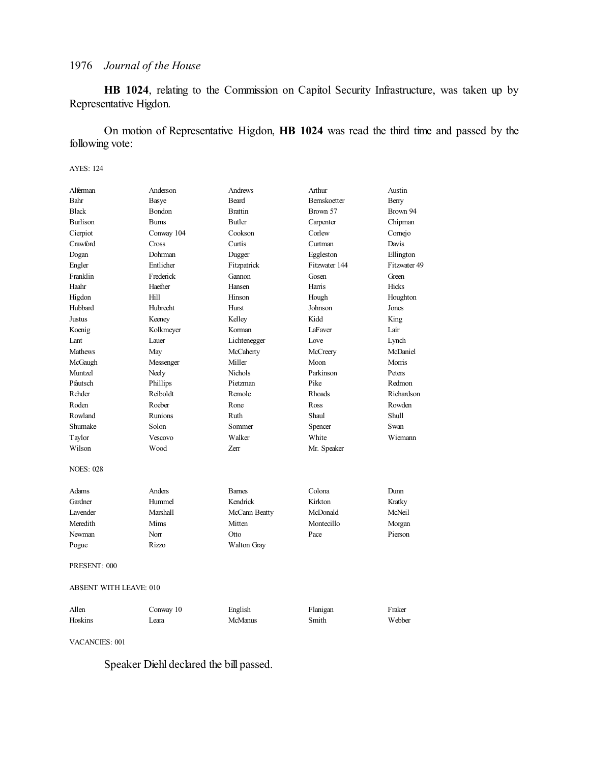**HB 1024**, relating to the Commission on Capitol Security Infrastructure, was taken up by Representative Higdon.

On motion of Representative Higdon, **HB 1024** was read the third time and passed by the following vote:

#### AYES: 124

| Alferman               | Anderson    | Andrews        | Arthur        | Austin       |  |
|------------------------|-------------|----------------|---------------|--------------|--|
| Bahr                   | Basye       | <b>Beard</b>   | Bernskoetter  | Berry        |  |
| <b>Black</b>           | Bondon      | <b>Brattin</b> | Brown 57      | Brown 94     |  |
| <b>Burlison</b>        | <b>Bums</b> | <b>Butler</b>  | Carpenter     | Chipman      |  |
| Cierpiot               | Conway 104  | Cookson        | Corlew        | Cornejo      |  |
| Crawford               | Cross       | Curtis         | Curtman       | Davis        |  |
| Dogan                  | Dohrman     | Dugger         | Eggleston     | Ellington    |  |
| Engler                 | Entlicher   | Fitzpatrick    | Fitzwater 144 | Fitzwater 49 |  |
| Franklin               | Frederick   | Gannon         | Gosen         | Green        |  |
| Haahr                  | Haefner     | Hansen         | Harris        | <b>Hicks</b> |  |
| Higdon                 | Hill        | Hinson         | Hough         | Houghton     |  |
| Hubbard                | Hubrecht    | Hurst          | Johnson       | Jones        |  |
| Justus                 | Keeney      | Kelley         | Kidd          | King         |  |
| Koenig                 | Kolkmeyer   | Korman         | LaFaver       | Lair         |  |
| Lant                   | Lauer       | Lichtenegger   | Love          | Lynch        |  |
| <b>Mathews</b>         | May         | McCaherty      | McCreery      | McDaniel     |  |
| McGaugh                | Messenger   | Miller         | Moon          | Morris       |  |
| Muntzel                | Neely       | Nichols        | Parkinson     | Peters       |  |
| Pfautsch               | Phillips    | Pietzman       | Pike          | Redmon       |  |
| Rehder                 | Reiboldt    | Remole         | <b>Rhoads</b> | Richardson   |  |
| Roden                  | Roeber      | Rone           | Ross          | Rowden       |  |
| Rowland                | Runions     | Ruth           | Shaul         | Shull        |  |
| Shumake                | Solon       | Sommer         | Spencer       | Swan         |  |
| Taylor                 | Vescovo     | Walker         | White         | Wiemann      |  |
| Wilson                 | Wood        | Zerr           | Mr. Speaker   |              |  |
| <b>NOES: 028</b>       |             |                |               |              |  |
| Adams                  | Anders      | <b>Barnes</b>  | Colona        | Dunn         |  |
| Gardner                | Hummel      | Kendrick       | Kirkton       | Kratky       |  |
| Lavender               | Marshall    | McCann Beatty  | McDonald      | McNeil       |  |
| Meredith               | Mims        | Mitten         | Montecillo    | Morgan       |  |
| Newman                 | Norr        | Otto           | Pace          | Pierson      |  |
| Pogue                  | Rizzo       | Walton Gray    |               |              |  |
| PRESENT: 000           |             |                |               |              |  |
| ABSENT WITH LEAVE: 010 |             |                |               |              |  |

| Allen   | Conway 10 | English | Flanigan | Fraker |
|---------|-----------|---------|----------|--------|
| Hoskins | Leara     | McManus | Smith    | Webber |

VACANCIES: 001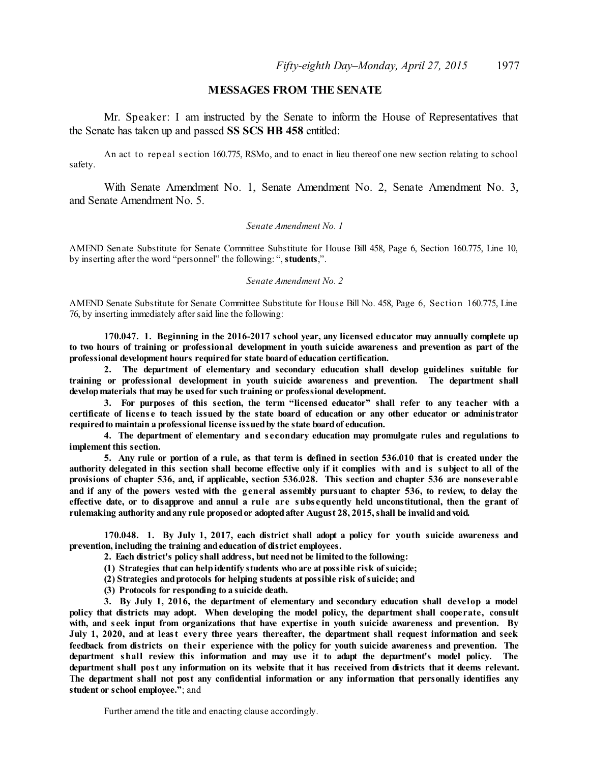### **MESSAGES FROM THE SENATE**

Mr. Speaker: I am instructed by the Senate to inform the House of Representatives that the Senate has taken up and passed **SS SCS HB 458** entitled:

An act to repeal s ection 160.775, RSMo, and to enact in lieu thereof one new section relating to school safety.

With Senate Amendment No. 1, Senate Amendment No. 2, Senate Amendment No. 3, and Senate Amendment No. 5.

#### *Senate Amendment No. 1*

AMEND Senate Substitute for Senate Committee Substitute for House Bill 458, Page 6, Section 160.775, Line 10, by inserting after the word "personnel" the following: ", **students**,".

#### *Senate Amendment No. 2*

AMEND Senate Substitute for Senate Committee Substitute for House Bill No. 458, Page 6, Section 160.775, Line 76, by inserting immediately aftersaid line the following:

**170.047. 1. Beginning in the 2016-2017 school year, any licensed educator may annually complete up** to two hours of training or professional development in youth suicide awareness and prevention as part of the **professional development hours requiredfor state boardof education certification.**

**2. The department of elementary and secondary education shall develop guidelines suitable for training or professional development in youth suicide awareness and prevention. The department shall developmaterials that may be usedfor such training or professional development.**

**3. For purposes of this section, the term "licensed educator" shall refer to any teacher with a** certificate of license to teach issued by the state board of education or any other educator or administrator **requiredto maintain a professional license issuedby the state boardof education.**

**4. The department of elementary and s econdary education may promulgate rules and regulations to implement this section.**

5. Any rule or portion of a rule, as that term is defined in section 536.010 that is created under the authority delegated in this section shall become effective only if it complies with and is subject to all of the **provisions of chapter 536, and, if applicable, section 536.028. This section and chapter 536 are nonseverable** and if any of the powers vested with the general assembly pursuant to chapter 536, to review, to delay the effective date, or to disapprove and annul a rule are subsequently held unconstitutional, then the grant of **rulemaking authority andany rule proposedor adoptedafter August 28, 2015,shall be invalidandvoid.**

**170.048. 1. By July 1, 2017, each district shall adopt a policy for youth suicide awareness and prevention, including the training andeducation of district employees.**

**2. Each district's policy shall address, but neednot be limitedto the following:**

**(1) Strategies that can helpidentify students who are at possible risk ofsuicide;**

**(2) Strategies andprotocols for helping students at possible risk ofsuicide; and**

**(3) Protocols for responding to a suicide death.**

**3. By July 1, 2016, the department of elementary and secondary education shall develop a model policy that districts may adopt. When developing the model policy, the department shall cooperate, consult** with, and seek input from organizations that have expertise in youth suicide awareness and prevention. By July 1, 2020, and at least every three years thereafter, the department shall request information and seek **feedback from districts on their experience with the policy for youth suicide awareness and prevention. The department shall review this information and may use it to adapt the department's model policy. The** department shall post any information on its website that it has received from districts that it deems relevant. **The department shall not post any confidential information or any information that personally identifies any student or school employee."**; and

Further amend the title and enacting clause accordingly.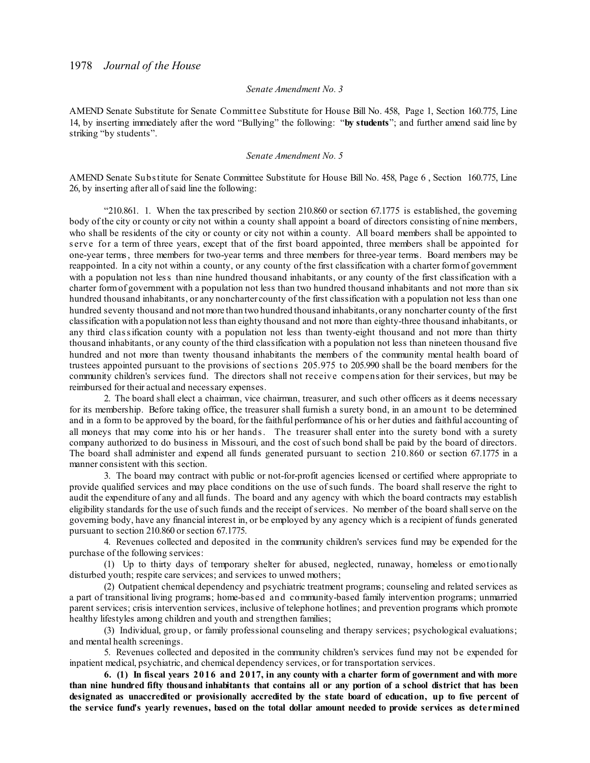#### *Senate Amendment No. 3*

AMEND Senate Substitute for Senate Committee Substitute for House Bill No. 458, Page 1, Section 160.775, Line 14, by inserting immediately after the word "Bullying" the following: "**by students**"; and further amend said line by striking "by students".

#### *Senate Amendment No. 5*

AMEND Senate Substitute for Senate Committee Substitute for House Bill No. 458, Page 6 , Section 160.775, Line 26, by inserting after all ofsaid line the following:

"210.861. 1. When the tax prescribed by section 210.860 or section 67.1775 is established, the governing body of the city or county or city not within a county shall appoint a board of directors consisting of nine members, who shall be residents of the city or county or city not within a county. All board members shall be appointed to s erve for a term of three years, except that of the first board appointed, three members shall be appointed for one-year terms, three members for two-year terms and three members for three-year terms. Board members may be reappointed. In a city not within a county, or any county of the first classification with a charter formof government with a population not less than nine hundred thousand inhabitants, or any county of the first classification with a charter formof government with a population not less than two hundred thousand inhabitants and not more than six hundred thousand inhabitants, or any noncharter county of the first classification with a population not less than one hundred seventy thousand and not more than two hundred thousand inhabitants,or any noncharter county of the first classification with a population not less than eighty thousand and not more than eighty-three thousand inhabitants, or any third classification county with a population not less than twenty-eight thousand and not more than thirty thousand inhabitants, or any county of the third classification with a population not less than nineteen thousand five hundred and not more than twenty thousand inhabitants the members of the community mental health board of trustees appointed pursuant to the provisions of sections 205.975 to 205.990 shall be the board members for the community children's services fund. The directors shall not receive compens ation for their services, but may be reimbursed for their actual and necessary expenses.

2. The board shall elect a chairman, vice chairman, treasurer, and such other officers as it deems necessary for its membership. Before taking office, the treasurer shall furnish a surety bond, in an amount to be determined and in a form to be approved by the board, for the faithful performance of his or her duties and faithful accounting of all moneys that may come into his or her hands. The treasurer shall enter into the surety bond with a surety company authorized to do business in Missouri, and the cost ofsuch bond shall be paid by the board of directors. The board shall administer and expend all funds generated pursuant to section 210.860 or section 67.1775 in a manner consistent with this section.

3. The board may contract with public or not-for-profit agencies licensed or certified where appropriate to provide qualified services and may place conditions on the use ofsuch funds. The board shall reserve the right to audit the expenditure of any and allfunds. The board and any agency with which the board contracts may establish eligibility standards for the use of such funds and the receipt of services. No member of the board shall serve on the governing body, have any financial interest in, or be employed by any agency which is a recipient of funds generated pursuant to section 210.860 or section 67.1775.

4. Revenues collected and deposited in the community children's services fund may be expended for the purchase of the following services:

(1) Up to thirty days of temporary shelter for abused, neglected, runaway, homeless or emotionally disturbed youth; respite care services; and services to unwed mothers;

(2) Outpatient chemical dependency and psychiatric treatment programs; counseling and related services as a part of transitional living programs; home-bas ed and community-based family intervention programs; unmarried parent services; crisis intervention services, inclusive of telephone hotlines; and prevention programs which promote healthy lifestyles among children and youth and strengthen families;

(3) Individual, group, or family professional counseling and therapy services; psychological evaluations; and mental health screenings.

5. Revenues collected and deposited in the community children's services fund may not be expended for inpatient medical, psychiatric, and chemical dependency services, or for transportation services.

6. (1) In fiscal years 2016 and 2017, in any county with a charter form of government and with more than nine hundred fifty thousand inhabitants that contains all or any portion of a school district that has been designated as unaccredited or provisionally accredited by the state board of education, up to five percent of **the service fund's yearly revenues, based on the total dollar amount needed to provide services as determined**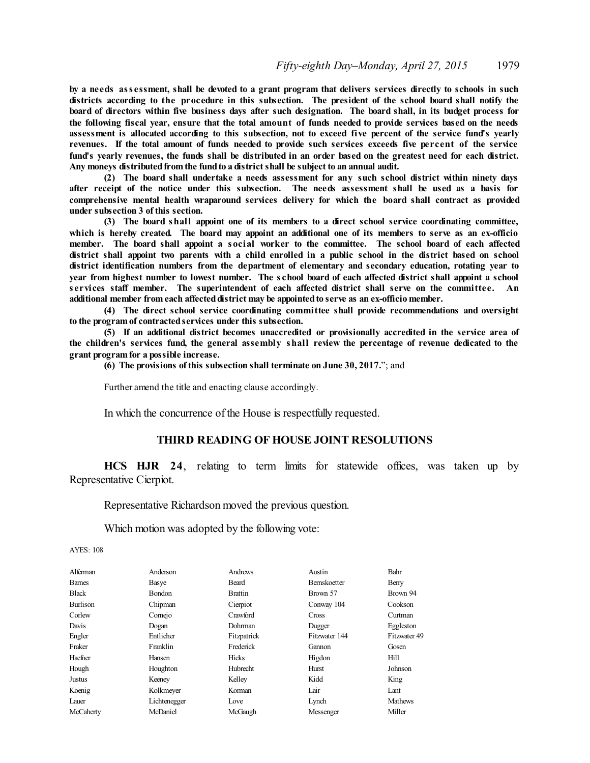by a needs assessment, shall be devoted to a grant program that delivers services directly to schools in such districts according to the procedure in this subsection. The president of the school board shall notify the board of directors within five business days after such designation. The board shall, in its budget process for the following fiscal year, ensure that the total amount of funds needed to provide services based on the needs assessment is allocated according to this subsection, not to exceed five percent of the service fund's yearly revenues. If the total amount of funds needed to provide such services exceeds five percent of the service fund's yearly revenues, the funds shall be distributed in an order based on the greatest need for each district. **Any moneys distributedfrom the fundto a districtshall be subject to an annual audit.**

**(2) The board shall undertake a needs assessment for any such school district within ninety days** after receipt of the notice under this subsection. The needs assessment shall be used as a basis for **comprehensive mental health wraparound services delivery for which the board shall contract as provided under subsection 3 of this section.**

**(3) The board shall appoint one of its members to a direct school service coordinating committee, which is hereby created. The board may appoint an additional one of its members to serve as an ex-officio** member. The board shall appoint a social worker to the committee. The school board of each affected district shall appoint two parents with a child enrolled in a public school in the district based on school **district identification numbers from the department of elementary and secondary education, rotating year to** vear from highest number to lowest number. The school board of each affected district shall appoint a school **s ervices staff member. The superintendent of each affected district shall serve on the committee. An additional member from each affecteddistrict may be appointedto serve as an ex-officio member.**

**(4) The direct school service coordinating committee shall provide recommendations and oversight to the program of contractedservices under this subsection.**

**(5) If an additional district becomes unaccredited or provisionally accredited in the service area of the children's services fund, the general assembly shall review the percentage of revenue dedicated to the grant program for a possible increase.**

**(6) The provisions of this subsection shall terminate on June 30, 2017.**"; and

Further amend the title and enacting clause accordingly.

In which the concurrence of the House is respectfully requested.

## **THIRD READING OF HOUSE JOINT RESOLUTIONS**

**HCS HJR 24**, relating to term limits for statewide offices, was taken up by Representative Cierpiot.

Representative Richardson moved the previous question.

Which motion was adopted by the following vote:

| Alferman        | Anderson      | Andrews        | Austin              | Bahr           |
|-----------------|---------------|----------------|---------------------|----------------|
| <b>Barnes</b>   | Basye         | Beard          | <b>Bernskoetter</b> | Berry          |
| <b>Black</b>    | <b>Bondon</b> | <b>Brattin</b> | Brown 57            | Brown 94       |
| <b>Burlison</b> | Chipman       | Cierpiot       | Conway 104          | Cookson        |
| Corlew          | Comejo        | Crawford       | Cross               | Curtman        |
| Davis           | Dogan         | Dohrman        | Dugger              | Eggleston      |
| Engler          | Entlicher     | Fitzpatrick    | Fitzwater 144       | Fitzwater 49   |
| Fraker          | Franklin      | Frederick      | Gannon              | Gosen          |
| Haefner         | Hansen        | <b>Hicks</b>   | Higdon              | Hill           |
| Hough           | Houghton      | Hubrecht       | Hurst               | Johnson        |
| Justus          | Keeney        | Kelley         | Kidd                | King           |
| Koenig          | Kolkmeyer     | Korman         | Lair                | Lant           |
| Lauer           | Lichtenegger  | Love           | Lynch               | <b>Mathews</b> |
| McCaherty       | McDaniel      | McGaugh        | Messenger           | Miller         |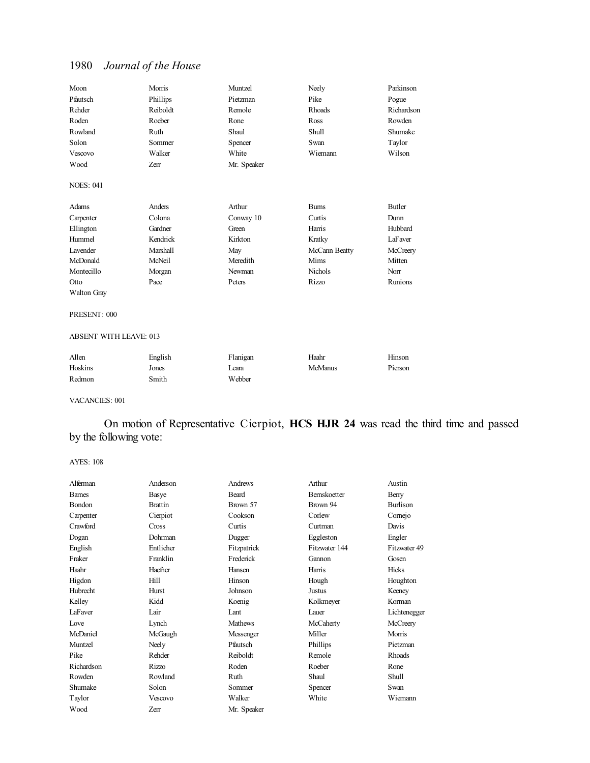| Moon               | Morris   | Muntzel     | Neely         | Parkinson  |
|--------------------|----------|-------------|---------------|------------|
| Pfautsch           | Phillips | Pietzman    | Pike          | Pogue      |
| Rehder             | Reiboldt | Remole      | Rhoads        | Richardson |
| Roden              | Roeber   | Rone        | Ross          | Rowden     |
| Rowland            | Ruth     | Shaul       | Shull         | Shumake    |
| Solon              | Sommer   | Spencer     | Swan          | Taylor     |
| Vescovo            | Walker   | White       | Wiemann       | Wilson     |
| Wood               | Zerr     | Mr. Speaker |               |            |
| <b>NOES: 041</b>   |          |             |               |            |
| Adams              | Anders   | Arthur      | <b>Burns</b>  | Butler     |
| Carpenter          | Colona   | Conway 10   | Curtis        | Dunn       |
| Ellington          | Gardner  | Green       | Harris        | Hubbard    |
| Hummel             | Kendrick | Kirkton     | Kratky        | LaFaver    |
| Lavender           | Marshall | May         | McCann Beatty | McCreery   |
| McDonald           | McNeil   | Meredith    | Mims          | Mitten     |
| Montecillo         | Morgan   | Newman      | Nichols       | Norr       |
| Otto               | Pace     | Peters      | Rizzo         | Runions    |
| <b>Walton Gray</b> |          |             |               |            |
|                    |          |             |               |            |

## PRESENT: 000

#### ABSENT WITH LEAVE: 013

| Allen   | English | Flanigan | Haahr   | Hinson  |
|---------|---------|----------|---------|---------|
| Hoskins | Jones   | _eara    | McManus | Pierson |
| Redmon  | Smith   | Webber   |         |         |

#### VACANCIES: 001

On motion of Representative Cierpiot, **HCS HJR 24** was read the third time and passed by the following vote:

| Alferman      | Anderson       | Andrews        | Arthur        | Austin          |
|---------------|----------------|----------------|---------------|-----------------|
| <b>Barnes</b> | Basye          | <b>Beard</b>   | Bernskoetter  | Berry           |
| Bondon        | <b>Brattin</b> | Brown 57       | Brown 94      | <b>Burlison</b> |
| Carpenter     | Cierpiot       | Cookson        | Corlew        | Comejo          |
| Crawford      | Cross          | Curtis         | Curtman       | Davis           |
| Dogan         | Dohrman        | Dugger         | Eggleston     | Engler          |
| English       | Entlicher      | Fitzpatrick    | Fitzwater 144 | Fitzwater 49    |
| Fraker        | Franklin       | Frederick      | Gannon        | Gosen           |
| Haahr         | Haefner        | Hansen         | Harris        | Hicks           |
| Higdon        | Hill           | Hinson         | Hough         | Houghton        |
| Hubrecht      | Hurst          | Johnson        | <b>Justus</b> | Keeney          |
| Kelley        | Kidd           | Koenig         | Kolkmeyer     | Korman          |
| LaFaver       | Lair           | Lant           | Lauer         | Lichtenegger    |
| Love          | Lynch          | <b>Mathews</b> | McCaherty     | McCreery        |
| McDaniel      | McGaugh        | Messenger      | Miller        | Morris          |
| Muntzel       | Neely          | Pfautsch       | Phillips      | Pietzman        |
| Pike          | Rehder         | Reiboldt       | Remole        | <b>Rhoads</b>   |
| Richardson    | <b>Rizzo</b>   | Roden          | Roeber        | Rone            |
| Rowden        | Rowland        | Ruth           | Shaul         | Shull           |
| Shumake       | Solon          | Sommer         | Spencer       | Swan            |
| Taylor        | <b>Vescovo</b> | Walker         | White         | Wiemann         |
| Wood          | Zerr           | Mr. Speaker    |               |                 |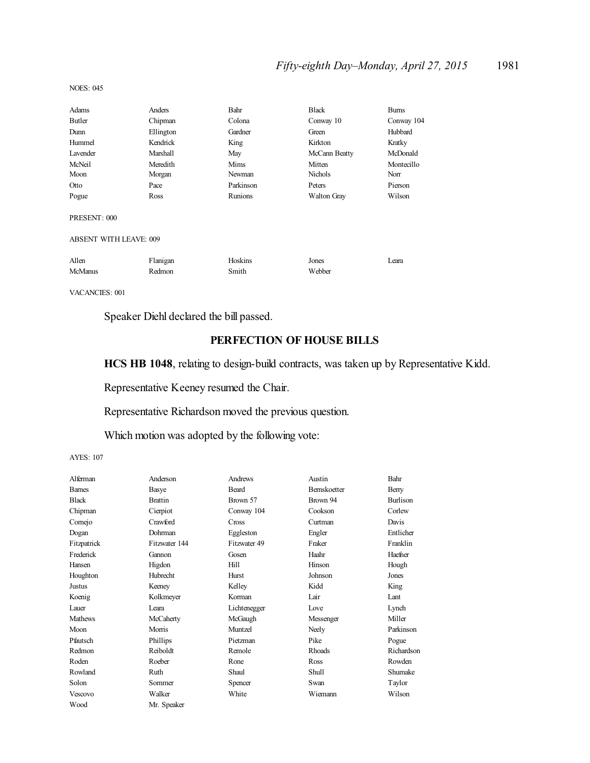# *Fifty-eighth Day–Monday, April 27, 2015* 1981

NOES: 045

| Adams                         | Anders    | Bahr      | <b>Black</b>       | <b>Burns</b> |
|-------------------------------|-----------|-----------|--------------------|--------------|
| Butler                        | Chipman   | Colona    | Conway 10          | Conway 104   |
| Dunn                          | Ellington | Gardner   | Green              | Hubbard      |
| Hummel                        | Kendrick  | King      | Kirkton            | Kratky       |
| Lavender                      | Marshall  | May       | McCann Beatty      | McDonald     |
| McNeil                        | Meredith  | Mims      | Mitten             | Montecillo   |
| Moon                          | Morgan    | Newman    | <b>Nichols</b>     | Norr         |
| Otto                          | Pace      | Parkinson | Peters             | Pierson      |
| Pogue                         | Ross      | Runions   | <b>Walton Gray</b> | Wilson       |
| PRESENT: 000                  |           |           |                    |              |
| <b>ABSENT WITH LEAVE: 009</b> |           |           |                    |              |
| Allen                         | Flanigan  | Hoskins   | Jones              | Leara        |
| <b>McManus</b>                | Redmon    | Smith     | Webber             |              |

VACANCIES: 001

Speaker Diehl declared the bill passed.

## **PERFECTION OF HOUSE BILLS**

**HCS HB 1048**, relating to design-build contracts, was taken up by Representative Kidd.

Representative Keeney resumed the Chair.

Representative Richardson moved the previous question.

Which motion was adopted by the following vote:

| Anderson       | Andrews      | Austin        | Bahr            |
|----------------|--------------|---------------|-----------------|
| Basye          | Beard        | Bernskoetter  | Berry           |
| <b>Brattin</b> | Brown 57     | Brown 94      | <b>Burlison</b> |
| Cierpiot       | Conway 104   | Cookson       | Corlew          |
| Crawford       | Cross        | Curtman       | Davis           |
| Dohrman        | Eggleston    | Engler        | Entlicher       |
| Fitzwater 144  | Fitzwater 49 | Fraker        | Franklin        |
| Gannon         | Gosen        | Haahr         | Haefner         |
| Higdon         | Hill         | Hinson        | Hough           |
| Hubrecht       | Hurst        | Johnson       | Jones           |
| Keeney         | Kelley       | Kidd          | King            |
| Kolkmeyer      | Korman       | Lair          | Lant            |
| Leara          | Lichtenegger | Love          | Lynch           |
| McCaherty      | McGaugh      | Messenger     | Miller          |
| Morris         | Muntzel      | Neely         | Parkinson       |
| Phillips       | Pietzman     | Pike          | Pogue           |
| Reiboldt       | Remole       | <b>Rhoads</b> | Richardson      |
| Roeber         | Rone         | Ross          | Rowden          |
| Ruth           | Shaul        | Shull         | Shumake         |
| Sommer         | Spencer      | Swan          | Taylor          |
| Walker         | White        | Wiemann       | Wilson          |
| Mr. Speaker    |              |               |                 |
|                |              |               |                 |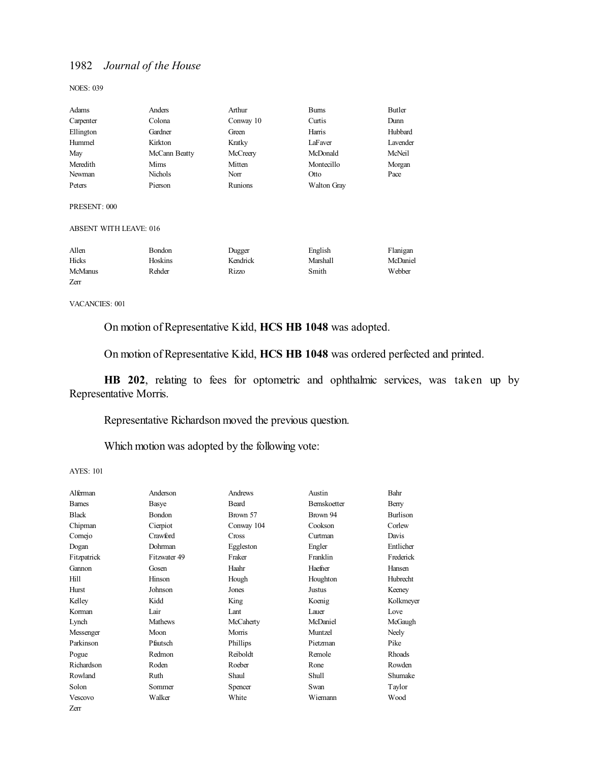NOES: 039

| Adams                         | Anders        | Arthur    | <b>Burns</b>       | Butler   |
|-------------------------------|---------------|-----------|--------------------|----------|
| Carpenter                     | Colona        | Conway 10 | Curtis             | Dunn     |
| Ellington                     | Gardner       | Green     | Harris             | Hubbard  |
| Hummel                        | Kirkton       | Kratky    | LaFaver            | Lavender |
| May                           | McCann Beatty | McCreery  | McDonald           | McNeil   |
| Meredith                      | Mims          | Mitten    | Montecillo         | Morgan   |
| Newman                        | Nichols       | Norr      | Otto               | Pace     |
| Peters                        | Pierson       | Runions   | <b>Walton Gray</b> |          |
| PRESENT: 000                  |               |           |                    |          |
| <b>ABSENT WITH LEAVE: 016</b> |               |           |                    |          |
| Allen                         | <b>Bondon</b> | Dugger    | English            | Flanigan |
| Hicks                         | Hoskins       | Kendrick  | Marshall           | McDaniel |
| <b>McManus</b>                | Rehder        | Rizzo     | Smith              | Webber   |
| Zerr                          |               |           |                    |          |

VACANCIES: 001

On motion of Representative Kidd, **HCS HB 1048** was adopted.

On motion of Representative Kidd, **HCS HB 1048** was ordered perfected and printed.

**HB 202**, relating to fees for optometric and ophthalmic services, was taken up by Representative Morris.

Representative Richardson moved the previous question.

Which motion was adopted by the following vote:

| Alferman      | Anderson       | Andrews    | Austin       | Bahr            |
|---------------|----------------|------------|--------------|-----------------|
| <b>Barnes</b> | Basye          | Beard      | Bernskoetter | Berry           |
| <b>Black</b>  | Bondon         | Brown 57   | Brown 94     | <b>Burlison</b> |
| Chipman       | Cierpiot       | Conway 104 | Cookson      | Corlew          |
| Comejo        | Crawford       | Cross      | Curtman      | Davis           |
| Dogan         | Dohrman        | Eggleston  | Engler       | Entlicher       |
| Fitzpatrick   | Fitzwater 49   | Fraker     | Franklin     | Frederick       |
| Gannon        | Gosen          | Haahr      | Haefner      | Hansen          |
| Hill          | Hinson         | Hough      | Houghton     | <b>Hubrecht</b> |
| Hurst         | Johnson        | Jones      | Justus       | Keeney          |
| Kelley        | Kidd           | King       | Koenig       | Kolkmeyer       |
| Korman        | Lair           | Lant       | Lauer        | Love            |
| Lynch         | <b>Mathews</b> | McCaherty  | McDaniel     | McGaugh         |
| Messenger     | Moon           | Morris     | Muntzel      | Neely           |
| Parkinson     | Pfautsch       | Phillips   | Pietzman     | Pike            |
| Pogue         | Redmon         | Reiboldt   | Remole       | <b>Rhoads</b>   |
| Richardson    | Roden          | Roeber     | Rone         | Rowden          |
| Rowland       | Ruth           | Shaul      | Shull        | Shumake         |
| Solon         | Sommer         | Spencer    | Swan         | Taylor          |
| Vescovo       | Walker         | White      | Wiemann      | Wood            |
| Zerr          |                |            |              |                 |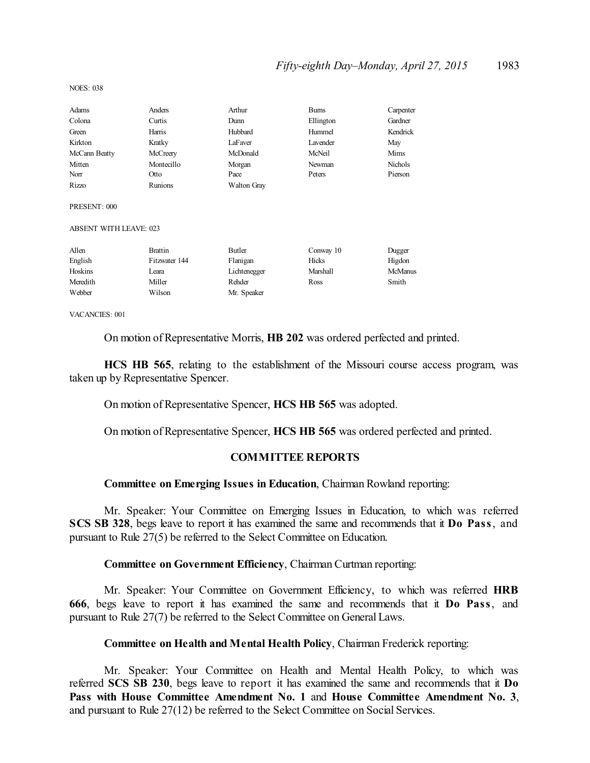## *Fifty-eighth Day–Monday, April 27, 2015* 1983

| Adams                         | Anders         | Arthur       | <b>Burns</b> | Carpenter      |
|-------------------------------|----------------|--------------|--------------|----------------|
| Colona                        | Curtis         | Dunn         | Ellington    | Gardner        |
| Green                         | Harris         | Hubbard      | Hummel       | Kendrick       |
| Kirkton                       | Kratky         | LaFaver      | Lavender     | May            |
| McCann Beatty                 | McCreery       | McDonald     | McNeil       | Mims           |
| Mitten                        | Montecillo     | Morgan       | Newman       | <b>Nichols</b> |
| Norr                          | Otto           | Pace         | Peters       | Pierson        |
| Rizzo                         | Runions        | Walton Gray  |              |                |
| PRESENT: 000                  |                |              |              |                |
| <b>ABSENT WITH LEAVE: 023</b> |                |              |              |                |
| Allen                         | <b>Brattin</b> | Butler       | Conway 10    | Dugger         |
| English                       | Fitzwater 144  | Flanigan     | Hicks        | Higdon         |
| Hoskins                       | Leara          | Lichtenegger | Marshall     | <b>McManus</b> |
| Meredith                      | Miller         | Rehder       | Ross         | Smith          |
| Webber                        | Wilson         | Mr. Speaker  |              |                |
| VACANCIFS.001                 |                |              |              |                |

On motion of Representative Morris, **HB 202** was ordered perfected and printed.

**HCS HB 565**, relating to the establishment of the Missouri course access program, was taken up by Representative Spencer.

On motion of Representative Spencer, **HCS HB 565** was adopted.

On motion of Representative Spencer, **HCS HB 565** was ordered perfected and printed.

## **COMMITTEE REPORTS**

## **Committee on Emerging Issues in Education**, Chairman Rowland reporting:

Mr. Speaker: Your Committee on Emerging Issues in Education, to which was referred **SCS SB 328**, begs leave to report it has examined the same and recommends that it **Do Pass**, and pursuant to Rule 27(5) be referred to the Select Committee on Education.

### **Committee on Government Efficiency**, Chairman Curtman reporting:

Mr. Speaker: Your Committee on Government Efficiency, to which was referred **HRB 666**, begs leave to report it has examined the same and recommends that it **Do Pass**, and pursuant to Rule 27(7) be referred to the Select Committee on General Laws.

**Committee on Health and Mental Health Policy**, Chairman Frederick reporting:

Mr. Speaker: Your Committee on Health and Mental Health Policy, to which was referred **SCS SB 230**, begs leave to report it has examined the same and recommends that it **Do Pass with House Committee Amendment No. 1** and **House Committee Amendment No. 3**, and pursuant to Rule 27(12) be referred to the Select Committee on Social Services.

NOES: 038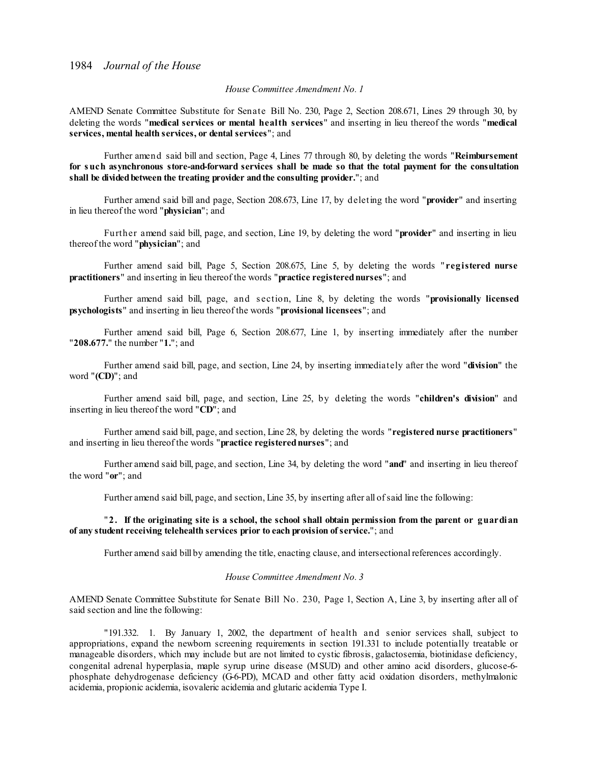#### *House Committee Amendment No. 1*

AMEND Senate Committee Substitute for Senate Bill No. 230, Page 2, Section 208.671, Lines 29 through 30, by deleting the words "**medical services or mental health services**" and inserting in lieu thereof the words "**medical services, mental health services, or dental services**"; and

Further amend said bill and section, Page 4, Lines 77 through 80, by deleting the words "**Reimbursement for such asynchronous store-and-forward services shall be made so that the total payment for the consultation shall be dividedbetween the treating provider andthe consulting provider.**"; and

Further amend said bill and page, Section 208.673, Line 17, by deleting the word "**provider**" and inserting in lieu thereof the word "**physician**"; and

Further amend said bill, page, and section, Line 19, by deleting the word "**provider**" and inserting in lieu thereof the word "**physician**"; and

Further amend said bill, Page 5, Section 208.675, Line 5, by deleting the words " **registered nurse practitioners**" and inserting in lieu thereof the words "**practice registerednurses**"; and

Further amend said bill, page, and s ection, Line 8, by deleting the words "**provisionally licensed psychologists**" and inserting in lieu thereof the words "**provisional licensees**"; and

Further amend said bill, Page 6, Section 208.677, Line 1, by inserting immediately after the number "**208.677.**" the number "**1.**"; and

Further amend said bill, page, and section, Line 24, by inserting immediately after the word "**division**" the word "**(CD)**"; and

Further amend said bill, page, and section, Line 25, by deleting the words "**children's division**" and inserting in lieu thereof the word "**CD**"; and

Further amend said bill, page, and section, Line 28, by deleting the words "**registered nurse practitioners**" and inserting in lieu thereof the words "**practice registerednurses**"; and

Further amend said bill, page, and section, Line 34, by deleting the word "**and**" and inserting in lieu thereof the word "**or**"; and

Further amend said bill, page, and section, Line 35, by inserting after all ofsaid line the following:

#### "**2. If the originating site is a school, the school shall obtain permission from the parent or guardian of any student receiving telehealth services prior to each provision ofservice.**"; and

Further amend said bill by amending the title, enacting clause, and intersectional references accordingly.

#### *House Committee Amendment No. 3*

AMEND Senate Committee Substitute for Senate Bill No. 230, Page 1, Section A, Line 3, by inserting after all of said section and line the following:

"191.332. 1. By January 1, 2002, the department of health and s enior services shall, subject to appropriations, expand the newborn screening requirements in section 191.331 to include potentially treatable or manageable disorders, which may include but are not limited to cystic fibrosis, galactosemia, biotinidase deficiency, congenital adrenal hyperplasia, maple syrup urine disease (MSUD) and other amino acid disorders, glucose-6 phosphate dehydrogenase deficiency (G-6-PD), MCAD and other fatty acid oxidation disorders, methylmalonic acidemia, propionic acidemia, isovaleric acidemia and glutaric acidemia Type I.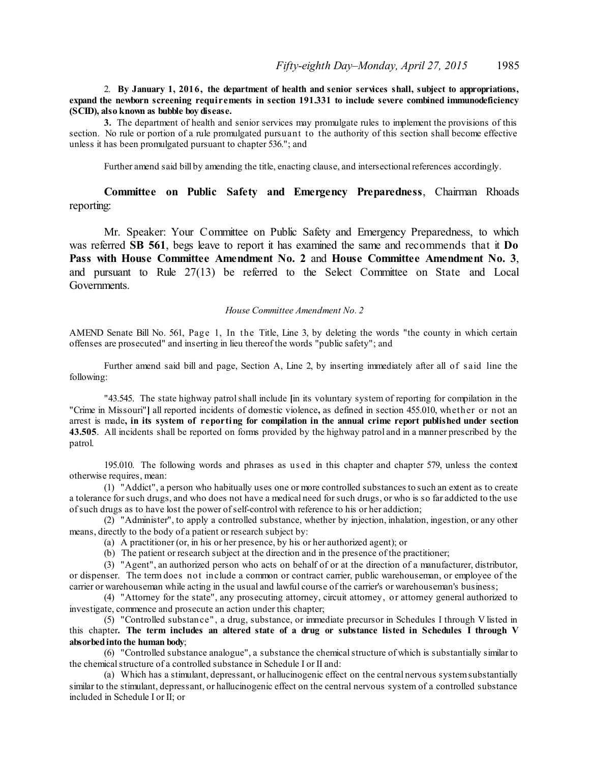### 2. **By January 1, 2016, the department of health and senior services shall, subject to appropriations, expand the newborn screening requirements in section 191.331 to include severe combined immunodeficiency (SCID), also known as bubble boy disease.**

**3.** The department of health and senior services may promulgate rules to implement the provisions of this section. No rule or portion of a rule promulgated pursuant to the authority of this section shall become effective unless it has been promulgated pursuant to chapter 536."; and

Further amend said bill by amending the title, enacting clause, and intersectional references accordingly.

## **Committee on Public Safety and Emergency Preparedness**, Chairman Rhoads reporting:

Mr. Speaker: Your Committee on Public Safety and Emergency Preparedness, to which was referred **SB 561**, begs leave to report it has examined the same and recommends that it **Do Pass with House Committee Amendment No. 2** and **House Committee Amendment No. 3**, and pursuant to Rule 27(13) be referred to the Select Committee on State and Local Governments.

#### *House Committee Amendment No. 2*

AMEND Senate Bill No. 561, Page 1, In the Title, Line 3, by deleting the words "the county in which certain offenses are prosecuted" and inserting in lieu thereof the words "public safety"; and

Further amend said bill and page, Section A, Line 2, by inserting immediately after all of s aid line the following:

"43.545. The state highway patrolshall include **[**in its voluntary system of reporting for compilation in the "Crime in Missouri"**]** all reported incidents of domestic violence**,** as defined in section 455.010, whether or not an arrest is made**, in its system of reporting for compilation in the annual crime report published under section 43.505**. All incidents shall be reported on forms provided by the highway patrol and in a manner prescribed by the patrol.

195.010. The following words and phrases as us ed in this chapter and chapter 579, unless the context otherwise requires, mean:

(1) "Addict", a person who habitually uses one or more controlled substances to such an extent as to create a tolerance forsuch drugs, and who does not have a medical need forsuch drugs, or who is so far addicted to the use ofsuch drugs as to have lost the power ofself-control with reference to his or her addiction;

(2) "Administer", to apply a controlled substance, whether by injection, inhalation, ingestion, or any other means, directly to the body of a patient or research subject by:

- (a) A practitioner (or, in his or her presence, by his or her authorized agent); or
- (b) The patient or research subject at the direction and in the presence of the practitioner;

(3) "Agent", an authorized person who acts on behalf of or at the direction of a manufacturer, distributor, or dispenser. The term does not include a common or contract carrier, public warehouseman, or employee of the carrier or warehouseman while acting in the usual and lawful course of the carrier's or warehouseman's business;

(4) "Attorney for the state", any prosecuting attorney, circuit attorney, or attorney general authorized to investigate, commence and prosecute an action under this chapter;

(5) "Controlled substance" , a drug, substance, or immediate precursor in Schedules I through V listed in this chapter. The term includes an altered state of a drug or substance listed in Schedules I through V **absorbedinto the human body**;

(6) "Controlled substance analogue", a substance the chemicalstructure of which is substantially similar to the chemical structure of a controlled substance in Schedule I or II and:

(a) Which has a stimulant, depressant, or hallucinogenic effect on the central nervous systemsubstantially similar to the stimulant, depressant, or hallucinogenic effect on the central nervous system of a controlled substance included in Schedule I or II; or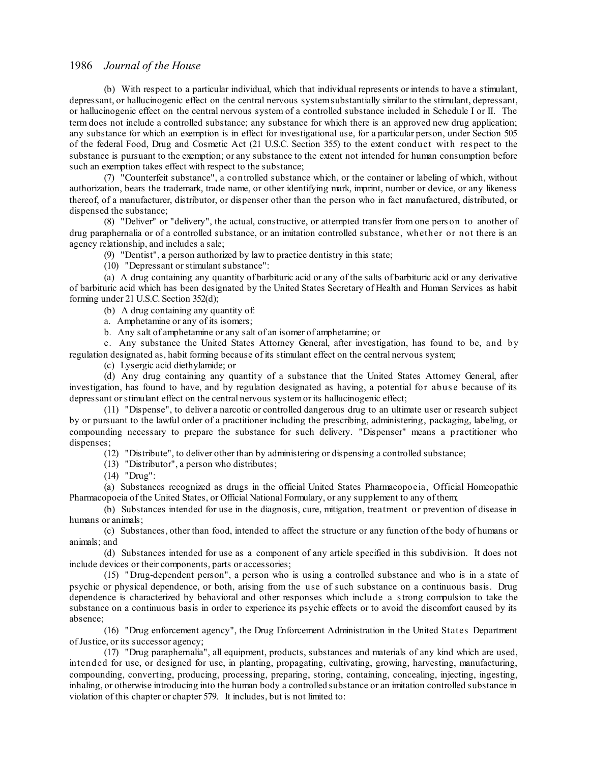(b) With respect to a particular individual, which that individual represents or intends to have a stimulant, depressant, or hallucinogenic effect on the central nervous systemsubstantially similar to the stimulant, depressant, or hallucinogenic effect on the central nervous system of a controlled substance included in Schedule I or II. The term does not include a controlled substance; any substance for which there is an approved new drug application; any substance for which an exemption is in effect for investigational use, for a particular person, under Section 505 of the federal Food, Drug and Cosmetic Act (21 U.S.C. Section 355) to the extent conduct with res pect to the substance is pursuant to the exemption; or any substance to the extent not intended for human consumption before such an exemption takes effect with respect to the substance;

(7) "Counterfeit substance", a controlled substance which, or the container or labeling of which, without authorization, bears the trademark, trade name, or other identifying mark, imprint, number or device, or any likeness thereof, of a manufacturer, distributor, or dispenser other than the person who in fact manufactured, distributed, or dispensed the substance;

(8) "Deliver" or "delivery", the actual, constructive, or attempted transfer from one pers on to another of drug paraphernalia or of a controlled substance, or an imitation controlled substance, whether or not there is an agency relationship, and includes a sale;

(9) "Dentist", a person authorized by law to practice dentistry in this state;

(10) "Depressant orstimulant substance":

(a) A drug containing any quantity of barbituric acid or any of the salts of barbituric acid or any derivative of barbituric acid which has been designated by the United States Secretary of Health and Human Services as habit forming under 21 U.S.C. Section 352(d);

(b) A drug containing any quantity of:

a. Amphetamine or any of its isomers;

b. Any salt of amphetamine or any salt of an isomer of amphetamine; or

c. Any substance the United States Attorney General, after investigation, has found to be, and by regulation designated as, habit forming because of its stimulant effect on the central nervous system;

(c) Lysergic acid diethylamide; or

(d) Any drug containing any quantity of a substance that the United States Attorney General, after investigation, has found to have, and by regulation designated as having, a potential for abus e because of its depressant orstimulant effect on the central nervous systemor its hallucinogenic effect;

(11) "Dispense", to deliver a narcotic or controlled dangerous drug to an ultimate user or research subject by or pursuant to the lawful order of a practitioner including the prescribing, administering, packaging, labeling, or compounding necessary to prepare the substance for such delivery. "Dispenser" means a practitioner who dispenses;

(12) "Distribute", to deliver other than by administering or dispensing a controlled substance;

- (13) "Distributor", a person who distributes;
- (14) "Drug":

(a) Substances recognized as drugs in the official United States Pharmacopoeia, Official Homeopathic Pharmacopoeia of the United States, or Official National Formulary, or any supplement to any of them;

(b) Substances intended for use in the diagnosis, cure, mitigation, treatment or prevention of disease in humans or animals;

(c) Substances, other than food, intended to affect the structure or any function of the body of humans or animals; and

(d) Substances intended for use as a component of any article specified in this subdivision. It does not include devices or their components, parts or accessories;

(15) "Drug-dependent person", a person who is using a controlled substance and who is in a state of psychic or physical dependence, or both, arising from the use of such substance on a continuous basis. Drug dependence is characterized by behavioral and other responses which include a strong compulsion to take the substance on a continuous basis in order to experience its psychic effects or to avoid the discomfort caused by its absence;

(16) "Drug enforcement agency", the Drug Enforcement Administration in the United States Department ofJustice, or its successor agency;

(17) "Drug paraphernalia", all equipment, products, substances and materials of any kind which are used, intended for use, or designed for use, in planting, propagating, cultivating, growing, harvesting, manufacturing, compounding, converting, producing, processing, preparing, storing, containing, concealing, injecting, ingesting, inhaling, or otherwise introducing into the human body a controlled substance or an imitation controlled substance in violation of this chapter or chapter 579. It includes, but is not limited to: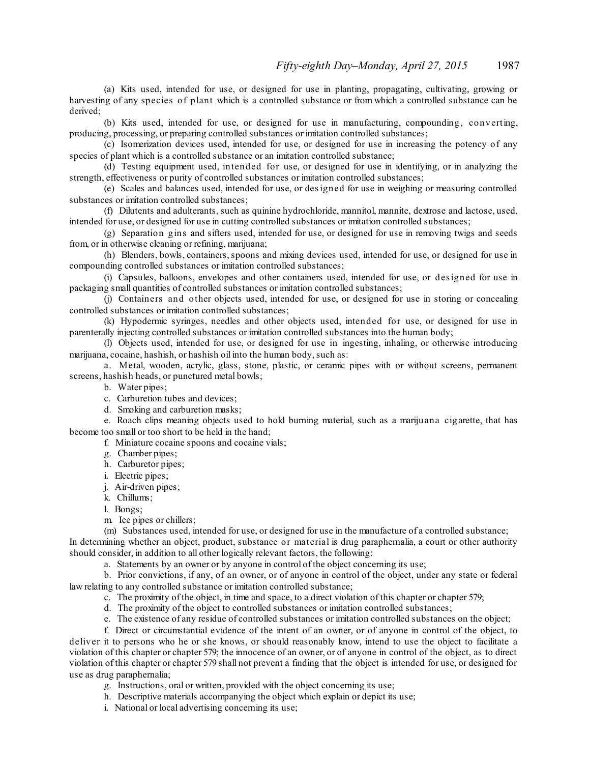(a) Kits used, intended for use, or designed for use in planting, propagating, cultivating, growing or harvesting of any species of plant which is a controlled substance or from which a controlled substance can be derived;

(b) Kits used, intended for use, or designed for use in manufacturing, compounding, converting, producing, processing, or preparing controlled substances or imitation controlled substances;

(c) Isomerization devices used, intended for use, or designed for use in increasing the potency of any species of plant which is a controlled substance or an imitation controlled substance:

(d) Testing equipment used, intended for use, or designed for use in identifying, or in analyzing the strength, effectiveness or purity of controlled substances or imitation controlled substances;

(e) Scales and balances used, intended for use, or designed for use in weighing or measuring controlled substances or imitation controlled substances;

(f) Dilutents and adulterants, such as quinine hydrochloride, mannitol, mannite, dextrose and lactose, used, intended for use, or designed for use in cutting controlled substances or imitation controlled substances;

(g) Separation gins and sifters used, intended for use, or designed for use in removing twigs and seeds from, or in otherwise cleaning or refining, marijuana;

(h) Blenders, bowls, containers,spoons and mixing devices used, intended for use, or designed for use in compounding controlled substances or imitation controlled substances;

(i) Capsules, balloons, envelopes and other containers used, intended for use, or designed for use in packaging small quantities of controlled substances or imitation controlled substances;

(j) Containers and other objects used, intended for use, or designed for use in storing or concealing controlled substances or imitation controlled substances;

(k) Hypodermic syringes, needles and other objects used, intended for use, or designed for use in parenterally injecting controlled substances or imitation controlled substances into the human body;

(l) Objects used, intended for use, or designed for use in ingesting, inhaling, or otherwise introducing marijuana, cocaine, hashish, or hashish oil into the human body, such as:

a. Metal, wooden, acrylic, glass, stone, plastic, or ceramic pipes with or without screens, permanent screens, hashish heads, or punctured metal bowls;

b. Water pipes;

- c. Carburetion tubes and devices;
- d. Smoking and carburetion masks;

e. Roach clips meaning objects used to hold burning material, such as a marijuana cigarette, that has become too small or too short to be held in the hand;

f. Miniature cocaine spoons and cocaine vials;

- g. Chamber pipes;
- h. Carburetor pipes;
- i. Electric pipes;
- j. Air-driven pipes;
- k. Chillums;

l. Bongs;

m. Ice pipes or chillers;

(m) Substances used, intended for use, or designed for use in the manufacture of a controlled substance; In determining whether an object, product, substance or material is drug paraphernalia, a court or other authority should consider, in addition to all other logically relevant factors, the following:

a. Statements by an owner or by anyone in control of the object concerning its use;

b. Prior convictions, if any, of an owner, or of anyone in control of the object, under any state or federal law relating to any controlled substance or imitation controlled substance;

c. The proximity of the object, in time and space, to a direct violation of this chapter or chapter 579;

d. The proximity of the object to controlled substances or imitation controlled substances;

e. The existence of any residue of controlled substances or imitation controlled substances on the object;

f. Direct or circumstantial evidence of the intent of an owner, or of anyone in control of the object, to deliver it to persons who he or she knows, or should reasonably know, intend to use the object to facilitate a violation of this chapter or chapter 579; the innocence of an owner, or of anyone in control of the object, as to direct violation of this chapter or chapter 579 shall not prevent a finding that the object is intended for use, or designed for use as drug paraphernalia;

g. Instructions, oral or written, provided with the object concerning its use;

h. Descriptive materials accompanying the object which explain or depict its use;

i. National or local advertising concerning its use;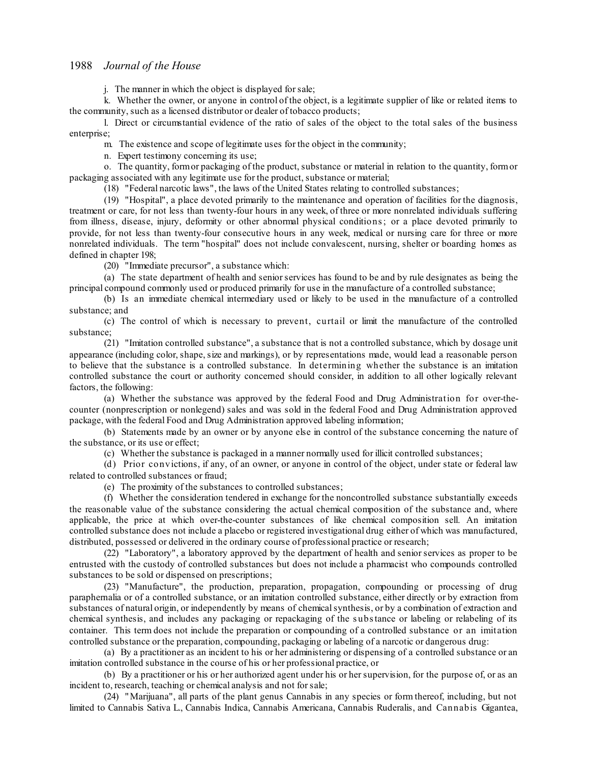j. The manner in which the object is displayed forsale;

k. Whether the owner, or anyone in control of the object, is a legitimate supplier of like or related items to the community, such as a licensed distributor or dealer of tobacco products;

l. Direct or circumstantial evidence of the ratio of sales of the object to the total sales of the business enterprise;

m. The existence and scope of legitimate uses for the object in the community;

n. Expert testimony concerning its use;

o. The quantity, formor packaging of the product, substance or material in relation to the quantity, formor packaging associated with any legitimate use for the product, substance or material;

(18) "Federal narcotic laws", the laws of the United States relating to controlled substances;

(19) "Hospital", a place devoted primarily to the maintenance and operation of facilities for the diagnosis, treatment or care, for not less than twenty-four hours in any week, of three or more nonrelated individuals suffering from illness, disease, injury, deformity or other abnormal physical conditions; or a place devoted primarily to provide, for not less than twenty-four consecutive hours in any week, medical or nursing care for three or more nonrelated individuals. The term "hospital" does not include convalescent, nursing, shelter or boarding homes as defined in chapter 198;

(20) "Immediate precursor", a substance which:

(a) The state department of health and seniorservices has found to be and by rule designates as being the principal compound commonly used or produced primarily for use in the manufacture of a controlled substance;

(b) Is an immediate chemical intermediary used or likely to be used in the manufacture of a controlled substance; and

(c) The control of which is necessary to prevent, curtail or limit the manufacture of the controlled substance;

(21) "Imitation controlled substance", a substance that is not a controlled substance, which by dosage unit appearance (including color, shape, size and markings), or by representations made, would lead a reasonable person to believe that the substance is a controlled substance. In determining whether the substance is an imitation controlled substance the court or authority concerned should consider, in addition to all other logically relevant factors, the following:

(a) Whether the substance was approved by the federal Food and Drug Administration for over-thecounter (nonprescription or nonlegend) sales and was sold in the federal Food and Drug Administration approved package, with the federal Food and Drug Administration approved labeling information;

(b) Statements made by an owner or by anyone else in control of the substance concerning the nature of the substance, or its use or effect;

(c) Whether the substance is packaged in a manner normally used for illicit controlled substances;

(d) Prior convictions, if any, of an owner, or anyone in control of the object, under state or federal law related to controlled substances or fraud;

(e) The proximity of the substances to controlled substances;

(f) Whether the consideration tendered in exchange for the noncontrolled substance substantially exceeds the reasonable value of the substance considering the actual chemical composition of the substance and, where applicable, the price at which over-the-counter substances of like chemical composition sell. An imitation controlled substance does not include a placebo or registered investigational drug either of which was manufactured, distributed, possessed or delivered in the ordinary course of professional practice or research;

(22) "Laboratory", a laboratory approved by the department of health and seniorservices as proper to be entrusted with the custody of controlled substances but does not include a pharmacist who compounds controlled substances to be sold or dispensed on prescriptions;

(23) "Manufacture", the production, preparation, propagation, compounding or processing of drug paraphernalia or of a controlled substance, or an imitation controlled substance, either directly or by extraction from substances of natural origin, or independently by means of chemical synthesis, or by a combination of extraction and chemical synthesis, and includes any packaging or repackaging of the s ubstance or labeling or relabeling of its container. This term does not include the preparation or compounding of a controlled substance or an imitation controlled substance or the preparation, compounding, packaging or labeling of a narcotic or dangerous drug:

(a) By a practitioner as an incident to his or her administering or dispensing of a controlled substance or an imitation controlled substance in the course of his or her professional practice, or

(b) By a practitioner or his or her authorized agent under his or hersupervision, for the purpose of, or as an incident to, research, teaching or chemical analysis and not forsale;

(24) "Marijuana", all parts of the plant genus Cannabis in any species or form thereof, including, but not limited to Cannabis Sativa L., Cannabis Indica, Cannabis Americana, Cannabis Ruderalis, and Cannabis Gigantea,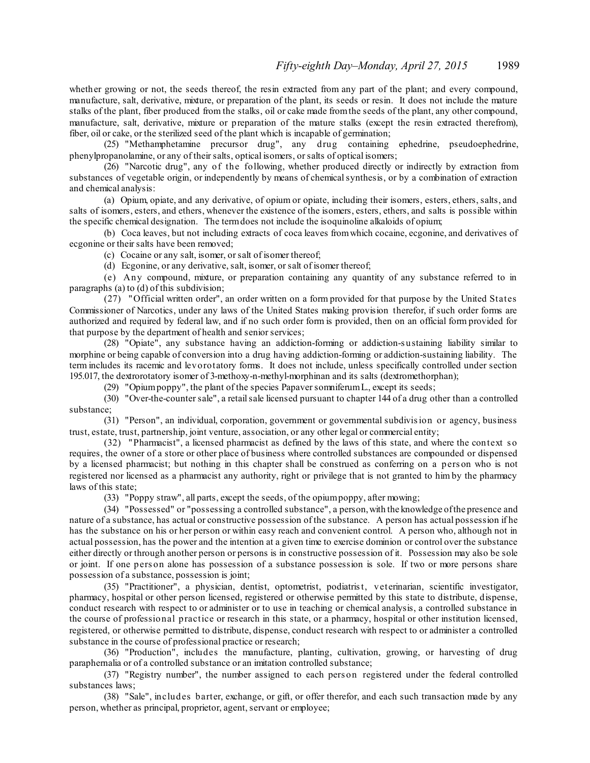whether growing or not, the seeds thereof, the resin extracted from any part of the plant; and every compound, manufacture, salt, derivative, mixture, or preparation of the plant, its seeds or resin. It does not include the mature stalks of the plant, fiber produced from the stalks, oil or cake made fromthe seeds of the plant, any other compound, manufacture, salt, derivative, mixture or preparation of the mature stalks (except the resin extracted therefrom), fiber, oil or cake, or the sterilized seed of the plant which is incapable of germination;

(25) "Methamphetamine precursor drug", any drug containing ephedrine, pseudoephedrine, phenylpropanolamine, or any of their salts, optical isomers, or salts of optical isomers;

(26) "Narcotic drug", any of the following, whether produced directly or indirectly by extraction from substances of vegetable origin, or independently by means of chemicalsynthesis, or by a combination of extraction and chemical analysis:

(a) Opium, opiate, and any derivative, of opium or opiate, including their isomers, esters, ethers, salts, and salts of isomers, esters, and ethers, whenever the existence of the isomers, esters, ethers, and salts is possible within the specific chemical designation. The termdoes not include the isoquinoline alkaloids of opium;

(b) Coca leaves, but not including extracts of coca leaves fromwhich cocaine, ecgonine, and derivatives of ecgonine or their salts have been removed;

(c) Cocaine or any salt, isomer, orsalt of isomer thereof;

(d) Ecgonine, or any derivative, salt, isomer, orsalt of isomer thereof;

(e) Any compound, mixture, or preparation containing any quantity of any substance referred to in paragraphs (a) to (d) of this subdivision;

(27) "Official written order", an order written on a form provided for that purpose by the United States Commissioner of Narcotics, under any laws of the United States making provision therefor, if such order forms are authorized and required by federal law, and if no such order form is provided, then on an official form provided for that purpose by the department of health and senior services;

(28) "Opiate", any substance having an addiction-forming or addiction-s ustaining liability similar to morphine or being capable of conversion into a drug having addiction-forming or addiction-sustaining liability. The term includes its racemic and levorotatory forms. It does not include, unless specifically controlled under section 195.017, the dextrorotatory isomer of 3-methoxy-n-methyl-morphinan and its salts (dextromethorphan);

(29) "Opiumpoppy", the plant of the species PapaversomniferumL., except its seeds;

(30) "Over-the-countersale", a retailsale licensed pursuant to chapter 144 of a drug other than a controlled substance;

(31) "Person", an individual, corporation, government or governmental subdivision or agency, business trust, estate, trust, partnership, joint venture, association, or any other legal or commercial entity;

(32) "Pharmacist", a licensed pharmacist as defined by the laws of this state, and where the context s o requires, the owner of a store or other place of business where controlled substances are compounded or dispensed by a licensed pharmacist; but nothing in this chapter shall be construed as conferring on a pers on who is not registered nor licensed as a pharmacist any authority, right or privilege that is not granted to him by the pharmacy laws of this state;

(33) "Poppy straw", all parts, except the seeds, of the opiumpoppy, after mowing;

(34) "Possessed" or "possessing a controlled substance", a person,with the knowledge ofthe presence and nature of a substance, has actual or constructive possession of the substance. A person has actual possession if he has the substance on his or her person or within easy reach and convenient control. A person who, although not in actual possession, has the power and the intention at a given time to exercise dominion or control over the substance either directly or through another person or persons is in constructive possession of it. Possession may also be sole or joint. If one pers on alone has possession of a substance possession is sole. If two or more persons share possession of a substance, possession is joint;

(35) "Practitioner", a physician, dentist, optometrist, podiatrist, veterinarian, scientific investigator, pharmacy, hospital or other person licensed, registered or otherwise permitted by this state to distribute, dispense, conduct research with respect to or administer or to use in teaching or chemical analysis, a controlled substance in the course of professional practice or research in this state, or a pharmacy, hospital or other institution licensed, registered, or otherwise permitted to distribute, dispense, conduct research with respect to or administer a controlled substance in the course of professional practice or research;

(36) "Production", includes the manufacture, planting, cultivation, growing, or harvesting of drug paraphernalia or of a controlled substance or an imitation controlled substance;

(37) "Registry number", the number assigned to each pers on registered under the federal controlled substances laws;

(38) "Sale", includes barter, exchange, or gift, or offer therefor, and each such transaction made by any person, whether as principal, proprietor, agent, servant or employee;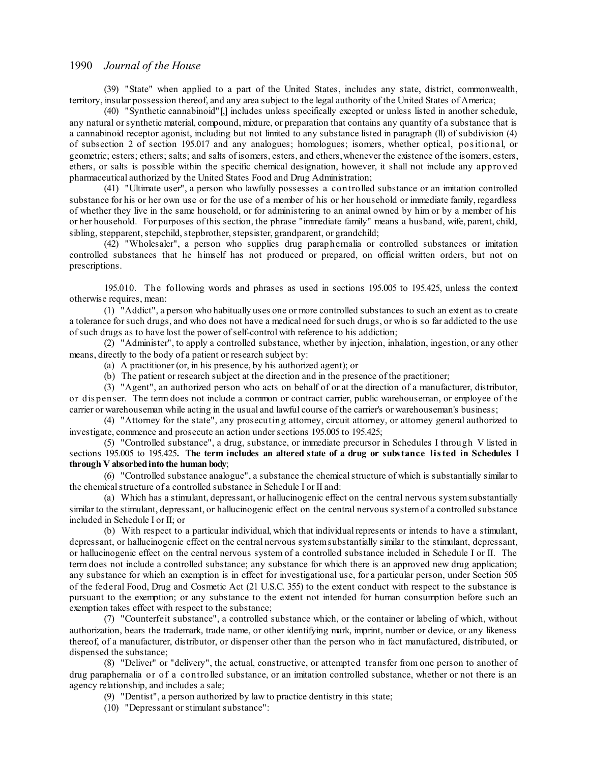(39) "State" when applied to a part of the United States, includes any state, district, commonwealth, territory, insular possession thereof, and any area subject to the legal authority of the United States of America;

(40) "Synthetic cannabinoid"**[**,**]** includes unless specifically excepted or unless listed in another schedule, any natural orsynthetic material, compound, mixture, or preparation that contains any quantity of a substance that is a cannabinoid receptor agonist, including but not limited to any substance listed in paragraph (ll) of subdivision (4) of subsection 2 of section 195.017 and any analogues; homologues; isomers, whether optical, positional, or geometric; esters; ethers; salts; and salts of isomers, esters, and ethers,whenever the existence of the isomers, esters, ethers, or salts is possible within the specific chemical designation, however, it shall not include any approved pharmaceutical authorized by the United States Food and Drug Administration;

(41) "Ultimate user", a person who lawfully possesses a controlled substance or an imitation controlled substance for his or her own use or for the use of a member of his or her household or immediate family, regardless of whether they live in the same household, or for administering to an animal owned by him or by a member of his or her household. For purposes of this section, the phrase "immediate family" means a husband, wife, parent, child, sibling, stepparent, stepchild, stepbrother, stepsister, grandparent, or grandchild;

(42) "Wholesaler", a person who supplies drug paraphernalia or controlled substances or imitation controlled substances that he himself has not produced or prepared, on official written orders, but not on prescriptions.

195.010. The following words and phrases as used in sections 195.005 to 195.425, unless the context otherwise requires, mean:

(1) "Addict", a person who habitually uses one or more controlled substances to such an extent as to create a tolerance forsuch drugs, and who does not have a medical need forsuch drugs, or who is so far addicted to the use ofsuch drugs as to have lost the power ofself-control with reference to his addiction;

(2) "Administer", to apply a controlled substance, whether by injection, inhalation, ingestion, or any other means, directly to the body of a patient or research subject by:

- (a) A practitioner (or, in his presence, by his authorized agent); or
- (b) The patient or research subject at the direction and in the presence of the practitioner;

(3) "Agent", an authorized person who acts on behalf of or at the direction of a manufacturer, distributor, or dis penser. The term does not include a common or contract carrier, public warehouseman, or employee of the carrier or warehouseman while acting in the usual and lawful course of the carrier's or warehouseman's business;

(4) "Attorney for the state", any prosecuting attorney, circuit attorney, or attorney general authorized to investigate, commence and prosecute an action under sections 195.005 to 195.425;

(5) "Controlled substance", a drug, substance, or immediate precursor in Schedules I through V listed in sections 195.005 to 195.425**. The term includes an altered state of a drug or substance listed in Schedules I through V absorbedinto the human body**;

(6) "Controlled substance analogue", a substance the chemicalstructure of which is substantially similar to the chemical structure of a controlled substance in Schedule I or II and:

(a) Which has a stimulant, depressant, or hallucinogenic effect on the central nervous systemsubstantially similar to the stimulant, depressant, or hallucinogenic effect on the central nervous systemof a controlled substance included in Schedule I or II; or

(b) With respect to a particular individual, which that individualrepresents or intends to have a stimulant, depressant, or hallucinogenic effect on the central nervous systemsubstantially similar to the stimulant, depressant, or hallucinogenic effect on the central nervous system of a controlled substance included in Schedule I or II. The term does not include a controlled substance; any substance for which there is an approved new drug application; any substance for which an exemption is in effect for investigational use, for a particular person, under Section 505 of the federal Food, Drug and Cosmetic Act (21 U.S.C. 355) to the extent conduct with respect to the substance is pursuant to the exemption; or any substance to the extent not intended for human consumption before such an exemption takes effect with respect to the substance;

(7) "Counterfeit substance", a controlled substance which, or the container or labeling of which, without authorization, bears the trademark, trade name, or other identifying mark, imprint, number or device, or any likeness thereof, of a manufacturer, distributor, or dispenser other than the person who in fact manufactured, distributed, or dispensed the substance;

(8) "Deliver" or "delivery", the actual, constructive, or attempted transfer from one person to another of drug paraphernalia or of a controlled substance, or an imitation controlled substance, whether or not there is an agency relationship, and includes a sale;

- (9) "Dentist", a person authorized by law to practice dentistry in this state;
- (10) "Depressant orstimulant substance":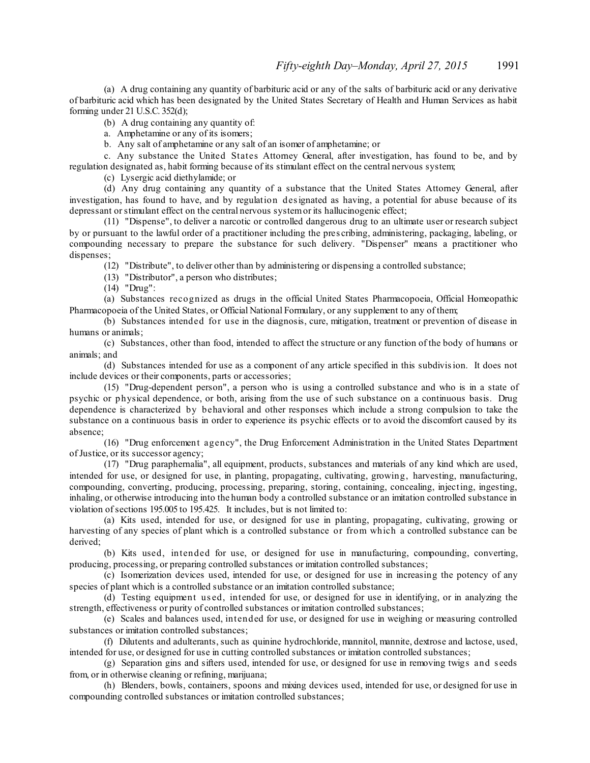(a) A drug containing any quantity of barbituric acid or any of the salts of barbituric acid or any derivative of barbituric acid which has been designated by the United States Secretary of Health and Human Services as habit forming under 21 U.S.C. 352(d);

(b) A drug containing any quantity of:

a. Amphetamine or any of its isomers;

b. Any salt of amphetamine or any salt of an isomer of amphetamine; or

c. Any substance the United States Attorney General, after investigation, has found to be, and by regulation designated as, habit forming because of its stimulant effect on the central nervous system;

(c) Lysergic acid diethylamide; or

(d) Any drug containing any quantity of a substance that the United States Attorney General, after investigation, has found to have, and by regulation designated as having, a potential for abuse because of its depressant orstimulant effect on the central nervous systemor its hallucinogenic effect;

(11) "Dispense", to deliver a narcotic or controlled dangerous drug to an ultimate user or research subject by or pursuant to the lawful order of a practitioner including the pres cribing, administering, packaging, labeling, or compounding necessary to prepare the substance for such delivery. "Dispenser" means a practitioner who dispenses;

(12) "Distribute", to deliver other than by administering or dispensing a controlled substance;

(13) "Distributor", a person who distributes;

(14) "Drug":

(a) Substances recognized as drugs in the official United States Pharmacopoeia, Official Homeopathic Pharmacopoeia of the United States, or Official National Formulary, or any supplement to any of them;

(b) Substances intended for use in the diagnosis, cure, mitigation, treatment or prevention of disease in humans or animals;

(c) Substances, other than food, intended to affect the structure or any function of the body of humans or animals; and

(d) Substances intended for use as a component of any article specified in this subdivision. It does not include devices or their components, parts or accessories;

(15) "Drug-dependent person", a person who is using a controlled substance and who is in a state of psychic or physical dependence, or both, arising from the use of such substance on a continuous basis. Drug dependence is characterized by behavioral and other responses which include a strong compulsion to take the substance on a continuous basis in order to experience its psychic effects or to avoid the discomfort caused by its absence;

(16) "Drug enforcement agency", the Drug Enforcement Administration in the United States Department ofJustice, or its successor agency;

(17) "Drug paraphernalia", all equipment, products, substances and materials of any kind which are used, intended for use, or designed for use, in planting, propagating, cultivating, growing, harvesting, manufacturing, compounding, converting, producing, processing, preparing, storing, containing, concealing, injecting, ingesting, inhaling, or otherwise introducing into the human body a controlled substance or an imitation controlled substance in violation ofsections 195.005 to 195.425. It includes, but is not limited to:

(a) Kits used, intended for use, or designed for use in planting, propagating, cultivating, growing or harvesting of any species of plant which is a controlled substance or from which a controlled substance can be derived;

(b) Kits used, intended for use, or designed for use in manufacturing, compounding, converting, producing, processing, or preparing controlled substances or imitation controlled substances;

(c) Isomerization devices used, intended for use, or designed for use in increasing the potency of any species of plant which is a controlled substance or an imitation controlled substance;

(d) Testing equipment us ed, intended for use, or designed for use in identifying, or in analyzing the strength, effectiveness or purity of controlled substances or imitation controlled substances;

(e) Scales and balances used, intended for use, or designed for use in weighing or measuring controlled substances or imitation controlled substances;

(f) Dilutents and adulterants, such as quinine hydrochloride, mannitol, mannite, dextrose and lactose, used, intended for use, or designed for use in cutting controlled substances or imitation controlled substances;

(g) Separation gins and sifters used, intended for use, or designed for use in removing twigs and s eeds from, or in otherwise cleaning or refining, marijuana;

(h) Blenders, bowls, containers, spoons and mixing devices used, intended for use, or designed for use in compounding controlled substances or imitation controlled substances;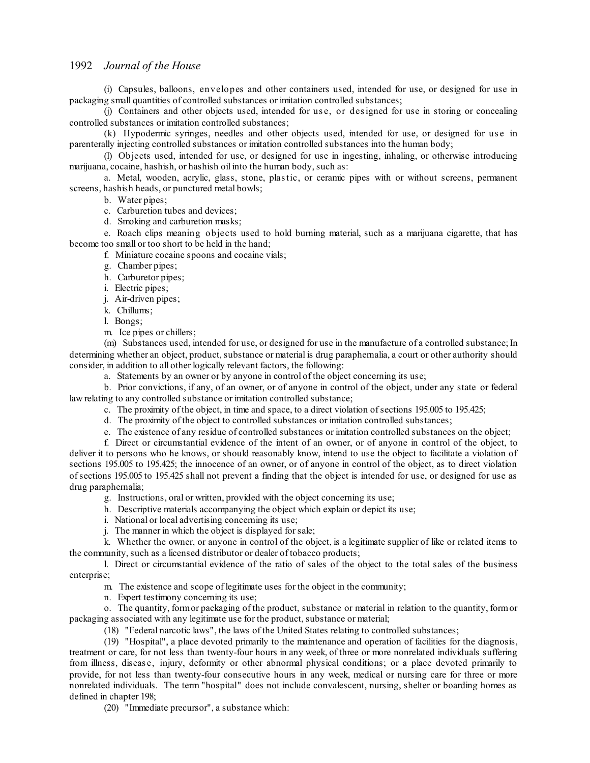(i) Capsules, balloons, envelopes and other containers used, intended for use, or designed for use in packaging small quantities of controlled substances or imitation controlled substances;

(j) Containers and other objects used, intended for use, or designed for use in storing or concealing controlled substances or imitation controlled substances;

(k) Hypodermic syringes, needles and other objects used, intended for use, or designed for us e in parenterally injecting controlled substances or imitation controlled substances into the human body;

(l) Objects used, intended for use, or designed for use in ingesting, inhaling, or otherwise introducing marijuana, cocaine, hashish, or hashish oil into the human body, such as:

a. Metal, wooden, acrylic, glass, stone, plastic, or ceramic pipes with or without screens, permanent screens, hashish heads, or punctured metal bowls;

b. Water pipes;

c. Carburetion tubes and devices;

d. Smoking and carburetion masks;

e. Roach clips meaning objects used to hold burning material, such as a marijuana cigarette, that has become too small or too short to be held in the hand;

f. Miniature cocaine spoons and cocaine vials;

- g. Chamber pipes;
- h. Carburetor pipes;
- i. Electric pipes;
- j. Air-driven pipes;
- k. Chillums;

l. Bongs;

m. Ice pipes or chillers;

(m) Substances used, intended for use, or designed for use in the manufacture of a controlled substance; In determining whether an object, product, substance or material is drug paraphernalia, a court or other authority should consider, in addition to all other logically relevant factors, the following:

a. Statements by an owner or by anyone in control of the object concerning its use;

b. Prior convictions, if any, of an owner, or of anyone in control of the object, under any state or federal law relating to any controlled substance or imitation controlled substance;

c. The proximity of the object, in time and space, to a direct violation ofsections 195.005 to 195.425;

d. The proximity of the object to controlled substances or imitation controlled substances;

e. The existence of any residue of controlled substances or imitation controlled substances on the object;

f. Direct or circumstantial evidence of the intent of an owner, or of anyone in control of the object, to deliver it to persons who he knows, or should reasonably know, intend to use the object to facilitate a violation of sections 195.005 to 195.425; the innocence of an owner, or of anyone in control of the object, as to direct violation ofsections 195.005 to 195.425 shall not prevent a finding that the object is intended for use, or designed for use as drug paraphernalia;

- g. Instructions, oral or written, provided with the object concerning its use;
- h. Descriptive materials accompanying the object which explain or depict its use;

i. National or local advertising concerning its use;

j. The manner in which the object is displayed forsale;

k. Whether the owner, or anyone in control of the object, is a legitimate supplier of like or related items to the community, such as a licensed distributor or dealer of tobacco products;

l. Direct or circumstantial evidence of the ratio of sales of the object to the total sales of the business enterprise;

m. The existence and scope of legitimate uses for the object in the community;

n. Expert testimony concerning its use;

o. The quantity, formor packaging of the product, substance or material in relation to the quantity, formor packaging associated with any legitimate use for the product, substance or material;

(18) "Federal narcotic laws", the laws of the United States relating to controlled substances;

(19) "Hospital", a place devoted primarily to the maintenance and operation of facilities for the diagnosis, treatment or care, for not less than twenty-four hours in any week, of three or more nonrelated individuals suffering from illness, diseas e, injury, deformity or other abnormal physical conditions; or a place devoted primarily to provide, for not less than twenty-four consecutive hours in any week, medical or nursing care for three or more nonrelated individuals. The term "hospital" does not include convalescent, nursing, shelter or boarding homes as defined in chapter 198;

(20) "Immediate precursor", a substance which: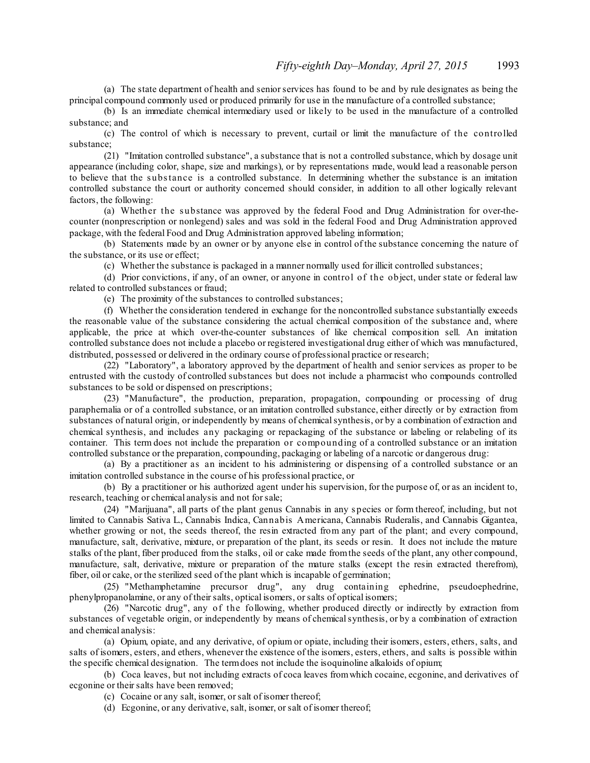(a) The state department of health and seniorservices has found to be and by rule designates as being the principal compound commonly used or produced primarily for use in the manufacture of a controlled substance;

(b) Is an immediate chemical intermediary used or likely to be used in the manufacture of a controlled substance; and

(c) The control of which is necessary to prevent, curtail or limit the manufacture of the controlled substance;

(21) "Imitation controlled substance", a substance that is not a controlled substance, which by dosage unit appearance (including color, shape, size and markings), or by representations made, would lead a reasonable person to believe that the substance is a controlled substance. In determining whether the substance is an imitation controlled substance the court or authority concerned should consider, in addition to all other logically relevant factors, the following:

(a) Whether the substance was approved by the federal Food and Drug Administration for over-thecounter (nonprescription or nonlegend) sales and was sold in the federal Food and Drug Administration approved package, with the federal Food and Drug Administration approved labeling information;

(b) Statements made by an owner or by anyone else in control of the substance concerning the nature of the substance, or its use or effect;

(c) Whether the substance is packaged in a manner normally used for illicit controlled substances;

(d) Prior convictions, if any, of an owner, or anyone in control of the object, under state or federal law related to controlled substances or fraud;

(e) The proximity of the substances to controlled substances;

(f) Whether the consideration tendered in exchange for the noncontrolled substance substantially exceeds the reasonable value of the substance considering the actual chemical composition of the substance and, where applicable, the price at which over-the-counter substances of like chemical composition sell. An imitation controlled substance does not include a placebo or registered investigational drug either of which was manufactured, distributed, possessed or delivered in the ordinary course of professional practice or research;

(22) "Laboratory", a laboratory approved by the department of health and senior services as proper to be entrusted with the custody of controlled substances but does not include a pharmacist who compounds controlled substances to be sold or dispensed on prescriptions;

(23) "Manufacture", the production, preparation, propagation, compounding or processing of drug paraphernalia or of a controlled substance, or an imitation controlled substance, either directly or by extraction from substances of natural origin, or independently by means of chemical synthesis, or by a combination of extraction and chemical synthesis, and includes any packaging or repackaging of the substance or labeling or relabeling of its container. This term does not include the preparation or compounding of a controlled substance or an imitation controlled substance or the preparation, compounding, packaging or labeling of a narcotic or dangerous drug:

(a) By a practitioner as an incident to his administering or dispensing of a controlled substance or an imitation controlled substance in the course of his professional practice, or

(b) By a practitioner or his authorized agent under his supervision, for the purpose of, or as an incident to, research, teaching or chemical analysis and not forsale;

(24) "Marijuana", all parts of the plant genus Cannabis in any s pecies or form thereof, including, but not limited to Cannabis Sativa L., Cannabis Indica, Cannabis Americana, Cannabis Ruderalis, and Cannabis Gigantea, whether growing or not, the seeds thereof, the resin extracted from any part of the plant; and every compound, manufacture, salt, derivative, mixture, or preparation of the plant, its seeds or resin. It does not include the mature stalks of the plant, fiber produced from the stalks, oil or cake made fromthe seeds of the plant, any other compound, manufacture, salt, derivative, mixture or preparation of the mature stalks (except the resin extracted therefrom), fiber, oil or cake, or the sterilized seed of the plant which is incapable of germination;

(25) "Methamphetamine precursor drug", any drug containing ephedrine, pseudoephedrine, phenylpropanolamine, or any of theirsalts, optical isomers, orsalts of optical isomers;

(26) "Narcotic drug", any of the following, whether produced directly or indirectly by extraction from substances of vegetable origin, or independently by means of chemical synthesis, or by a combination of extraction and chemical analysis:

(a) Opium, opiate, and any derivative, of opium or opiate, including their isomers, esters, ethers, salts, and salts of isomers, esters, and ethers, whenever the existence of the isomers, esters, ethers, and salts is possible within the specific chemical designation. The termdoes not include the isoquinoline alkaloids of opium;

(b) Coca leaves, but not including extracts of coca leaves fromwhich cocaine, ecgonine, and derivatives of ecgonine or their salts have been removed;

(c) Cocaine or any salt, isomer, orsalt of isomer thereof;

(d) Ecgonine, or any derivative, salt, isomer, orsalt of isomer thereof;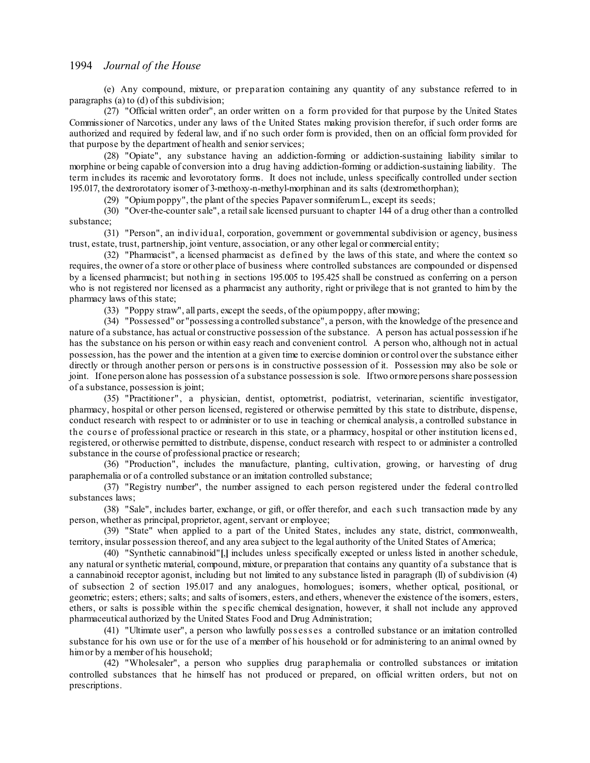(e) Any compound, mixture, or preparation containing any quantity of any substance referred to in paragraphs (a) to (d) of this subdivision;

(27) "Official written order", an order written on a form provided for that purpose by the United States Commissioner of Narcotics, under any laws of the United States making provision therefor, if such order forms are authorized and required by federal law, and if no such order form is provided, then on an official form provided for that purpose by the department of health and senior services;

(28) "Opiate", any substance having an addiction-forming or addiction-sustaining liability similar to morphine or being capable of conversion into a drug having addiction-forming or addiction-sustaining liability. The term includes its racemic and levorotatory forms. It does not include, unless specifically controlled under section 195.017, the dextrorotatory isomer of 3-methoxy-n-methyl-morphinan and its salts (dextromethorphan);

(29) "Opiumpoppy", the plant of the species PapaversomniferumL., except its seeds;

(30) "Over-the-countersale", a retailsale licensed pursuant to chapter 144 of a drug other than a controlled substance;

(31) "Person", an individual, corporation, government or governmental subdivision or agency, business trust, estate, trust, partnership, joint venture, association, or any other legal or commercial entity;

(32) "Pharmacist", a licensed pharmacist as defined by the laws of this state, and where the context so requires, the owner of a store or other place of business where controlled substances are compounded or dispensed by a licensed pharmacist; but nothing in sections 195.005 to 195.425 shall be construed as conferring on a person who is not registered nor licensed as a pharmacist any authority, right or privilege that is not granted to him by the pharmacy laws of this state;

(33) "Poppy straw", all parts, except the seeds, of the opiumpoppy, after mowing;

(34) "Possessed" or "possessing a controlled substance", a person, with the knowledge of the presence and nature of a substance, has actual or constructive possession of the substance. A person has actual possession if he has the substance on his person or within easy reach and convenient control. A person who, although not in actual possession, has the power and the intention at a given time to exercise dominion or control over the substance either directly or through another person or pers ons is in constructive possession of it. Possession may also be sole or joint. Ifone person alone has possession of a substance possession is sole. Iftwo ormore persons share possession of a substance, possession is joint;

(35) "Practitioner" , a physician, dentist, optometrist, podiatrist, veterinarian, scientific investigator, pharmacy, hospital or other person licensed, registered or otherwise permitted by this state to distribute, dispense, conduct research with respect to or administer or to use in teaching or chemical analysis, a controlled substance in the cours e of professional practice or research in this state, or a pharmacy, hospital or other institution licens ed, registered, or otherwise permitted to distribute, dispense, conduct research with respect to or administer a controlled substance in the course of professional practice or research;

(36) "Production", includes the manufacture, planting, cultivation, growing, or harvesting of drug paraphernalia or of a controlled substance or an imitation controlled substance;

(37) "Registry number", the number assigned to each person registered under the federal controlled substances laws;

(38) "Sale", includes barter, exchange, or gift, or offer therefor, and each s uch transaction made by any person, whether as principal, proprietor, agent, servant or employee;

(39) "State" when applied to a part of the United States, includes any state, district, commonwealth, territory, insular possession thereof, and any area subject to the legal authority of the United States of America;

(40) "Synthetic cannabinoid"**[**,**]** includes unless specifically excepted or unless listed in another schedule, any natural orsynthetic material, compound, mixture, or preparation that contains any quantity of a substance that is a cannabinoid receptor agonist, including but not limited to any substance listed in paragraph (ll) of subdivision (4) of subsection 2 of section 195.017 and any analogues, homologues; isomers, whether optical, positional, or geometric; esters; ethers; salts; and salts of isomers, esters, and ethers, whenever the existence of the isomers, esters, ethers, or salts is possible within the s pecific chemical designation, however, it shall not include any approved pharmaceutical authorized by the United States Food and Drug Administration;

(41) "Ultimate user", a person who lawfully poss ess es a controlled substance or an imitation controlled substance for his own use or for the use of a member of his household or for administering to an animal owned by himor by a member of his household;

(42) "Wholesaler", a person who supplies drug paraphernalia or controlled substances or imitation controlled substances that he himself has not produced or prepared, on official written orders, but not on prescriptions.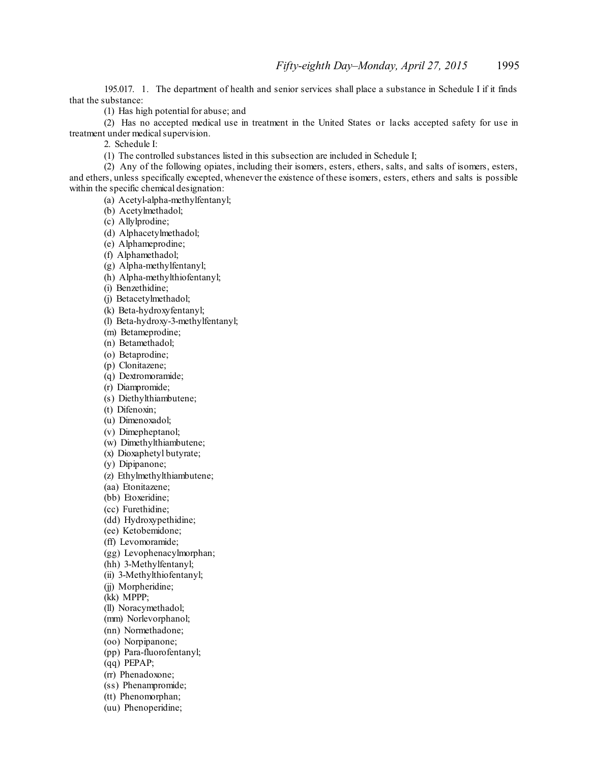195.017. 1. The department of health and senior services shall place a substance in Schedule I if it finds that the substance:

(1) Has high potential for abuse; and

(2) Has no accepted medical use in treatment in the United States or lacks accepted safety for use in treatment under medical supervision.

2. Schedule I:

(1) The controlled substances listed in this subsection are included in Schedule I;

(2) Any of the following opiates, including their isomers, esters, ethers, salts, and salts of isomers, esters, and ethers, unless specifically excepted, whenever the existence of these isomers, esters, ethers and salts is possible within the specific chemical designation:

(a) Acetyl-alpha-methylfentanyl;

(b) Acetylmethadol;

(c) Allylprodine;

(d) Alphacetylmethadol;

(e) Alphameprodine;

(f) Alphamethadol;

(g) Alpha-methylfentanyl;

(h) Alpha-methylthiofentanyl;

(i) Benzethidine;

(j) Betacetylmethadol;

(k) Beta-hydroxyfentanyl;

(l) Beta-hydroxy-3-methylfentanyl;

(m) Betameprodine;

(n) Betamethadol;

(o) Betaprodine;

(p) Clonitazene; (q) Dextromoramide;

(r) Diampromide;

(s) Diethylthiambutene;

(t) Difenoxin;

(u) Dimenoxadol;

(v) Dimepheptanol;

(w) Dimethylthiambutene;

(x) Dioxaphetyl butyrate;

(y) Dipipanone;

(z) Ethylmethylthiambutene;

(aa) Etonitazene;

(bb) Etoxeridine;

(cc) Furethidine;

(dd) Hydroxypethidine;

(ee) Ketobemidone;

(ff) Levomoramide;

(gg) Levophenacylmorphan;

(hh) 3-Methylfentanyl;

(ii) 3-Methylthiofentanyl;

(ii) Morpheridine;

(kk) MPPP;

(ll) Noracymethadol;

(mm) Norlevorphanol;

(nn) Normethadone;

(oo) Norpipanone;

(pp) Para-fluorofentanyl;

(qq) PEPAP;

(rr) Phenadoxone;

(ss) Phenampromide;

(tt) Phenomorphan;

(uu) Phenoperidine;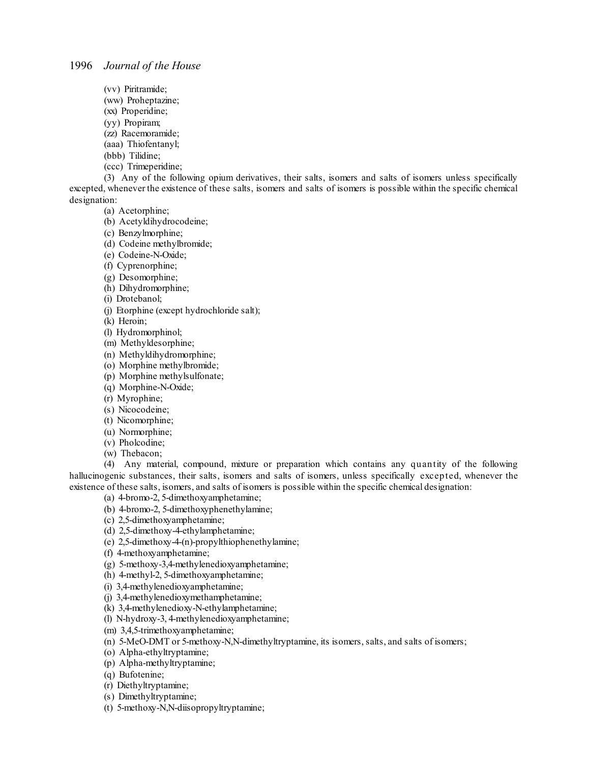- (vv) Piritramide;
- (ww) Proheptazine;
- (xx) Properidine;
- (yy) Propiram;
- (zz) Racemoramide;
- (aaa) Thiofentanyl;
- (bbb) Tilidine;
- (ccc) Trimeperidine;

(3) Any of the following opium derivatives, their salts, isomers and salts of isomers unless specifically excepted, whenever the existence of these salts, isomers and salts of isomers is possible within the specific chemical designation:

(a) Acetorphine;

- (b) Acetyldihydrocodeine;
- (c) Benzylmorphine;
- (d) Codeine methylbromide;
- (e) Codeine-N-Oxide;
- (f) Cyprenorphine;
- (g) Desomorphine;
- (h) Dihydromorphine;

(i) Drotebanol;

(j) Etorphine (except hydrochloride salt);

(k) Heroin;

- (l) Hydromorphinol;
- (m) Methyldesorphine;
- (n) Methyldihydromorphine;
- (o) Morphine methylbromide;
- (p) Morphine methylsulfonate;
- (q) Morphine-N-Oxide;
- (r) Myrophine;
- (s) Nicocodeine;
- (t) Nicomorphine;
- (u) Normorphine; (v) Pholcodine;
- 
- (w) Thebacon;

(4) Any material, compound, mixture or preparation which contains any quantity of the following hallucinogenic substances, their salts, isomers and salts of isomers, unless specifically excepted, whenever the existence of these salts, isomers, and salts of isomers is possible within the specific chemical designation:

(a) 4-bromo-2, 5-dimethoxyamphetamine;

- (b) 4-bromo-2, 5-dimethoxyphenethylamine;
- (c) 2,5-dimethoxyamphetamine;
- (d) 2,5-dimethoxy-4-ethylamphetamine;
- (e) 2,5-dimethoxy-4-(n)-propylthiophenethylamine;
- (f) 4-methoxyamphetamine;
- (g) 5-methoxy-3,4-methylenedioxyamphetamine;
- (h) 4-methyl-2, 5-dimethoxyamphetamine;
- (i) 3,4-methylenedioxyamphetamine;
- (j) 3,4-methylenedioxymethamphetamine;
- (k) 3,4-methylenedioxy-N-ethylamphetamine;
- (l) N-hydroxy-3, 4-methylenedioxyamphetamine;
- (m) 3,4,5-trimethoxyamphetamine;
- (n) 5-MeO-DMT or 5-methoxy-N,N-dimethyltryptamine, its isomers, salts, and salts of isomers;
- (o) Alpha-ethyltryptamine;
- (p) Alpha-methyltryptamine;
- (q) Bufotenine;
- (r) Diethyltryptamine;
- (s) Dimethyltryptamine;
- (t) 5-methoxy-N,N-diisopropyltryptamine;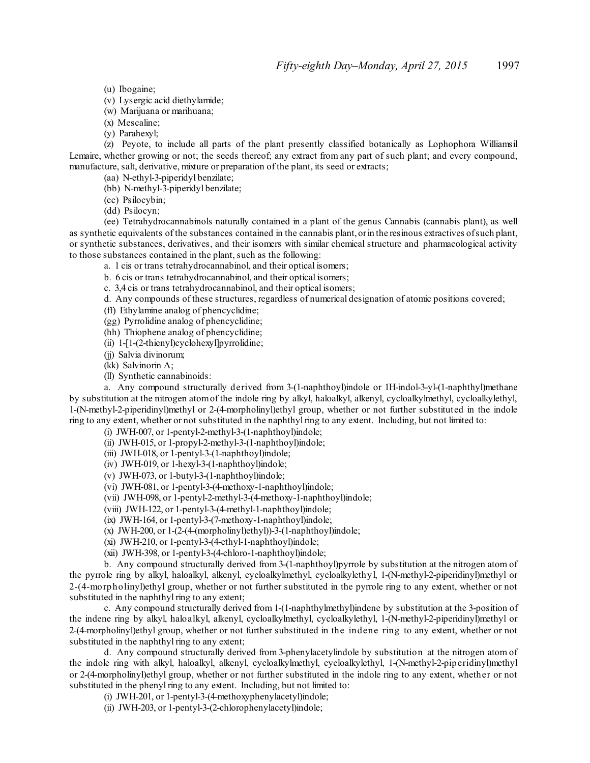(u) Ibogaine;

(v) Lysergic acid diethylamide;

(w) Marijuana or marihuana;

(x) Mescaline;

(y) Parahexyl;

(z) Peyote, to include all parts of the plant presently classified botanically as Lophophora Williamsil Lemaire, whether growing or not; the seeds thereof; any extract from any part of such plant; and every compound, manufacture, salt, derivative, mixture or preparation of the plant, its seed or extracts;

(aa) N-ethyl-3-piperidyl benzilate;

(bb) N-methyl-3-piperidyl benzilate;

(cc) Psilocybin;

(dd) Psilocyn;

(ee) Tetrahydrocannabinols naturally contained in a plant of the genus Cannabis (cannabis plant), as well as synthetic equivalents of the substances contained in the cannabis plant,orin the resinous extractives ofsuch plant, or synthetic substances, derivatives, and their isomers with similar chemical structure and pharmacological activity to those substances contained in the plant, such as the following:

a. 1 cis or trans tetrahydrocannabinol, and their optical isomers;

b. 6 cis or trans tetrahydrocannabinol, and their optical isomers;

c. 3,4 cis or trans tetrahydrocannabinol, and their optical isomers;

d. Any compounds of these structures, regardless of numerical designation of atomic positions covered;

(ff) Ethylamine analog of phencyclidine;

(gg) Pyrrolidine analog of phencyclidine;

(hh) Thiophene analog of phencyclidine;

(ii) 1-[1-(2-thienyl)cyclohexyl]pyrrolidine;

(jj) Salvia divinorum;

(kk) Salvinorin A;

(ll) Synthetic cannabinoids:

a. Any compound structurally derived from 3-(1-naphthoyl)indole or 1H-indol-3-yl-(1-naphthyl)methane by substitution at the nitrogen atomof the indole ring by alkyl, haloalkyl, alkenyl, cycloalkylmethyl, cycloalkylethyl, 1-(N-methyl-2-piperidinyl)methyl or 2-(4-morpholinyl)ethyl group, whether or not further substituted in the indole ring to any extent, whether or not substituted in the naphthylring to any extent. Including, but not limited to:

(i) JWH-007, or 1-pentyl-2-methyl-3-(1-naphthoyl)indole;

(ii) JWH-015, or 1-propyl-2-methyl-3-(1-naphthoyl)indole;

(iii) JWH-018, or 1-pentyl-3-(1-naphthoyl)indole;

(iv) JWH-019, or 1-hexyl-3-(1-naphthoyl)indole;

(v) JWH-073, or 1-butyl-3-(1-naphthoyl)indole;

(vi) JWH-081, or 1-pentyl-3-(4-methoxy-1-naphthoyl)indole;

(vii) JWH-098, or 1-pentyl-2-methyl-3-(4-methoxy-1-naphthoyl)indole;

(viii) JWH-122, or 1-pentyl-3-(4-methyl-1-naphthoyl)indole;

(ix) JWH-164, or 1-pentyl-3-(7-methoxy-1-naphthoyl)indole;

(x) JWH-200, or  $1-(2-(4-(morpholinyl)ethyl))-3-(1-naphthoyl)indole;$ 

(xi) JWH-210, or 1-pentyl-3-(4-ethyl-1-naphthoyl)indole;

(xii) JWH-398, or 1-pentyl-3-(4-chloro-1-naphthoyl)indole;

b. Any compound structurally derived from 3-(1-naphthoyl)pyrrole by substitution at the nitrogen atom of the pyrrole ring by alkyl, haloalkyl, alkenyl, cycloalkylmethyl, cycloalkylethyl, 1-(N-methyl-2-piperidinyl)methyl or 2-(4-morpholinyl)ethyl group, whether or not further substituted in the pyrrole ring to any extent, whether or not substituted in the naphthyl ring to any extent;

c. Any compound structurally derived from 1-(1-naphthylmethyl)indene by substitution at the 3-position of the indene ring by alkyl, haloalkyl, alkenyl, cycloalkylmethyl, cycloalkylethyl, 1-(N-methyl-2-piperidinyl)methyl or 2-(4-morpholinyl)ethyl group, whether or not further substituted in the indene ring to any extent, whether or not substituted in the naphthyl ring to any extent;

d. Any compound structurally derived from 3-phenylacetylindole by substitution at the nitrogen atom of the indole ring with alkyl, haloalkyl, alkenyl, cycloalkylmethyl, cycloalkylethyl, 1-(N-methyl-2-piperidinyl)methyl or 2-(4-morpholinyl)ethyl group, whether or not further substituted in the indole ring to any extent, whether or not substituted in the phenyl ring to any extent. Including, but not limited to:

(i) JWH-201, or 1-pentyl-3-(4-methoxyphenylacetyl)indole;

(ii) JWH-203, or 1-pentyl-3-(2-chlorophenylacetyl)indole;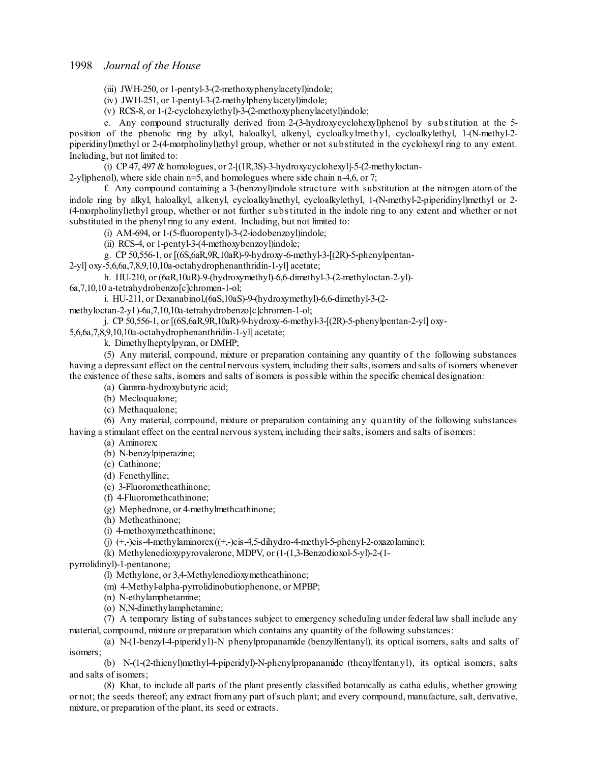(iii) JWH-250, or 1-pentyl-3-(2-methoxyphenylacetyl)indole;

(iv) JWH-251, or 1-pentyl-3-(2-methylphenylacetyl)indole;

(v) RCS-8, or 1-(2-cyclohexylethyl)-3-(2-methoxyphenylacetyl)indole;

e. Any compound structurally derived from 2-(3-hydroxycyclohexyl)phenol by s ubstitution at the 5 position of the phenolic ring by alkyl, haloalkyl, alkenyl, cycloalkylmethyl, cycloalkylethyl, 1-(N-methyl-2 piperidinyl)methyl or 2-(4-morpholinyl)ethyl group, whether or not substituted in the cyclohexyl ring to any extent. Including, but not limited to:

(i) CP 47, 497  $&$  homologues, or 2-[(1R,3S)-3-hydroxycyclohexyl]-5-(2-methyloctan-

2-yl)phenol), where side chain  $n=5$ , and homologues where side chain  $n=4,6$ , or 7;

f. Any compound containing a 3-(benzoyl)indole structure with substitution at the nitrogen atom of the indole ring by alkyl, haloalkyl, alkenyl, cycloalkylmethyl, cycloalkylethyl, 1-(N-methyl-2-piperidinyl)methyl or 2- (4-morpholinyl)ethyl group, whether or not further s ubstituted in the indole ring to any extent and whether or not substituted in the phenyl ring to any extent. Including, but not limited to:

(i) AM-694, or 1-(5-fluoropentyl)-3-(2-iodobenzoyl)indole;

(ii) RCS-4, or 1-pentyl-3-(4-methoxybenzoyl)indole;

g. CP 50,556-1, or [(6S,6aR,9R,10aR)-9-hydroxy-6-methyl-3-[(2R)-5-phenylpentan-

2-yl] oxy-5,6,6a,7,8,9,10,10a-octahydrophenanthridin-1-yl] acetate;

h. HU-210, or (6aR,10aR)-9-(hydroxymethyl)-6,6-dimethyl-3-(2-methyloctan-2-yl)- 6a,7,10,10 a-tetrahydrobenzo[c]chromen-1-ol;

i. HU-211, or Dexanabinol,(6aS,10aS)-9-(hydroxymethyl)-6,6-dimethyl-3-(2-

methyloctan-2-yl )-6a,7,10,10a-tetrahydrobenzo[c]chromen-1-ol;

j. CP 50,556-1, or [(6S,6aR,9R,10aR)-9-hydroxy-6-methyl-3-[(2R)-5-phenylpentan-2-yl] oxy-

5,6,6a,7,8,9,10,10a-octahydrophenanthridin-1-yl] acetate;

k. Dimethylheptylpyran, or DMHP;

(5) Any material, compound, mixture or preparation containing any quantity of the following substances having a depressant effect on the central nervous system, including their salts, isomers and salts of isomers whenever the existence of these salts, isomers and salts of isomers is possible within the specific chemical designation:

(a) Gamma-hydroxybutyric acid;

(b) Mecloqualone;

(c) Methaqualone;

(6) Any material, compound, mixture or preparation containing any quantity of the following substances having a stimulant effect on the central nervous system, including their salts, isomers and salts of isomers:

(a) Aminorex;

(b) N-benzylpiperazine;

(c) Cathinone;

(d) Fenethylline;

(e) 3-Fluoromethcathinone;

(f) 4-Fluoromethcathinone;

(g) Mephedrone, or 4-methylmethcathinone;

(h) Methcathinone;

(i) 4-methoxymethcathinone;

(j)  $(+,-)$ cis-4-methylaminorex $((+,-)$ cis-4,5-dihydro-4-methyl-5-phenyl-2-oxazolamine);

(k) Methylenedioxypyrovalerone, MDPV, or (1-(1,3-Benzodioxol-5-yl)-2-(1-

pyrrolidinyl)-1-pentanone;

(l) Methylone, or 3,4-Methylenedioxymethcathinone;

(m) 4-Methyl-alpha-pyrrolidinobutiophenone, or MPBP;

(n) N-ethylamphetamine;

(o) N,N-dimethylamphetamine;

(7) A temporary listing of substances subject to emergency scheduling under federal law shall include any material, compound, mixture or preparation which contains any quantity of the following substances:

(a) N-(1-benzyl-4-piperidyl)-N phenylpropanamide (benzylfentanyl), its optical isomers, salts and salts of isomers;

(b) N-(1-(2-thienyl)methyl-4-piperidyl)-N-phenylpropanamide (thenylfentanyl), its optical isomers, salts and salts of isomers;

(8) Khat, to include all parts of the plant presently classified botanically as catha edulis, whether growing or not; the seeds thereof; any extract fromany part ofsuch plant; and every compound, manufacture, salt, derivative, mixture, or preparation of the plant, its seed or extracts.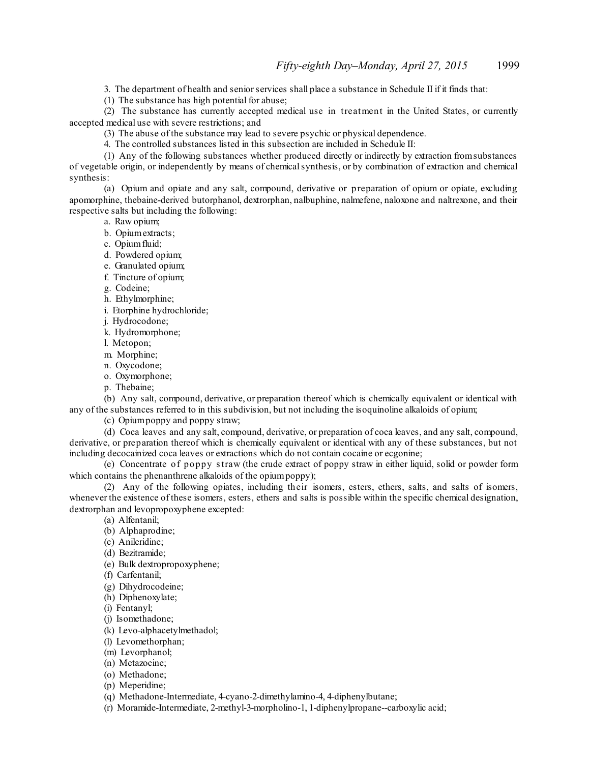3. The department of health and senior services shall place a substance in Schedule II if it finds that:

(1) The substance has high potential for abuse;

(2) The substance has currently accepted medical use in treatment in the United States, or currently accepted medical use with severe restrictions; and

(3) The abuse of the substance may lead to severe psychic or physical dependence.

4. The controlled substances listed in this subsection are included in Schedule II:

(1) Any of the following substances whether produced directly or indirectly by extraction fromsubstances of vegetable origin, or independently by means of chemicalsynthesis, or by combination of extraction and chemical synthesis:

(a) Opium and opiate and any salt, compound, derivative or preparation of opium or opiate, excluding apomorphine, thebaine-derived butorphanol, dextrorphan, nalbuphine, nalmefene, naloxone and naltrexone, and their respective salts but including the following:

a. Raw opium;

- b. Opiumextracts;
- c. Opiumfluid;
- d. Powdered opium;
- e. Granulated opium;
- f. Tincture of opium;
- g. Codeine;
- h. Ethylmorphine;
- i. Etorphine hydrochloride;
- j. Hydrocodone;
- k. Hydromorphone;
- l. Metopon;
- m. Morphine;
- n. Oxycodone;
- o. Oxymorphone;
- p. Thebaine;

(b) Any salt, compound, derivative, or preparation thereof which is chemically equivalent or identical with any of the substances referred to in this subdivision, but not including the isoquinoline alkaloids of opium;

(c) Opiumpoppy and poppy straw;

(d) Coca leaves and any salt, compound, derivative, or preparation of coca leaves, and any salt, compound, derivative, or preparation thereof which is chemically equivalent or identical with any of these substances, but not including decocainized coca leaves or extractions which do not contain cocaine or ecgonine;

(e) Concentrate of poppy straw (the crude extract of poppy straw in either liquid, solid or powder form which contains the phenanthrene alkaloids of the opium poppy);

(2) Any of the following opiates, including their isomers, esters, ethers, salts, and salts of isomers, whenever the existence of these isomers, esters, ethers and salts is possible within the specific chemical designation, dextrorphan and levopropoxyphene excepted:

(a) Alfentanil;

- (b) Alphaprodine;
- (c) Anileridine;
- (d) Bezitramide;
- (e) Bulk dextropropoxyphene;
- (f) Carfentanil;
- (g) Dihydrocodeine;
- (h) Diphenoxylate;
- (i) Fentanyl;
- (j) Isomethadone;
- (k) Levo-alphacetylmethadol;
- (l) Levomethorphan;
- (m) Levorphanol;
- (n) Metazocine;
- (o) Methadone;
- (p) Meperidine;
- (q) Methadone-Intermediate, 4-cyano-2-dimethylamino-4, 4-diphenylbutane;
- (r) Moramide-Intermediate, 2-methyl-3-morpholino-1, 1-diphenylpropane--carboxylic acid;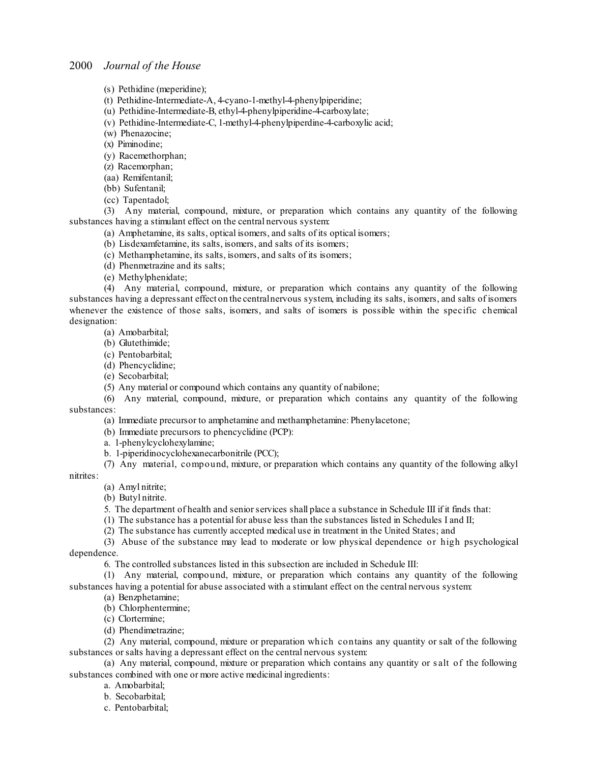(s) Pethidine (meperidine);

(t) Pethidine-Intermediate-A, 4-cyano-1-methyl-4-phenylpiperidine;

(u) Pethidine-Intermediate-B, ethyl-4-phenylpiperidine-4-carboxylate;

(v) Pethidine-Intermediate-C, 1-methyl-4-phenylpiperdine-4-carboxylic acid;

(w) Phenazocine;

(x) Piminodine;

(y) Racemethorphan;

(z) Racemorphan;

(aa) Remifentanil; (bb) Sufentanil;

(cc) Tapentadol;

(3) Any material, compound, mixture, or preparation which contains any quantity of the following substances having a stimulant effect on the central nervous system:

(a) Amphetamine, its salts, optical isomers, and salts of its optical isomers;

(b) Lisdexamfetamine, its salts, isomers, and salts of its isomers;

(c) Methamphetamine, its salts, isomers, and salts of its isomers;

(d) Phenmetrazine and its salts;

(e) Methylphenidate;

(4) Any material, compound, mixture, or preparation which contains any quantity of the following substances having a depressant effect on the centralnervous system, including its salts, isomers, and salts of isomers whenever the existence of those salts, isomers, and salts of isomers is possible within the specific chemical designation:

(a) Amobarbital;

(b) Glutethimide;

(c) Pentobarbital;

(d) Phencyclidine;

(e) Secobarbital;

(5) Any material or compound which contains any quantity of nabilone;

(6) Any material, compound, mixture, or preparation which contains any quantity of the following substances:

(a) Immediate precursor to amphetamine and methamphetamine: Phenylacetone;

(b) Immediate precursors to phencyclidine (PCP):

a. 1-phenylcyclohexylamine;

b. 1-piperidinocyclohexanecarbonitrile (PCC);

(7) Any material, compound, mixture, or preparation which contains any quantity of the following alkyl

nitrites:

(a) Amyl nitrite;

(b) Butyl nitrite.

5. The department of health and senior services shall place a substance in Schedule III if it finds that:

(1) The substance has a potential for abuse less than the substances listed in Schedules I and II;

(2) The substance has currently accepted medical use in treatment in the United States; and

(3) Abuse of the substance may lead to moderate or low physical dependence or high psychological dependence.

6. The controlled substances listed in this subsection are included in Schedule III:

(1) Any material, compound, mixture, or preparation which contains any quantity of the following substances having a potential for abuse associated with a stimulant effect on the central nervous system:

(a) Benzphetamine;

(b) Chlorphentermine;

(c) Clortermine;

(d) Phendimetrazine;

(2) Any material, compound, mixture or preparation which contains any quantity or salt of the following substances orsalts having a depressant effect on the central nervous system:

(a) Any material, compound, mixture or preparation which contains any quantity or s alt of the following substances combined with one or more active medicinal ingredients:

a. Amobarbital;

b. Secobarbital;

c. Pentobarbital;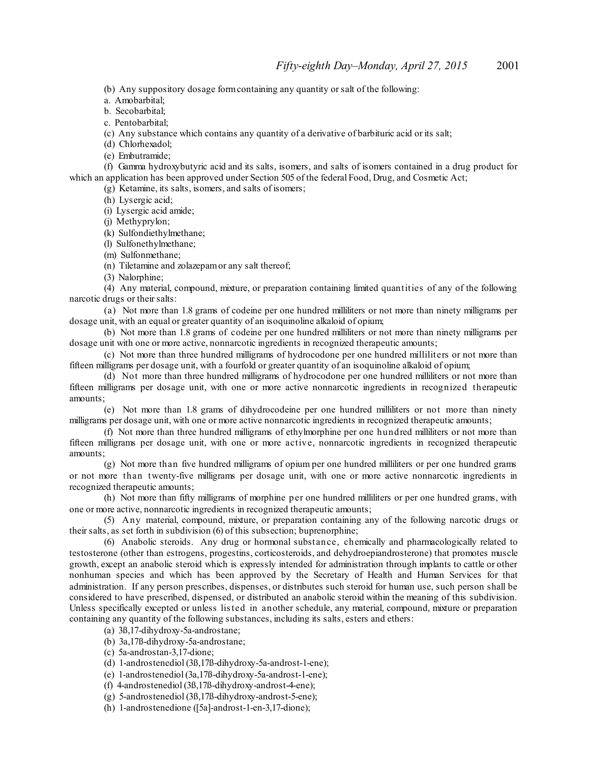(b) Any suppository dosage formcontaining any quantity orsalt of the following:

a. Amobarbital;

b. Secobarbital;

c. Pentobarbital;

(c) Any substance which contains any quantity of a derivative of barbituric acid or its salt;

(d) Chlorhexadol;

(e) Embutramide;

(f) Gamma hydroxybutyric acid and its salts, isomers, and salts of isomers contained in a drug product for which an application has been approved under Section 505 of the federal Food, Drug, and Cosmetic Act;

(g) Ketamine, its salts, isomers, and salts of isomers;

(h) Lysergic acid;

(i) Lysergic acid amide;

(j) Methyprylon;

(k) Sulfondiethylmethane;

(l) Sulfonethylmethane;

(m) Sulfonmethane;

(n) Tiletamine and zolazepamor any salt thereof;

(3) Nalorphine;

(4) Any material, compound, mixture, or preparation containing limited quantities of any of the following narcotic drugs or their salts:

(a) Not more than 1.8 grams of codeine per one hundred milliliters or not more than ninety milligrams per dosage unit, with an equal or greater quantity of an isoquinoline alkaloid of opium;

(b) Not more than 1.8 grams of codeine per one hundred milliliters or not more than ninety milligrams per dosage unit with one or more active, nonnarcotic ingredients in recognized therapeutic amounts;

(c) Not more than three hundred milligrams of hydrocodone per one hundred milliliters or not more than fifteen milligrams per dosage unit, with a fourfold or greater quantity of an isoquinoline alkaloid of opium;

(d) Not more than three hundred milligrams of hydrocodone per one hundred milliliters or not more than fifteen milligrams per dosage unit, with one or more active nonnarcotic ingredients in recognized therapeutic amounts;

(e) Not more than 1.8 grams of dihydrocodeine per one hundred milliliters or not more than ninety milligrams per dosage unit, with one or more active nonnarcotic ingredients in recognized therapeutic amounts;

(f) Not more than three hundred milligrams of ethylmorphine per one hundred milliliters or not more than fifteen milligrams per dosage unit, with one or more active, nonnarcotic ingredients in recognized therapeutic amounts;

(g) Not more than five hundred milligrams of opium per one hundred milliliters or per one hundred grams or not more than twenty-five milligrams per dosage unit, with one or more active nonnarcotic ingredients in recognized therapeutic amounts;

(h) Not more than fifty milligrams of morphine per one hundred milliliters or per one hundred grams, with one or more active, nonnarcotic ingredients in recognized therapeutic amounts;

(5) Any material, compound, mixture, or preparation containing any of the following narcotic drugs or their salts, as set forth in subdivision (6) of this subsection; buprenorphine;

(6) Anabolic steroids. Any drug or hormonal substance, chemically and pharmacologically related to testosterone (other than estrogens, progestins, corticosteroids, and dehydroepiandrosterone) that promotes muscle growth, except an anabolic steroid which is expressly intended for administration through implants to cattle or other nonhuman species and which has been approved by the Secretary of Health and Human Services for that administration. If any person prescribes, dispenses, or distributes such steroid for human use, such person shall be considered to have prescribed, dispensed, or distributed an anabolic steroid within the meaning of this subdivision. Unless specifically excepted or unless listed in another schedule, any material, compound, mixture or preparation containing any quantity of the following substances, including its salts, esters and ethers:

(a) 3ß,17-dihydroxy-5a-androstane;

(b) 3a,17ß-dihydroxy-5a-androstane;

(c) 5a-androstan-3,17-dione;

(d) 1-androstenediol (3ß,17ß-dihydroxy-5a-androst-1-ene);

(e) 1-androstenediol (3a,17ß-dihydroxy-5a-androst-1-ene);

(f) 4-androstenediol (3ß,17ß-dihydroxy-androst-4-ene);

(g) 5-androstenediol (3ß,17ß-dihydroxy-androst-5-ene);

(h) 1-androstenedione ([5a]-androst-1-en-3,17-dione);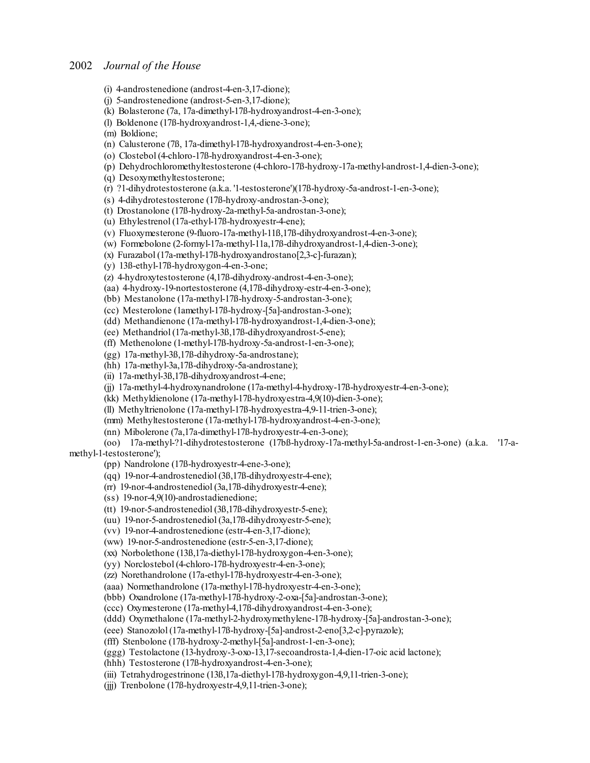- (i) 4-androstenedione (androst-4-en-3,17-dione);
- (j) 5-androstenedione (androst-5-en-3,17-dione);
- (k) Bolasterone (7a, 17a-dimethyl-17ß-hydroxyandrost-4-en-3-one);
- (l) Boldenone (17ß-hydroxyandrost-1,4,-diene-3-one);
- (m) Boldione;
- (n) Calusterone (7ß, 17a-dimethyl-17ß-hydroxyandrost-4-en-3-one);
- (o) Clostebol (4-chloro-17ß-hydroxyandrost-4-en-3-one);

(p) Dehydrochloromethyltestosterone (4-chloro-17ß-hydroxy-17a-methyl-androst-1,4-dien-3-one);

(q) Desoxymethyltestosterone;

- (r) ?1-dihydrotestosterone (a.k.a. '1-testosterone')(17ß-hydroxy-5a-androst-1-en-3-one);
- (s) 4-dihydrotestosterone (17ß-hydroxy-androstan-3-one);
- (t) Drostanolone (17ß-hydroxy-2a-methyl-5a-androstan-3-one);
- (u) Ethylestrenol (17a-ethyl-17ß-hydroxyestr-4-ene);
- (v) Fluoxymesterone (9-fluoro-17a-methyl-11ß,17ß-dihydroxyandrost-4-en-3-one);
- (w) Formebolone (2-formyl-17a-methyl-11a,17ß-dihydroxyandrost-1,4-dien-3-one);
- (x) Furazabol (17a-methyl-17ß-hydroxyandrostano[2,3-c]-furazan);
- (y) 13ß-ethyl-17ß-hydroxygon-4-en-3-one;
- (z) 4-hydroxytestosterone (4,17ß-dihydroxy-androst-4-en-3-one);
- (aa) 4-hydroxy-19-nortestosterone (4,17ß-dihydroxy-estr-4-en-3-one);
- (bb) Mestanolone (17a-methyl-17ß-hydroxy-5-androstan-3-one);
- (cc) Mesterolone (1amethyl-17ß-hydroxy-[5a]-androstan-3-one);
- (dd) Methandienone (17a-methyl-17ß-hydroxyandrost-1,4-dien-3-one);
- (ee) Methandriol (17a-methyl-3ß,17ß-dihydroxyandrost-5-ene);
- (ff) Methenolone (1-methyl-17ß-hydroxy-5a-androst-1-en-3-one);
- (gg) 17a-methyl-3ß,17ß-dihydroxy-5a-androstane);
- (hh) 17a-methyl-3a,17ß-dihydroxy-5a-androstane);
- (ii) 17a-methyl-3ß,17ß-dihydroxyandrost-4-ene;
- (jj) 17a-methyl-4-hydroxynandrolone (17a-methyl-4-hydroxy-17ß-hydroxyestr-4-en-3-one);
- (kk) Methyldienolone (17a-methyl-17ß-hydroxyestra-4,9(10)-dien-3-one);
- (ll) Methyltrienolone (17a-methyl-17ß-hydroxyestra-4,9-11-trien-3-one);
- (mm) Methyltestosterone (17a-methyl-17ß-hydroxyandrost-4-en-3-one);
- (nn) Mibolerone (7a,17a-dimethyl-17ß-hydroxyestr-4-en-3-one);

(oo) 17a-methyl-?1-dihydrotestosterone (17bß-hydroxy-17a-methyl-5a-androst-1-en-3-one) (a.k.a. '17-amethyl-1-testosterone');

- (pp) Nandrolone (17ß-hydroxyestr-4-ene-3-one);
- (qq) 19-nor-4-androstenediol (3ß,17ß-dihydroxyestr-4-ene);
- (rr) 19-nor-4-androstenediol (3a,17ß-dihydroxyestr-4-ene);
- (ss) 19-nor-4,9(10)-androstadienedione;
- (tt) 19-nor-5-androstenediol (3ß,17ß-dihydroxyestr-5-ene);
- (uu) 19-nor-5-androstenediol (3a,17ß-dihydroxyestr-5-ene);
- (vv) 19-nor-4-androstenedione (estr-4-en-3,17-dione);
- (ww) 19-nor-5-androstenedione (estr-5-en-3,17-dione);
- (xx) Norbolethone (13ß,17a-diethyl-17ß-hydroxygon-4-en-3-one);
- (yy) Norclostebol (4-chloro-17ß-hydroxyestr-4-en-3-one);
- (zz) Norethandrolone (17a-ethyl-17ß-hydroxyestr-4-en-3-one);
- (aaa) Normethandrolone (17a-methyl-17ß-hydroxyestr-4-en-3-one);
- (bbb) Oxandrolone (17a-methyl-17ß-hydroxy-2-oxa-[5a]-androstan-3-one);
- (ccc) Oxymesterone (17a-methyl-4,17ß-dihydroxyandrost-4-en-3-one);
- (ddd) Oxymethalone (17a-methyl-2-hydroxymethylene-17ß-hydroxy-[5a]-androstan-3-one);
- (eee) Stanozolol (17a-methyl-17ß-hydroxy-[5a]-androst-2-eno[3,2-c]-pyrazole);
- (fff) Stenbolone (17ß-hydroxy-2-methyl-[5a]-androst-1-en-3-one);
- (ggg) Testolactone (13-hydroxy-3-oxo-13,17-secoandrosta-1,4-dien-17-oic acid lactone);
- (hhh) Testosterone (17ß-hydroxyandrost-4-en-3-one);
- (iii) Tetrahydrogestrinone (13ß,17a-diethyl-17ß-hydroxygon-4,9,11-trien-3-one);
- (jjj) Trenbolone (17ß-hydroxyestr-4,9,11-trien-3-one);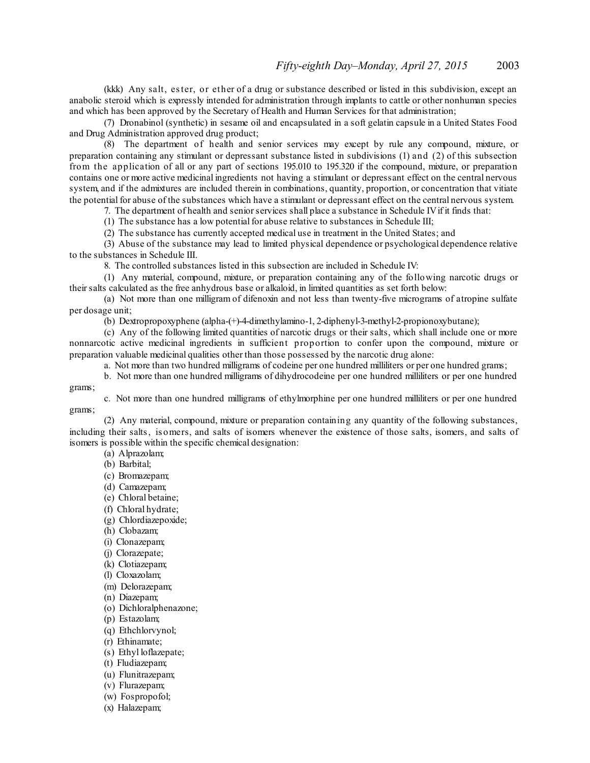(kkk) Any salt, ester, or ether of a drug or substance described or listed in this subdivision, except an anabolic steroid which is expressly intended for administration through implants to cattle or other nonhuman species and which has been approved by the Secretary of Health and Human Services for that administration;

(7) Dronabinol (synthetic) in sesame oil and encapsulated in a soft gelatin capsule in a United States Food and Drug Administration approved drug product;

(8) The department of health and senior services may except by rule any compound, mixture, or preparation containing any stimulant or depressant substance listed in subdivisions (1) and (2) of this subsection from the application of all or any part of sections 195.010 to 195.320 if the compound, mixture, or preparation contains one or more active medicinal ingredients not having a stimulant or depressant effect on the central nervous system, and if the admixtures are included therein in combinations, quantity, proportion, or concentration that vitiate the potential for abuse of the substances which have a stimulant or depressant effect on the central nervous system.

7. The department of health and senior services shall place a substance in Schedule IV if it finds that:

(1) The substance has a low potential for abuse relative to substances in Schedule III;

(2) The substance has currently accepted medical use in treatment in the United States; and

(3) Abuse of the substance may lead to limited physical dependence or psychological dependence relative to the substances in Schedule III.

8. The controlled substances listed in this subsection are included in Schedule IV:

(1) Any material, compound, mixture, or preparation containing any of the following narcotic drugs or their salts calculated as the free anhydrous base or alkaloid, in limited quantities as set forth below:

(a) Not more than one milligram of difenoxin and not less than twenty-five micrograms of atropine sulfate per dosage unit;

(b) Dextropropoxyphene (alpha-(+)-4-dimethylamino-1, 2-diphenyl-3-methyl-2-propionoxybutane);

(c) Any of the following limited quantities of narcotic drugs or their salts, which shall include one or more nonnarcotic active medicinal ingredients in sufficient proportion to confer upon the compound, mixture or preparation valuable medicinal qualities other than those possessed by the narcotic drug alone:

a. Not more than two hundred milligrams of codeine per one hundred milliliters or per one hundred grams;

b. Not more than one hundred milligrams of dihydrocodeine per one hundred milliliters or per one hundred grams;

c. Not more than one hundred milligrams of ethylmorphine per one hundred milliliters or per one hundred grams;

(2) Any material, compound, mixture or preparation containing any quantity of the following substances, including their salts, is omers, and salts of isomers whenever the existence of those salts, isomers, and salts of isomers is possible within the specific chemical designation:

(a) Alprazolam;

(b) Barbital;

- (c) Bromazepam;
- (d) Camazepam;
- (e) Chloral betaine;
- (f) Chloral hydrate;
- (g) Chlordiazepoxide;
- (h) Clobazam;
- (i) Clonazepam;
- (j) Clorazepate;
- (k) Clotiazepam;
- (l) Cloxazolam;
- (m) Delorazepam;
- (n) Diazepam;
- (o) Dichloralphenazone;
- (p) Estazolam;
- (q) Ethchlorvynol;
- (r) Ethinamate;
- (s) Ethyl loflazepate;
- (t) Fludiazepam;
- (u) Flunitrazepam;
- (v) Flurazepam;
- (w) Fospropofol;
- (x) Halazepam;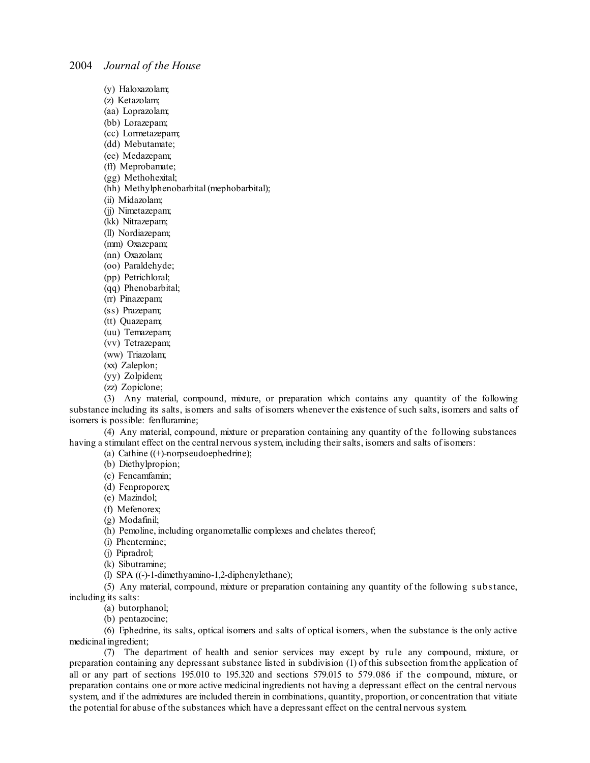- (y) Haloxazolam;
- (z) Ketazolam;
- (aa) Loprazolam;
- (bb) Lorazepam;
- (cc) Lormetazepam;
- (dd) Mebutamate;
- (ee) Medazepam;
- (ff) Meprobamate;
- (gg) Methohexital;
- (hh) Methylphenobarbital(mephobarbital);
- (ii) Midazolam;
- (jj) Nimetazepam;
- (kk) Nitrazepam;
- (ll) Nordiazepam;
- (mm) Oxazepam;
- (nn) Oxazolam;
- (oo) Paraldehyde;
- (pp) Petrichloral;
- (qq) Phenobarbital;
- (rr) Pinazepam;
- (ss) Prazepam;
- (tt) Quazepam;
- (uu) Temazepam;
- (vv) Tetrazepam;
- (ww) Triazolam;
- (xx) Zaleplon;
- (yy) Zolpidem;
- (zz) Zopiclone;

(3) Any material, compound, mixture, or preparation which contains any quantity of the following substance including its salts, isomers and salts of isomers whenever the existence ofsuch salts, isomers and salts of isomers is possible: fenfluramine;

(4) Any material, compound, mixture or preparation containing any quantity of the following substances having a stimulant effect on the central nervous system, including their salts, isomers and salts of isomers:

(a) Cathine ((+)-norpseudoephedrine);

(b) Diethylpropion;

- (c) Fencamfamin;
- (d) Fenproporex;
- (e) Mazindol;
- (f) Mefenorex;
- (g) Modafinil;
- (h) Pemoline, including organometallic complexes and chelates thereof;
- (i) Phentermine;
- (j) Pipradrol;
- (k) Sibutramine;
- (l) SPA ((-)-1-dimethyamino-1,2-diphenylethane);
- (5) Any material, compound, mixture or preparation containing any quantity of the following s ubstance, including its salts:
	- (a) butorphanol;
	- (b) pentazocine;

(6) Ephedrine, its salts, optical isomers and salts of optical isomers, when the substance is the only active medicinal ingredient;

(7) The department of health and senior services may except by rule any compound, mixture, or preparation containing any depressant substance listed in subdivision (1) of this subsection fromthe application of all or any part of sections 195.010 to 195.320 and sections 579.015 to 579.086 if the compound, mixture, or preparation contains one or more active medicinal ingredients not having a depressant effect on the central nervous system, and if the admixtures are included therein in combinations, quantity, proportion, or concentration that vitiate the potential for abuse of the substances which have a depressant effect on the central nervous system.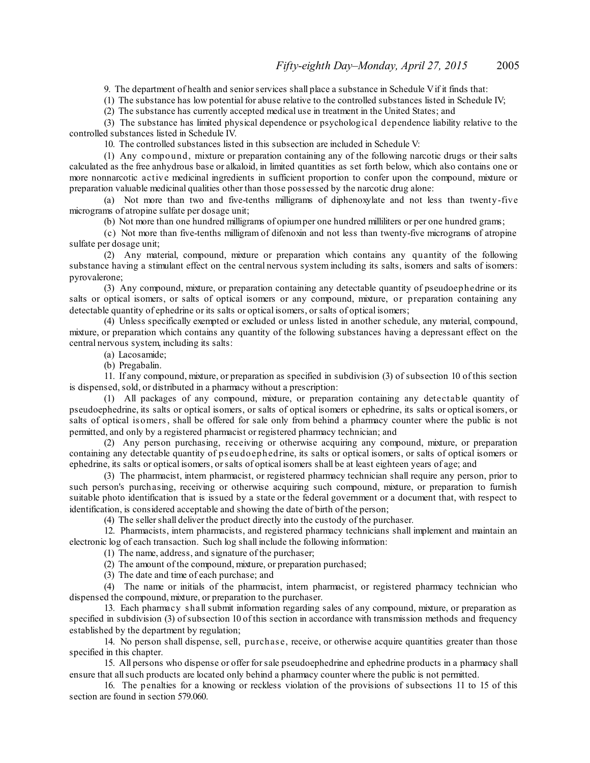9. The department of health and senior services shall place a substance in Schedule V if it finds that:

(1) The substance has low potential for abuse relative to the controlled substances listed in Schedule IV;

(2) The substance has currently accepted medical use in treatment in the United States; and

(3) The substance has limited physical dependence or psychological dependence liability relative to the controlled substances listed in Schedule IV.

10. The controlled substances listed in this subsection are included in Schedule V:

(1) Any compound, mixture or preparation containing any of the following narcotic drugs or their salts calculated as the free anhydrous base or alkaloid, in limited quantities as set forth below, which also contains one or more nonnarcotic active medicinal ingredients in sufficient proportion to confer upon the compound, mixture or preparation valuable medicinal qualities other than those possessed by the narcotic drug alone:

(a) Not more than two and five-tenths milligrams of diphenoxylate and not less than twenty-five micrograms of atropine sulfate per dosage unit;

(b) Not more than one hundred milligrams of opiumper one hundred milliliters or per one hundred grams;

(c) Not more than five-tenths milligram of difenoxin and not less than twenty-five micrograms of atropine sulfate per dosage unit;

(2) Any material, compound, mixture or preparation which contains any quantity of the following substance having a stimulant effect on the central nervous system including its salts, isomers and salts of isomers: pyrovalerone;

(3) Any compound, mixture, or preparation containing any detectable quantity of pseudoephedrine or its salts or optical isomers, or salts of optical isomers or any compound, mixture, or preparation containing any detectable quantity of ephedrine or its salts or optical isomers, orsalts of optical isomers;

(4) Unless specifically exempted or excluded or unless listed in another schedule, any material, compound, mixture, or preparation which contains any quantity of the following substances having a depressant effect on the central nervous system, including its salts:

(a) Lacosamide;

(b) Pregabalin.

11. If any compound, mixture, or preparation as specified in subdivision (3) of subsection 10 of this section is dispensed, sold, or distributed in a pharmacy without a prescription:

(1) All packages of any compound, mixture, or preparation containing any detectable quantity of pseudoephedrine, its salts or optical isomers, or salts of optical isomers or ephedrine, its salts or optical isomers, or salts of optical is omers, shall be offered for sale only from behind a pharmacy counter where the public is not permitted, and only by a registered pharmacist or registered pharmacy technician; and

(2) Any person purchasing, receiving or otherwise acquiring any compound, mixture, or preparation containing any detectable quantity of ps eudoephedrine, its salts or optical isomers, or salts of optical isomers or ephedrine, its salts or optical isomers, orsalts of optical isomers shall be at least eighteen years of age; and

(3) The pharmacist, intern pharmacist, or registered pharmacy technician shall require any person, prior to such person's purchasing, receiving or otherwise acquiring such compound, mixture, or preparation to furnish suitable photo identification that is issued by a state or the federal government or a document that, with respect to identification, is considered acceptable and showing the date of birth of the person;

(4) The seller shall deliver the product directly into the custody of the purchaser.

12. Pharmacists, intern pharmacists, and registered pharmacy technicians shall implement and maintain an electronic log of each transaction. Such log shall include the following information:

(1) The name, address, and signature of the purchaser;

(2) The amount of the compound, mixture, or preparation purchased;

(3) The date and time of each purchase; and

(4) The name or initials of the pharmacist, intern pharmacist, or registered pharmacy technician who dispensed the compound, mixture, or preparation to the purchaser.

13. Each pharmacy s hall submit information regarding sales of any compound, mixture, or preparation as specified in subdivision (3) of subsection 10 of this section in accordance with transmission methods and frequency established by the department by regulation;

14. No person shall dispense, sell, purchas e, receive, or otherwise acquire quantities greater than those specified in this chapter.

15. All persons who dispense or offer forsale pseudoephedrine and ephedrine products in a pharmacy shall ensure that allsuch products are located only behind a pharmacy counter where the public is not permitted.

16. The penalties for a knowing or reckless violation of the provisions of subsections 11 to 15 of this section are found in section 579.060.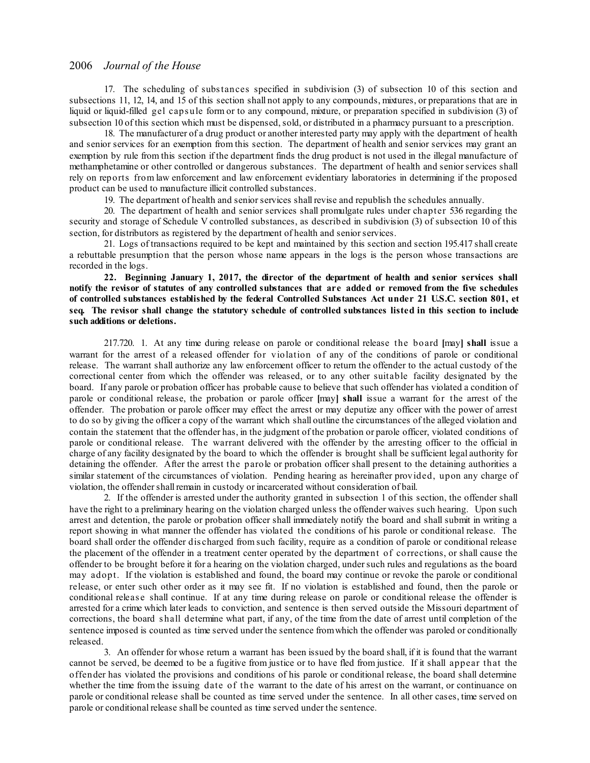17. The scheduling of substances specified in subdivision (3) of subsection 10 of this section and subsections 11, 12, 14, and 15 of this section shall not apply to any compounds, mixtures, or preparations that are in liquid or liquid-filled gel caps ule form or to any compound, mixture, or preparation specified in subdivision (3) of subsection 10 of this section which must be dispensed, sold, or distributed in a pharmacy pursuant to a prescription.

18. The manufacturer of a drug product or another interested party may apply with the department of health and senior services for an exemption from this section. The department of health and senior services may grant an exemption by rule from this section if the department finds the drug product is not used in the illegal manufacture of methamphetamine or other controlled or dangerous substances. The department of health and seniorservices shall rely on reports from law enforcement and law enforcement evidentiary laboratories in determining if the proposed product can be used to manufacture illicit controlled substances.

19. The department of health and senior services shall revise and republish the schedules annually.

20. The department of health and senior services shall promulgate rules under chapter 536 regarding the security and storage of Schedule V controlled substances, as described in subdivision (3) of subsection 10 of this section, for distributors as registered by the department of health and senior services.

21. Logs of transactions required to be kept and maintained by this section and section 195.417 shall create a rebuttable presumption that the person whose name appears in the logs is the person whose transactions are recorded in the logs.

**22. Beginning January 1, 2017, the director of the department of health and senior services shall** notify the revisor of statutes of any controlled substances that are added or removed from the five schedules **of controlled substances established by the federal Controlled Substances Act under 21 U.S.C. section 801, et seq. The revisor shall change the statutory schedule of controlled substances listed in this section to include such additions or deletions.**

217.720. 1. At any time during release on parole or conditional release the board **[**may**] shall** issue a warrant for the arrest of a released offender for violation of any of the conditions of parole or conditional release. The warrant shall authorize any law enforcement officer to return the offender to the actual custody of the correctional center from which the offender was released, or to any other suitable facility designated by the board. If any parole or probation officer has probable cause to believe that such offender has violated a condition of parole or conditional release, the probation or parole officer **[**may**] shall** issue a warrant for the arrest of the offender. The probation or parole officer may effect the arrest or may deputize any officer with the power of arrest to do so by giving the officer a copy of the warrant which shall outline the circumstances of the alleged violation and contain the statement that the offender has, in the judgment of the probation or parole officer, violated conditions of parole or conditional release. The warrant delivered with the offender by the arresting officer to the official in charge of any facility designated by the board to which the offender is brought shall be sufficient legal authority for detaining the offender. After the arrest the parole or probation officer shall present to the detaining authorities a similar statement of the circumstances of violation. Pending hearing as hereinafter provided, upon any charge of violation, the offender shall remain in custody or incarcerated without consideration of bail.

2. If the offender is arrested under the authority granted in subsection 1 of this section, the offender shall have the right to a preliminary hearing on the violation charged unless the offender waives such hearing. Upon such arrest and detention, the parole or probation officer shall immediately notify the board and shall submit in writing a report showing in what manner the offender has violated the conditions of his parole or conditional release. The board shall order the offender dis charged from such facility, require as a condition of parole or conditional release the placement of the offender in a treatment center operated by the department of corrections, or shall cause the offender to be brought before it for a hearing on the violation charged, undersuch rules and regulations as the board may adopt. If the violation is established and found, the board may continue or revoke the parole or conditional release, or enter such other order as it may see fit. If no violation is established and found, then the parole or conditional releas e shall continue. If at any time during release on parole or conditional release the offender is arrested for a crime which later leads to conviction, and sentence is then served outside the Missouri department of corrections, the board s hall determine what part, if any, of the time from the date of arrest until completion of the sentence imposed is counted as time served under the sentence fromwhich the offender was paroled or conditionally released.

3. An offender for whose return a warrant has been issued by the board shall, if it is found that the warrant cannot be served, be deemed to be a fugitive from justice or to have fled from justice. If it shall appear that the offender has violated the provisions and conditions of his parole or conditional release, the board shall determine whether the time from the issuing date of the warrant to the date of his arrest on the warrant, or continuance on parole or conditional release shall be counted as time served under the sentence. In all other cases, time served on parole or conditional release shall be counted as time served under the sentence.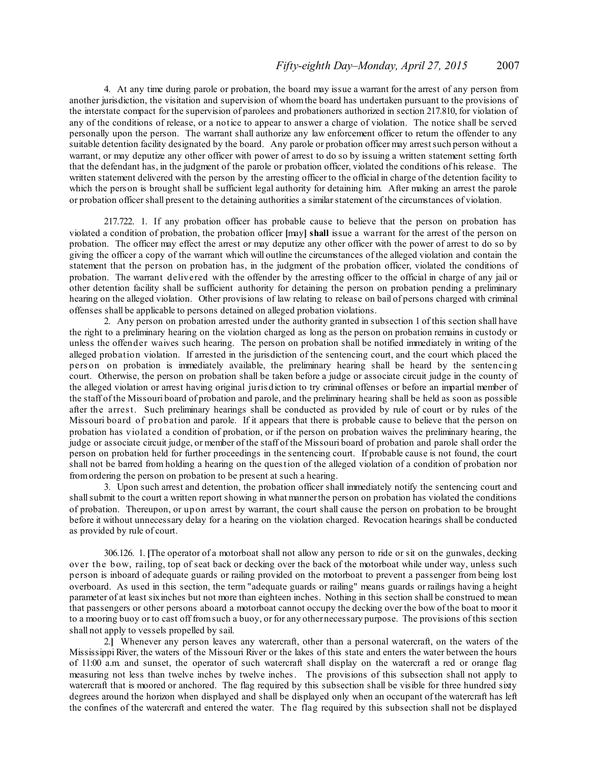4. At any time during parole or probation, the board may issue a warrant for the arrest of any person from another jurisdiction, the visitation and supervision of whomthe board has undertaken pursuant to the provisions of the interstate compact for the supervision of parolees and probationers authorized in section 217.810, for violation of any of the conditions of release, or a notice to appear to answer a charge of violation. The notice shall be served personally upon the person. The warrant shall authorize any law enforcement officer to return the offender to any suitable detention facility designated by the board. Any parole or probation officer may arrestsuch person without a warrant, or may deputize any other officer with power of arrest to do so by issuing a written statement setting forth that the defendant has, in the judgment of the parole or probation officer, violated the conditions of his release. The written statement delivered with the person by the arresting officer to the official in charge of the detention facility to which the pers on is brought shall be sufficient legal authority for detaining him. After making an arrest the parole or probation officershall present to the detaining authorities a similarstatement of the circumstances of violation.

217.722. 1. If any probation officer has probable cause to believe that the person on probation has violated a condition of probation, the probation officer **[**may**] shall** issue a warrant for the arrest of the person on probation. The officer may effect the arrest or may deputize any other officer with the power of arrest to do so by giving the officer a copy of the warrant which will outline the circumstances of the alleged violation and contain the statement that the person on probation has, in the judgment of the probation officer, violated the conditions of probation. The warrant delivered with the offender by the arresting officer to the official in charge of any jail or other detention facility shall be sufficient authority for detaining the person on probation pending a preliminary hearing on the alleged violation. Other provisions of law relating to release on bail of persons charged with criminal offenses shall be applicable to persons detained on alleged probation violations.

2. Any person on probation arrested under the authority granted in subsection 1 of this section shall have the right to a preliminary hearing on the violation charged as long as the person on probation remains in custody or unless the offender waives such hearing. The person on probation shall be notified immediately in writing of the alleged probation violation. If arrested in the jurisdiction of the sentencing court, and the court which placed the pers on on probation is immediately available, the preliminary hearing shall be heard by the sentencing court. Otherwise, the person on probation shall be taken before a judge or associate circuit judge in the county of the alleged violation or arrest having original juris diction to try criminal offenses or before an impartial member of the staff of the Missouri board of probation and parole, and the preliminary hearing shall be held as soon as possible after the arrest. Such preliminary hearings shall be conducted as provided by rule of court or by rules of the Missouri board of probation and parole. If it appears that there is probable cause to believe that the person on probation has violated a condition of probation, or if the person on probation waives the preliminary hearing, the judge or associate circuit judge, or member of the staff of the Missouri board of probation and parole shall order the person on probation held for further proceedings in the sentencing court. If probable cause is not found, the court shall not be barred from holding a hearing on the question of the alleged violation of a condition of probation nor fromordering the person on probation to be present at such a hearing.

3. Upon such arrest and detention, the probation officer shall immediately notify the sentencing court and shall submit to the court a written report showing in what manner the person on probation has violated the conditions of probation. Thereupon, or upon arrest by warrant, the court shall cause the person on probation to be brought before it without unnecessary delay for a hearing on the violation charged. Revocation hearings shall be conducted as provided by rule of court.

306.126. 1. **[**The operator of a motorboat shall not allow any person to ride or sit on the gunwales, decking over the bow, railing, top of seat back or decking over the back of the motorboat while under way, unless such person is inboard of adequate guards or railing provided on the motorboat to prevent a passenger from being lost overboard. As used in this section, the term "adequate guards or railing" means guards or railings having a height parameter of at least sixinches but not more than eighteen inches. Nothing in this section shall be construed to mean that passengers or other persons aboard a motorboat cannot occupy the decking over the bow of the boat to moor it to a mooring buoy or to cast off fromsuch a buoy, or for any othernecessary purpose. The provisions of this section shall not apply to vessels propelled by sail.

2.**]** Whenever any person leaves any watercraft, other than a personal watercraft, on the waters of the Mississippi River, the waters of the Missouri River or the lakes of this state and enters the water between the hours of 11:00 a.m. and sunset, the operator of such watercraft shall display on the watercraft a red or orange flag measuring not less than twelve inches by twelve inches. The provisions of this subsection shall not apply to watercraft that is moored or anchored. The flag required by this subsection shall be visible for three hundred sixty degrees around the horizon when displayed and shall be displayed only when an occupant of the watercraft has left the confines of the watercraft and entered the water. The flag required by this subsection shall not be displayed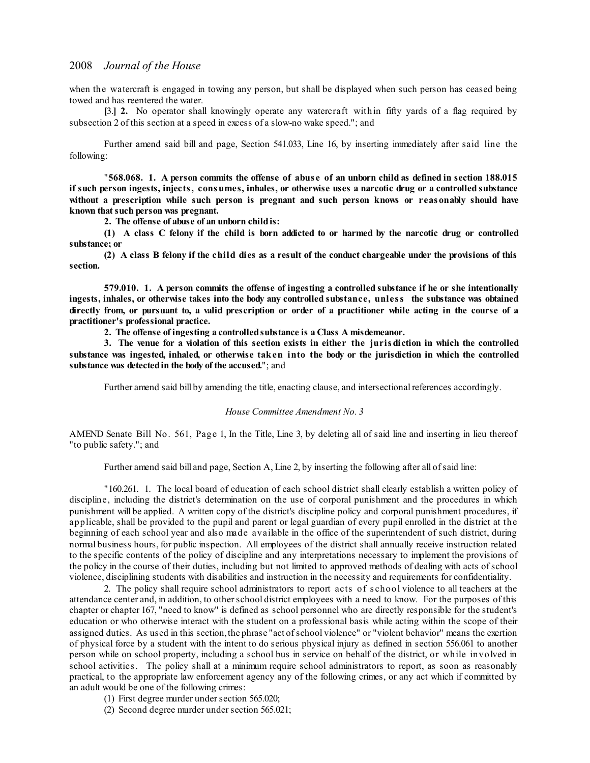when the watercraft is engaged in towing any person, but shall be displayed when such person has ceased being towed and has reentered the water.

**[**3.**] 2.** No operator shall knowingly operate any watercraft within fifty yards of a flag required by subsection 2 of this section at a speed in excess of a slow-no wake speed."; and

Further amend said bill and page, Section 541.033, Line 16, by inserting immediately after said line the following:

"568.068. 1. A person commits the offense of abuse of an unborn child as defined in section 188.015 **if such person ingests, injects, consumes, inhales, or otherwise uses a narcotic drug or a controlled substance without a prescription while such person is pregnant and such person knows or reas onably should have known thatsuch person was pregnant.**

**2. The offense of abuse of an unborn childis:**

(1) A class C felony if the child is born addicted to or harmed by the narcotic drug or controlled **substance; or**

(2) A class B felony if the child dies as a result of the conduct chargeable under the provisions of this **section.**

**579.010. 1. A person commits the offense of ingesting a controlled substance if he or she intentionally ingests, inhales, or otherwise takes into the body any controlled substance, unless the substance was obtained** directly from, or pursuant to, a valid prescription or order of a practitioner while acting in the course of a **practitioner's professional practice.**

**2. The offense of ingesting a controlledsubstance is a Class A misdemeanor.**

3. The venue for a violation of this section exists in either the jurisdiction in which the controlled **substance was ingested, inhaled, or otherwise taken into the body or the jurisdiction in which the controlled substance was detectedin the body of the accused.**"; and

Further amend said bill by amending the title, enacting clause, and intersectional references accordingly.

#### *House Committee Amendment No. 3*

AMEND Senate Bill No. 561, Page 1, In the Title, Line 3, by deleting all of said line and inserting in lieu thereof "to public safety."; and

Further amend said bill and page, Section A, Line 2, by inserting the following after all of said line:

"160.261. 1. The local board of education of each school district shall clearly establish a written policy of discipline, including the district's determination on the use of corporal punishment and the procedures in which punishment will be applied. A written copy of the district's discipline policy and corporal punishment procedures, if applicable, shall be provided to the pupil and parent or legal guardian of every pupil enrolled in the district at the beginning of each school year and also made available in the office of the superintendent of such district, during normal business hours, for public inspection. All employees of the district shall annually receive instruction related to the specific contents of the policy of discipline and any interpretations necessary to implement the provisions of the policy in the course of their duties, including but not limited to approved methods of dealing with acts ofschool violence, disciplining students with disabilities and instruction in the necessity and requirements for confidentiality.

2. The policy shall require school administrators to report acts of s chool violence to all teachers at the attendance center and, in addition, to other school district employees with a need to know. For the purposes of this chapter or chapter 167, "need to know" is defined as school personnel who are directly responsible for the student's education or who otherwise interact with the student on a professional basis while acting within the scope of their assigned duties. As used in this section,the phrase "act ofschool violence" or "violent behavior" means the exertion of physical force by a student with the intent to do serious physical injury as defined in section 556.061 to another person while on school property, including a school bus in service on behalf of the district, or while involved in school activities. The policy shall at a minimum require school administrators to report, as soon as reasonably practical, to the appropriate law enforcement agency any of the following crimes, or any act which if committed by an adult would be one of the following crimes:

- (1) First degree murder undersection 565.020;
- (2) Second degree murder under section  $565.021$ ;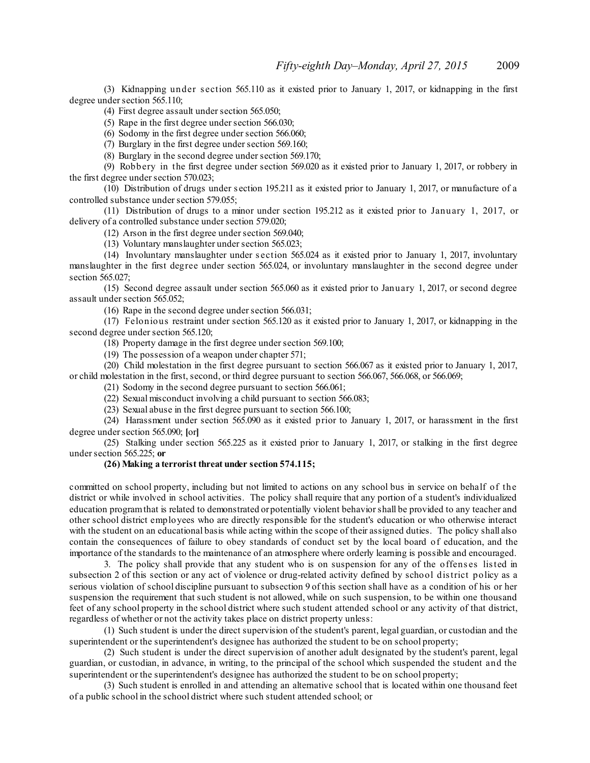(3) Kidnapping under s ection 565.110 as it existed prior to January 1, 2017, or kidnapping in the first degree under section 565.110;

(4) First degree assault under section 565.050;

(5) Rape in the first degree under section 566.030;

 $(6)$  Sodomy in the first degree under section 566.060;

(7) Burglary in the first degree under section 569.160;

(8) Burglary in the second degree undersection 569.170;

(9) Robbery in the first degree under section 569.020 as it existed prior to January 1, 2017, or robbery in the first degree under section 570.023;

(10) Distribution of drugs under s ection 195.211 as it existed prior to January 1, 2017, or manufacture of a controlled substance under section 579.055;

(11) Distribution of drugs to a minor under section 195.212 as it existed prior to January 1, 2017, or delivery of a controlled substance under section 579.020;

(12) Arson in the first degree under section  $569.040$ ;

(13) Voluntary manslaughter undersection 565.023;

(14) Involuntary manslaughter under s ection 565.024 as it existed prior to January 1, 2017, involuntary manslaughter in the first degree under section 565.024, or involuntary manslaughter in the second degree under section 565.027;

(15) Second degree assault under section 565.060 as it existed prior to January 1, 2017, or second degree assault under section 565.052;

 $(16)$  Rape in the second degree under section 566.031;

(17) Felonious restraint under section 565.120 as it existed prior to January 1, 2017, or kidnapping in the second degree under section 565.120;

(18) Property damage in the first degree undersection 569.100;

(19) The possession of a weapon under chapter 571;

(20) Child molestation in the first degree pursuant to section 566.067 as it existed prior to January 1, 2017, or child molestation in the first, second, or third degree pursuant to section 566.067, 566.068, or 566.069;

(21) Sodomy in the second degree pursuant to section 566.061;

(22) Sexual misconduct involving a child pursuant to section 566.083;

(23) Sexual abuse in the first degree pursuant to section 566.100;

(24) Harassment under section 565.090 as it existed prior to January 1, 2017, or harassment in the first degree undersection 565.090; **[**or**]**

(25) Stalking under section 565.225 as it existed prior to January 1, 2017, or stalking in the first degree undersection 565.225; **or**

#### **(26) Making a terrorist threat under section 574.115;**

committed on school property, including but not limited to actions on any school bus in service on behalf of the district or while involved in school activities. The policy shall require that any portion of a student's individualized education programthat is related to demonstrated orpotentially violent behaviorshall be provided to any teacher and other school district employees who are directly responsible for the student's education or who otherwise interact with the student on an educational basis while acting within the scope of their assigned duties. The policy shall also contain the consequences of failure to obey standards of conduct set by the local board of education, and the importance of the standards to the maintenance of an atmosphere where orderly learning is possible and encouraged.

3. The policy shall provide that any student who is on suspension for any of the offenses listed in subsection 2 of this section or any act of violence or drug-related activity defined by school district policy as a serious violation of school discipline pursuant to subsection 9 of this section shall have as a condition of his or her suspension the requirement that such student is not allowed, while on such suspension, to be within one thousand feet of any school property in the school district where such student attended school or any activity of that district, regardless of whether or not the activity takes place on district property unless:

(1) Such student is under the direct supervision of the student's parent, legal guardian, or custodian and the superintendent or the superintendent's designee has authorized the student to be on school property;

(2) Such student is under the direct supervision of another adult designated by the student's parent, legal guardian, or custodian, in advance, in writing, to the principal of the school which suspended the student and the superintendent or the superintendent's designee has authorized the student to be on school property;

(3) Such student is enrolled in and attending an alternative school that is located within one thousand feet of a public school in the school district where such student attended school; or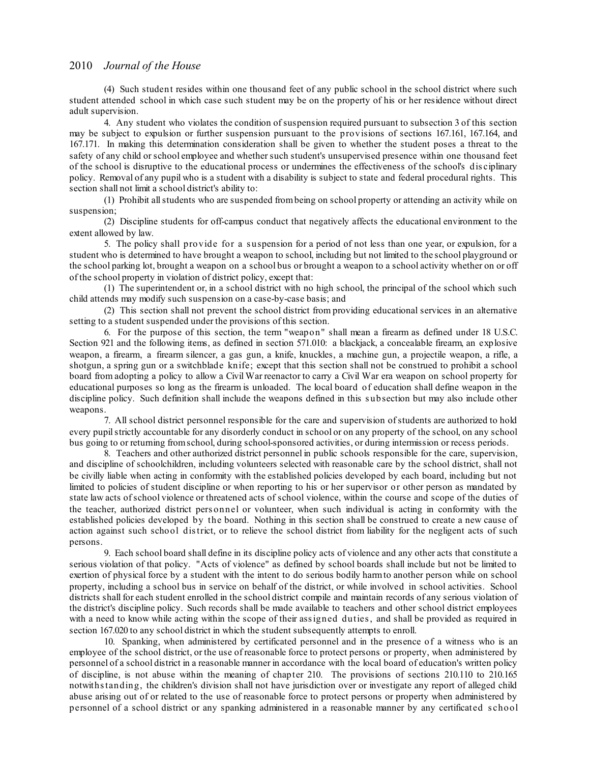(4) Such student resides within one thousand feet of any public school in the school district where such student attended school in which case such student may be on the property of his or her residence without direct adult supervision.

4. Any student who violates the condition ofsuspension required pursuant to subsection 3 of this section may be subject to expulsion or further suspension pursuant to the provisions of sections 167.161, 167.164, and 167.171. In making this determination consideration shall be given to whether the student poses a threat to the safety of any child or school employee and whether such student's unsupervised presence within one thousand feet of the school is disruptive to the educational process or undermines the effectiveness of the school's dis ciplinary policy. Removal of any pupil who is a student with a disability is subject to state and federal procedural rights. This section shall not limit a school district's ability to:

(1) Prohibit allstudents who are suspended frombeing on school property or attending an activity while on suspension;

(2) Discipline students for off-campus conduct that negatively affects the educational environment to the extent allowed by law.

5. The policy shall provide for a s uspension for a period of not less than one year, or expulsion, for a student who is determined to have brought a weapon to school, including but not limited to the school playground or the school parking lot, brought a weapon on a school bus or brought a weapon to a school activity whether on or off of the school property in violation of district policy, except that:

(1) The superintendent or, in a school district with no high school, the principal of the school which such child attends may modify such suspension on a case-by-case basis; and

(2) This section shall not prevent the school district from providing educational services in an alternative setting to a student suspended under the provisions of this section.

6. For the purpose of this section, the term "weapon" shall mean a firearm as defined under 18 U.S.C. Section 921 and the following items, as defined in section 571.010: a blackjack, a concealable firearm, an explosive weapon, a firearm, a firearm silencer, a gas gun, a knife, knuckles, a machine gun, a projectile weapon, a rifle, a shotgun, a spring gun or a switchblade knife; except that this section shall not be construed to prohibit a school board from adopting a policy to allow a Civil War reenactor to carry a Civil War era weapon on school property for educational purposes so long as the firearm is unloaded. The local board of education shall define weapon in the discipline policy. Such definition shall include the weapons defined in this s ubsection but may also include other weapons.

7. All school district personnel responsible for the care and supervision ofstudents are authorized to hold every pupilstrictly accountable for any disorderly conduct in school or on any property of the school, on any school bus going to or returning fromschool, during school-sponsored activities, or during intermission or recess periods.

8. Teachers and other authorized district personnel in public schools responsible for the care, supervision, and discipline of schoolchildren, including volunteers selected with reasonable care by the school district, shall not be civilly liable when acting in conformity with the established policies developed by each board, including but not limited to policies of student discipline or when reporting to his or her supervisor or other person as mandated by state law acts ofschool violence or threatened acts of school violence, within the course and scope of the duties of the teacher, authorized district pers onnel or volunteer, when such individual is acting in conformity with the established policies developed by the board. Nothing in this section shall be construed to create a new cause of action against such school district, or to relieve the school district from liability for the negligent acts of such persons.

9. Each school board shall define in its discipline policy acts of violence and any other acts that constitute a serious violation of that policy. "Acts of violence" as defined by school boards shall include but not be limited to exertion of physical force by a student with the intent to do serious bodily harmto another person while on school property, including a school bus in service on behalf of the district, or while involved in school activities. School districts shall for each student enrolled in the school district compile and maintain records of any serious violation of the district's discipline policy. Such records shall be made available to teachers and other school district employees with a need to know while acting within the scope of their assigned duties, and shall be provided as required in section 167.020 to any school district in which the student subsequently attempts to enroll.

10. Spanking, when administered by certificated personnel and in the presence of a witness who is an employee of the school district, or the use of reasonable force to protect persons or property, when administered by personnel of a school district in a reasonable manner in accordance with the local board of education's written policy of discipline, is not abuse within the meaning of chapter 210. The provisions of sections 210.110 to 210.165 notwithstanding, the children's division shall not have jurisdiction over or investigate any report of alleged child abuse arising out of or related to the use of reasonable force to protect persons or property when administered by personnel of a school district or any spanking administered in a reasonable manner by any certificated s chool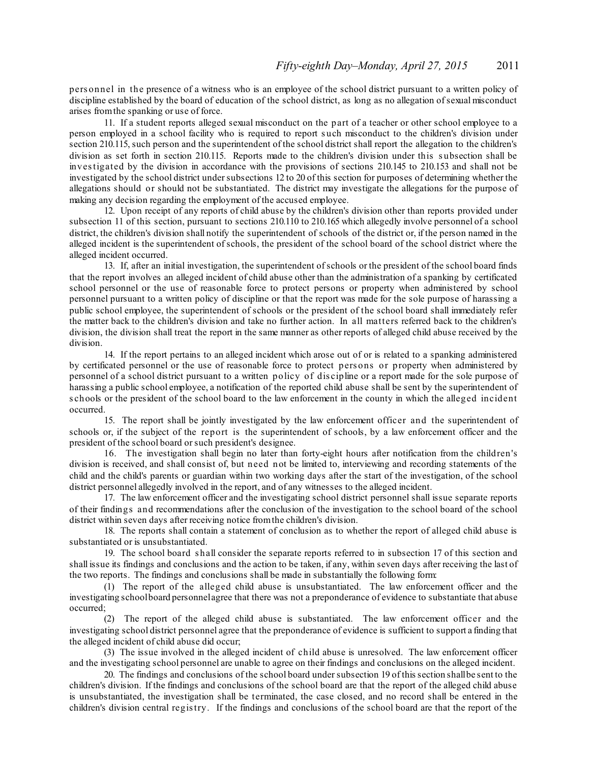pers onnel in the presence of a witness who is an employee of the school district pursuant to a written policy of discipline established by the board of education of the school district, as long as no allegation of sexual misconduct arises fromthe spanking or use of force.

11. If a student reports alleged sexual misconduct on the part of a teacher or other school employee to a person employed in a school facility who is required to report s uch misconduct to the children's division under section 210.115, such person and the superintendent of the school district shall report the allegation to the children's division as set forth in section 210.115. Reports made to the children's division under this subsection shall be investigated by the division in accordance with the provisions of sections 210.145 to 210.153 and shall not be investigated by the school district under subsections 12 to 20 of this section for purposes of determining whether the allegations should or should not be substantiated. The district may investigate the allegations for the purpose of making any decision regarding the employment of the accused employee.

12. Upon receipt of any reports of child abuse by the children's division other than reports provided under subsection 11 of this section, pursuant to sections 210.110 to 210.165 which allegedly involve personnel of a school district, the children's division shall notify the superintendent of schools of the district or, if the person named in the alleged incident is the superintendent ofschools, the president of the school board of the school district where the alleged incident occurred.

13. If, after an initial investigation, the superintendent ofschools or the president of the school board finds that the report involves an alleged incident of child abuse other than the administration of a spanking by certificated school personnel or the use of reasonable force to protect persons or property when administered by school personnel pursuant to a written policy of discipline or that the report was made for the sole purpose of harassing a public school employee, the superintendent of schools or the president of the school board shall immediately refer the matter back to the children's division and take no further action. In all matters referred back to the children's division, the division shall treat the report in the same manner as other reports of alleged child abuse received by the division.

14. If the report pertains to an alleged incident which arose out of or is related to a spanking administered by certificated personnel or the use of reasonable force to protect pers ons or property when administered by personnel of a school district pursuant to a written policy of dis cipline or a report made for the sole purpose of harassing a public school employee, a notification of the reported child abuse shall be sent by the superintendent of s chools or the president of the school board to the law enforcement in the county in which the alleged incident occurred.

15. The report shall be jointly investigated by the law enforcement officer and the superintendent of schools or, if the subject of the report is the superintendent of schools, by a law enforcement officer and the president of the school board orsuch president's designee.

16. The investigation shall begin no later than forty-eight hours after notification from the children's division is received, and shall consist of, but need not be limited to, interviewing and recording statements of the child and the child's parents or guardian within two working days after the start of the investigation, of the school district personnel allegedly involved in the report, and of any witnesses to the alleged incident.

17. The law enforcement officer and the investigating school district personnel shall issue separate reports of their findings and recommendations after the conclusion of the investigation to the school board of the school district within seven days after receiving notice fromthe children's division.

18. The reports shall contain a statement of conclusion as to whether the report of alleged child abuse is substantiated or is unsubstantiated.

19. The school board s hall consider the separate reports referred to in subsection 17 of this section and shall issue its findings and conclusions and the action to be taken, if any, within seven days after receiving the last of the two reports. The findings and conclusions shall be made in substantially the following form:

(1) The report of the alleged child abuse is unsubstantiated. The law enforcement officer and the investigating schoolboard personnelagree that there was not a preponderance of evidence to substantiate that abuse occurred;

(2) The report of the alleged child abuse is substantiated. The law enforcement officer and the investigating school district personnel agree that the preponderance of evidence is sufficient to support a finding that the alleged incident of child abuse did occur;

(3) The issue involved in the alleged incident of child abuse is unresolved. The law enforcement officer and the investigating school personnel are unable to agree on their findings and conclusions on the alleged incident.

20. The findings and conclusions of the school board undersubsection 19 of this section shallbe sent to the children's division. If the findings and conclusions of the school board are that the report of the alleged child abuse is unsubstantiated, the investigation shall be terminated, the case closed, and no record shall be entered in the children's division central registry. If the findings and conclusions of the school board are that the report of the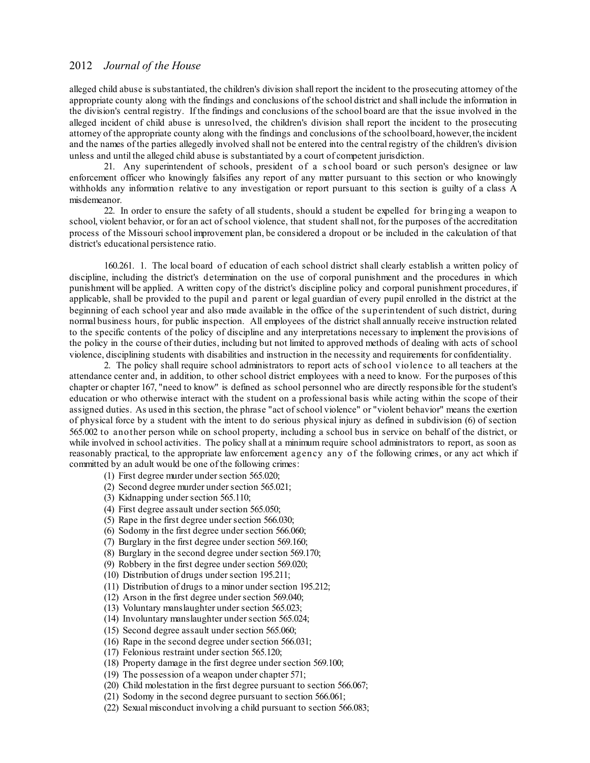alleged child abuse is substantiated, the children's division shall report the incident to the prosecuting attorney of the appropriate county along with the findings and conclusions of the school district and shall include the information in the division's central registry. If the findings and conclusions of the school board are that the issue involved in the alleged incident of child abuse is unresolved, the children's division shall report the incident to the prosecuting attorney of the appropriate county along with the findings and conclusions of the schoolboard,however,the incident and the names of the parties allegedly involved shall not be entered into the central registry of the children's division unless and until the alleged child abuse is substantiated by a court of competent jurisdiction.

21. Any superintendent of schools, president of a s chool board or such person's designee or law enforcement officer who knowingly falsifies any report of any matter pursuant to this section or who knowingly withholds any information relative to any investigation or report pursuant to this section is guilty of a class A misdemeanor.

22. In order to ensure the safety of all students, should a student be expelled for bringing a weapon to school, violent behavior, or for an act ofschool violence, that student shall not, for the purposes of the accreditation process of the Missouri school improvement plan, be considered a dropout or be included in the calculation of that district's educational persistence ratio.

160.261. 1. The local board of education of each school district shall clearly establish a written policy of discipline, including the district's determination on the use of corporal punishment and the procedures in which punishment will be applied. A written copy of the district's discipline policy and corporal punishment procedures, if applicable, shall be provided to the pupil and parent or legal guardian of every pupil enrolled in the district at the beginning of each school year and also made available in the office of the s uperintendent of such district, during normal business hours, for public inspection. All employees of the district shall annually receive instruction related to the specific contents of the policy of discipline and any interpretations necessary to implement the provisions of the policy in the course of their duties, including but not limited to approved methods of dealing with acts of school violence, disciplining students with disabilities and instruction in the necessity and requirements for confidentiality.

2. The policy shall require school administrators to report acts of school violence to all teachers at the attendance center and, in addition, to other school district employees with a need to know. For the purposes of this chapter or chapter 167, "need to know" is defined as school personnel who are directly responsible for the student's education or who otherwise interact with the student on a professional basis while acting within the scope of their assigned duties. As used in this section, the phrase "act ofschool violence" or "violent behavior" means the exertion of physical force by a student with the intent to do serious physical injury as defined in subdivision (6) of section 565.002 to another person while on school property, including a school bus in service on behalf of the district, or while involved in school activities. The policy shall at a minimum require school administrators to report, as soon as reasonably practical, to the appropriate law enforcement agency any of the following crimes, or any act which if committed by an adult would be one of the following crimes:

- (1) First degree murder undersection 565.020;
- (2) Second degree murder under section 565.021;
- (3) Kidnapping under section 565.110;
- (4) First degree assault undersection 565.050;
- (5) Rape in the first degree under section 566.030;
- $(6)$  Sodomy in the first degree under section 566.060;
- (7) Burglary in the first degree under section 569.160;
- (8) Burglary in the second degree undersection 569.170;
- (9) Robbery in the first degree under section 569.020;
- (10) Distribution of drugs undersection 195.211;
- (11) Distribution of drugs to a minor undersection 195.212;
- $(12)$  Arson in the first degree under section 569.040;
- (13) Voluntary manslaughter undersection 565.023;
- (14) Involuntary manslaughter undersection 565.024;
- (15) Second degree assault undersection 565.060;
- (16) Rape in the second degree undersection 566.031;
- (17) Felonious restraint undersection 565.120;
- (18) Property damage in the first degree undersection 569.100;
- (19) The possession of a weapon under chapter 571;
- (20) Child molestation in the first degree pursuant to section 566.067;
- (21) Sodomy in the second degree pursuant to section 566.061;
- (22) Sexual misconduct involving a child pursuant to section 566.083;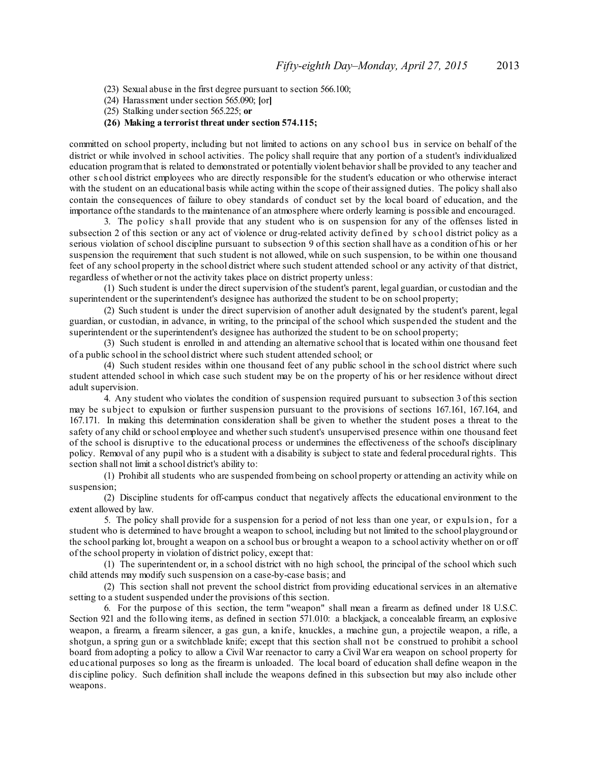- (23) Sexual abuse in the first degree pursuant to section 566.100;
- (24) Harassment undersection 565.090; **[**or**]**
- (25) Stalking undersection 565.225; **or**

### **(26) Making a terrorist threat under section 574.115;**

committed on school property, including but not limited to actions on any school bus in service on behalf of the district or while involved in school activities. The policy shall require that any portion of a student's individualized education programthat is related to demonstrated or potentially violent behaviorshall be provided to any teacher and other s chool district employees who are directly responsible for the student's education or who otherwise interact with the student on an educational basis while acting within the scope of their assigned duties. The policy shall also contain the consequences of failure to obey standards of conduct set by the local board of education, and the importance ofthe standards to the maintenance of an atmosphere where orderly learning is possible and encouraged.

3. The policy s hall provide that any student who is on suspension for any of the offenses listed in subsection 2 of this section or any act of violence or drug-related activity defined by s chool district policy as a serious violation of school discipline pursuant to subsection 9 of this section shall have as a condition of his or her suspension the requirement that such student is not allowed, while on such suspension, to be within one thousand feet of any school property in the school district where such student attended school or any activity of that district, regardless of whether or not the activity takes place on district property unless:

(1) Such student is under the direct supervision of the student's parent, legal guardian, or custodian and the superintendent or the superintendent's designee has authorized the student to be on school property;

(2) Such student is under the direct supervision of another adult designated by the student's parent, legal guardian, or custodian, in advance, in writing, to the principal of the school which suspended the student and the superintendent or the superintendent's designee has authorized the student to be on school property;

(3) Such student is enrolled in and attending an alternative school that is located within one thousand feet of a public school in the school district where such student attended school; or

(4) Such student resides within one thousand feet of any public school in the school district where such student attended school in which case such student may be on the property of his or her residence without direct adult supervision.

4. Any student who violates the condition of suspension required pursuant to subsection 3 of this section may be subject to expulsion or further suspension pursuant to the provisions of sections 167.161, 167.164, and 167.171. In making this determination consideration shall be given to whether the student poses a threat to the safety of any child or school employee and whether such student's unsupervised presence within one thousand feet of the school is disruptive to the educational process or undermines the effectiveness of the school's disciplinary policy. Removal of any pupil who is a student with a disability is subject to state and federal procedural rights. This section shall not limit a school district's ability to:

(1) Prohibit all students who are suspended frombeing on school property or attending an activity while on suspension;

(2) Discipline students for off-campus conduct that negatively affects the educational environment to the extent allowed by law.

5. The policy shall provide for a suspension for a period of not less than one year, or expulsion, for a student who is determined to have brought a weapon to school, including but not limited to the school playground or the school parking lot, brought a weapon on a school bus or brought a weapon to a school activity whether on or off of the school property in violation of district policy, except that:

(1) The superintendent or, in a school district with no high school, the principal of the school which such child attends may modify such suspension on a case-by-case basis; and

(2) This section shall not prevent the school district from providing educational services in an alternative setting to a student suspended under the provisions of this section.

6. For the purpose of this section, the term "weapon" shall mean a firearm as defined under 18 U.S.C. Section 921 and the following items, as defined in section 571.010: a blackjack, a concealable firearm, an explosive weapon, a firearm, a firearm silencer, a gas gun, a knife, knuckles, a machine gun, a projectile weapon, a rifle, a shotgun, a spring gun or a switchblade knife; except that this section shall not be construed to prohibit a school board from adopting a policy to allow a Civil War reenactor to carry a Civil War era weapon on school property for educational purposes so long as the firearm is unloaded. The local board of education shall define weapon in the dis cipline policy. Such definition shall include the weapons defined in this subsection but may also include other weapons.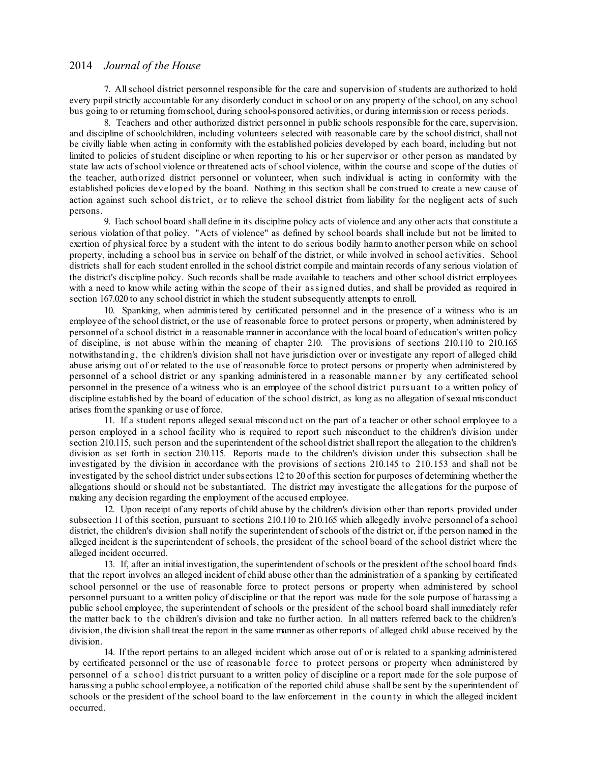7. Allschool district personnel responsible for the care and supervision of students are authorized to hold every pupilstrictly accountable for any disorderly conduct in school or on any property of the school, on any school bus going to or returning fromschool, during school-sponsored activities, or during intermission or recess periods.

8. Teachers and other authorized district personnel in public schools responsible for the care, supervision, and discipline of schoolchildren, including volunteers selected with reasonable care by the school district, shall not be civilly liable when acting in conformity with the established policies developed by each board, including but not limited to policies of student discipline or when reporting to his or her supervisor or other person as mandated by state law acts ofschool violence or threatened acts ofschool violence, within the course and scope of the duties of the teacher, authorized district personnel or volunteer, when such individual is acting in conformity with the established policies developed by the board. Nothing in this section shall be construed to create a new cause of action against such school district, or to relieve the school district from liability for the negligent acts of such persons.

9. Each school board shall define in its discipline policy acts of violence and any other acts that constitute a serious violation of that policy. "Acts of violence" as defined by school boards shall include but not be limited to exertion of physical force by a student with the intent to do serious bodily harmto another person while on school property, including a school bus in service on behalf of the district, or while involved in school activities. School districts shall for each student enrolled in the school district compile and maintain records of any serious violation of the district's discipline policy. Such records shall be made available to teachers and other school district employees with a need to know while acting within the scope of their assigned duties, and shall be provided as required in section 167.020 to any school district in which the student subsequently attempts to enroll.

10. Spanking, when administered by certificated personnel and in the presence of a witness who is an employee of the school district, or the use of reasonable force to protect persons or property, when administered by personnel of a school district in a reasonable manner in accordance with the local board of education's written policy of discipline, is not abuse within the meaning of chapter 210. The provisions of sections 210.110 to 210.165 notwithstanding, the children's division shall not have jurisdiction over or investigate any report of alleged child abuse arising out of or related to the use of reasonable force to protect persons or property when administered by personnel of a school district or any spanking administered in a reasonable manner by any certificated school personnel in the presence of a witness who is an employee of the school district purs uant to a written policy of discipline established by the board of education of the school district, as long as no allegation ofsexual misconduct arises fromthe spanking or use of force.

11. If a student reports alleged sexual misconduct on the part of a teacher or other school employee to a person employed in a school facility who is required to report such misconduct to the children's division under section 210.115, such person and the superintendent of the school district shall report the allegation to the children's division as set forth in section 210.115. Reports made to the children's division under this subsection shall be investigated by the division in accordance with the provisions of sections 210.145 to 210.153 and shall not be investigated by the school district under subsections 12 to 20 of this section for purposes of determining whether the allegations should or should not be substantiated. The district may investigate the allegations for the purpose of making any decision regarding the employment of the accused employee.

12. Upon receipt of any reports of child abuse by the children's division other than reports provided under subsection 11 of this section, pursuant to sections 210.110 to 210.165 which allegedly involve personnel of a school district, the children's division shall notify the superintendent ofschools of the district or, if the person named in the alleged incident is the superintendent of schools, the president of the school board of the school district where the alleged incident occurred.

13. If, after an initial investigation, the superintendent ofschools or the president of the school board finds that the report involves an alleged incident of child abuse other than the administration of a spanking by certificated school personnel or the use of reasonable force to protect persons or property when administered by school personnel pursuant to a written policy of discipline or that the report was made for the sole purpose of harassing a public school employee, the superintendent of schools or the president of the school board shall immediately refer the matter back to the children's division and take no further action. In all matters referred back to the children's division, the division shall treat the report in the same manner as other reports of alleged child abuse received by the division.

14. If the report pertains to an alleged incident which arose out of or is related to a spanking administered by certificated personnel or the use of reasonable force to protect persons or property when administered by personnel of a s chool district pursuant to a written policy of discipline or a report made for the sole purpose of harassing a public school employee, a notification of the reported child abuse shall be sent by the superintendent of schools or the president of the school board to the law enforcement in the county in which the alleged incident occurred.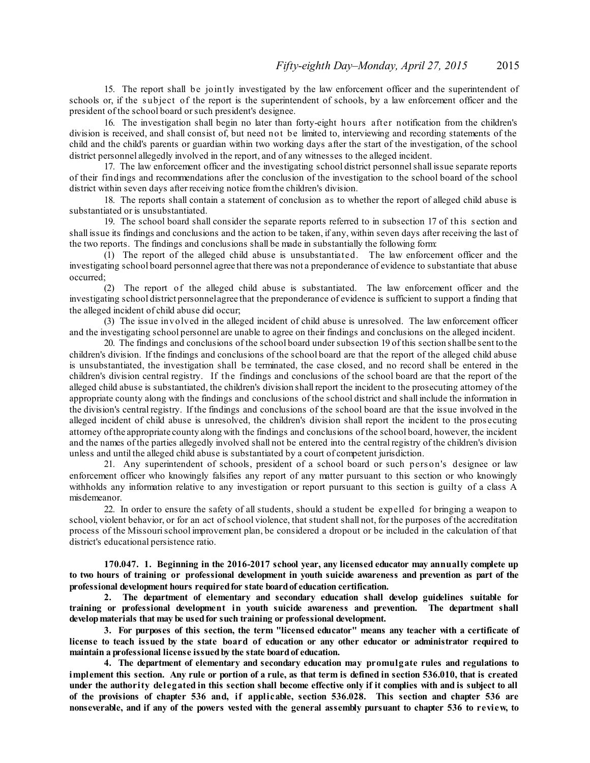15. The report shall be jointly investigated by the law enforcement officer and the superintendent of schools or, if the subject of the report is the superintendent of schools, by a law enforcement officer and the president of the school board or such president's designee.

16. The investigation shall begin no later than forty-eight hours after notification from the children's division is received, and shall consist of, but need not be limited to, interviewing and recording statements of the child and the child's parents or guardian within two working days after the start of the investigation, of the school district personnel allegedly involved in the report, and of any witnesses to the alleged incident.

17. The law enforcement officer and the investigating school district personnelshall issue separate reports of their findings and recommendations after the conclusion of the investigation to the school board of the school district within seven days after receiving notice fromthe children's division.

18. The reports shall contain a statement of conclusion as to whether the report of alleged child abuse is substantiated or is unsubstantiated.

19. The school board shall consider the separate reports referred to in subsection 17 of this s ection and shall issue its findings and conclusions and the action to be taken, if any, within seven days after receiving the last of the two reports. The findings and conclusions shall be made in substantially the following form:

(1) The report of the alleged child abuse is unsubstantiated. The law enforcement officer and the investigating school board personnel agree that there was not a preponderance of evidence to substantiate that abuse occurred;

(2) The report of the alleged child abuse is substantiated. The law enforcement officer and the investigating school district personnelagree that the preponderance of evidence is sufficient to support a finding that the alleged incident of child abuse did occur;

(3) The issue involved in the alleged incident of child abuse is unresolved. The law enforcement officer and the investigating school personnel are unable to agree on their findings and conclusions on the alleged incident.

20. The findings and conclusions of the school board undersubsection 19 of this section shallbe sent to the children's division. If the findings and conclusions of the school board are that the report of the alleged child abuse is unsubstantiated, the investigation shall be terminated, the case closed, and no record shall be entered in the children's division central registry. If the findings and conclusions of the school board are that the report of the alleged child abuse is substantiated, the children's division shall report the incident to the prosecuting attorney of the appropriate county along with the findings and conclusions of the school district and shall include the information in the division's central registry. If the findings and conclusions of the school board are that the issue involved in the alleged incident of child abuse is unresolved, the children's division shall report the incident to the pros ecuting attorney ofthe appropriate county along with the findings and conclusions of the school board, however, the incident and the names of the parties allegedly involved shall not be entered into the central registry of the children's division unless and until the alleged child abuse is substantiated by a court of competent jurisdiction.

21. Any superintendent of schools, president of a school board or such pers on's designee or law enforcement officer who knowingly falsifies any report of any matter pursuant to this section or who knowingly withholds any information relative to any investigation or report pursuant to this section is guilty of a class A misdemeanor.

22. In order to ensure the safety of all students, should a student be expelled for bringing a weapon to school, violent behavior, or for an act ofschool violence, that student shall not, for the purposes of the accreditation process of the Missourischool improvement plan, be considered a dropout or be included in the calculation of that district's educational persistence ratio.

**170.047. 1. Beginning in the 2016-2017 school year, any licensed educator may annually complete up** to two hours of training or professional development in youth suicide awareness and prevention as part of the **professional development hours requiredfor state boardof education certification.**

**2. The department of elementary and secondary education shall develop guidelines suitable for training or professional development in youth suicide awareness and prevention. The department shall developmaterials that may be usedfor such training or professional development.**

**3. For purposes of this section, the term "licensed educator" means any teacher with a certificate of** license to teach issued by the state board of education or any other educator or administrator required to **maintain a professional license issuedby the state boardof education.**

**4. The department of elementary and secondary education may promulgate rules and regulations to** implement this section. Any rule or portion of a rule, as that term is defined in section 536.010, that is created under the authority delegated in this section shall become effective only if it complies with and is subject to all **of the provisions of chapter 536 and, if applicable, section 536.028. This section and chapter 536 are** nonseverable, and if any of the powers vested with the general assembly pursuant to chapter 536 to review, to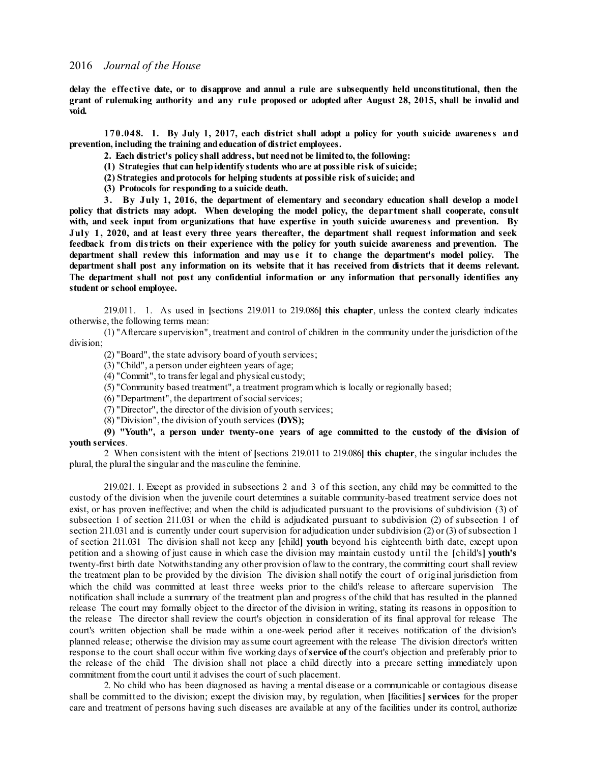delay the effective date, or to disapprove and annul a rule are subsequently held unconstitutional, then the grant of rulemaking authority and any rule proposed or adopted after August 28, 2015, shall be invalid and **void.**

**170.048. 1. By July 1, 2017, each district shall adopt a policy for youth suicide awareness and prevention, including the training andeducation of district employees.**

**2. Each district's policy shall address, but neednot be limitedto, the following:**

- **(1) Strategies that can helpidentify students who are at possible risk ofsuicide;**
- **(2) Strategies andprotocols for helping students at possible risk ofsuicide; and**
- **(3) Protocols for responding to a suicide death.**

**3. By July 1, 2016, the department of elementary and secondary education shall develop a model policy that districts may adopt. When developing the model policy, the department shall cooperate, consult with, and seek input from organizations that have expertise in youth suicide awareness and prevention. By** July 1, 2020, and at least every three years thereafter, the department shall request information and seek **feedback from districts on their experience with the policy for youth suicide awareness and prevention. The department shall review this information and may us e it to change the department's model policy. The** department shall post any information on its website that it has received from districts that it deems relevant. **The department shall not post any confidential information or any information that personally identifies any student or school employee.**

219.011. 1. As used in **[**sections 219.011 to 219.086**] this chapter**, unless the context clearly indicates otherwise, the following terms mean:

(1) "Aftercare supervision", treatment and control of children in the community under the jurisdiction of the division;

(2) "Board", the state advisory board of youth services;

(3) "Child", a person under eighteen years of age;

(4) "Commit", to transfer legal and physical custody;

(5) "Community based treatment", a treatment programwhich is locally or regionally based;

(6) "Department", the department of social services;

(7) "Director", the director of the division of youth services;

(8) "Division", the division of youth services **(DYS);**

**(9) "Youth", a person under twenty-one years of age committed to the custody of the division of youth services**.

2 When consistent with the intent of **[**sections 219.011 to 219.086**] this chapter**, the singular includes the plural, the plural the singular and the masculine the feminine.

219.021. 1. Except as provided in subsections 2 and 3 of this section, any child may be committed to the custody of the division when the juvenile court determines a suitable community-based treatment service does not exist, or has proven ineffective; and when the child is adjudicated pursuant to the provisions of subdivision (3) of subsection 1 of section 211.031 or when the child is adjudicated pursuant to subdivision (2) of subsection 1 of section 211.031 and is currently under court supervision for adjudication under subdivision (2) or (3) of subsection 1 of section 211.031 The division shall not keep any **[**child**] youth** beyond his eighteenth birth date, except upon petition and a showing of just cause in which case the division may maintain custody until the **[**child's**] youth's** twenty-first birth date Notwithstanding any other provision of law to the contrary, the committing court shall review the treatment plan to be provided by the division The division shall notify the court of original jurisdiction from which the child was committed at least three weeks prior to the child's release to aftercare supervision The notification shall include a summary of the treatment plan and progress of the child that has resulted in the planned release The court may formally object to the director of the division in writing, stating its reasons in opposition to the release The director shall review the court's objection in consideration of its final approval for release The court's written objection shall be made within a one-week period after it receives notification of the division's planned release; otherwise the division may assume court agreement with the release The division director's written response to the court shall occur within five working days of**service of** the court's objection and preferably prior to the release of the child The division shall not place a child directly into a precare setting immediately upon commitment from the court until it advises the court of such placement.

2. No child who has been diagnosed as having a mental disease or a communicable or contagious disease shall be committed to the division; except the division may, by regulation, when **[**facilities**] services** for the proper care and treatment of persons having such diseases are available at any of the facilities under its control, authorize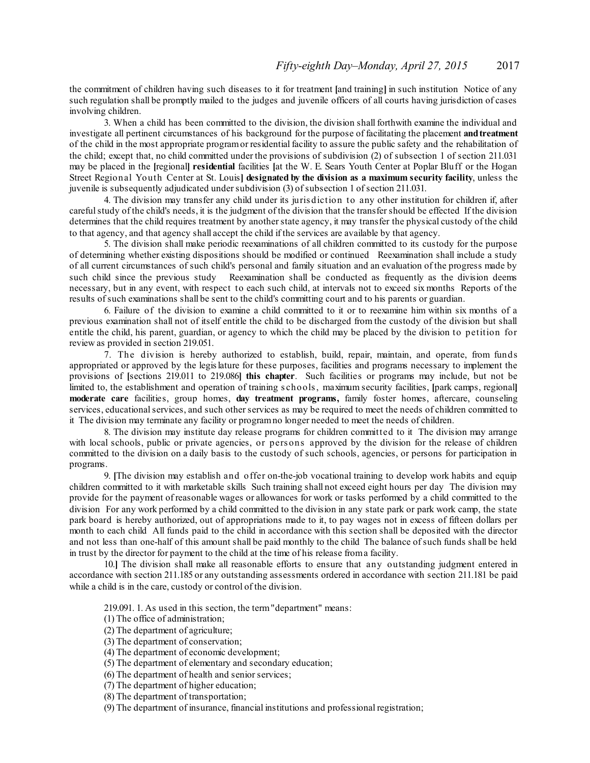the commitment of children having such diseases to it for treatment **[**and training**]** in such institution Notice of any such regulation shall be promptly mailed to the judges and juvenile officers of all courts having jurisdiction of cases involving children.

3. When a child has been committed to the division, the division shall forthwith examine the individual and investigate all pertinent circumstances of his background for the purpose of facilitating the placement **andtreatment** of the child in the most appropriate programor residential facility to assure the public safety and the rehabilitation of the child; except that, no child committed under the provisions of subdivision (2) of subsection 1 of section 211.031 may be placed in the **[**regional**] residential** facilities **[**at the W. E. Sears Youth Center at Poplar Bluff or the Hogan Street Regional Youth Center at St. Louis**] designated by the division as a maximum security facility**, unless the juvenile is subsequently adjudicated undersubdivision (3) ofsubsection 1 ofsection 211.031.

4. The division may transfer any child under its juris diction to any other institution for children if, after carefulstudy of the child's needs, it is the judgment of the division that the transfershould be effected If the division determines that the child requires treatment by another state agency, it may transfer the physical custody of the child to that agency, and that agency shall accept the child if the services are available by that agency.

5. The division shall make periodic reexaminations of all children committed to its custody for the purpose of determining whether existing dispositions should be modified or continued Reexamination shall include a study of all current circumstances of such child's personal and family situation and an evaluation of the progress made by such child since the previous study Reexamination shall be conducted as frequently as the division deems necessary, but in any event, with respect to each such child, at intervals not to exceed six months Reports of the results ofsuch examinations shall be sent to the child's committing court and to his parents or guardian.

6. Failure of the division to examine a child committed to it or to reexamine him within six months of a previous examination shall not of itself entitle the child to be discharged from the custody of the division but shall entitle the child, his parent, guardian, or agency to which the child may be placed by the division to petition for review as provided in section 219.051.

7. The division is hereby authorized to establish, build, repair, maintain, and operate, from funds appropriated or approved by the legislature for these purposes, facilities and programs necessary to implement the provisions of **[**sections 219.011 to 219.086**] this chapter**. Such facilities or programs may include, but not be limited to, the establishment and operation of training s chools, maximum security facilities, **[**park camps, regional**] moderate care** facilities, group homes, **day treatment programs,** family foster homes, aftercare, counseling services, educational services, and such other services as may be required to meet the needs of children committed to it The division may terminate any facility or programno longer needed to meet the needs of children.

8. The division may institute day release programs for children committed to it The division may arrange with local schools, public or private agencies, or persons approved by the division for the release of children committed to the division on a daily basis to the custody of such schools, agencies, or persons for participation in programs.

9. **[**The division may establish and offer on-the-job vocational training to develop work habits and equip children committed to it with marketable skills Such training shall not exceed eight hours per day The division may provide for the payment of reasonable wages or allowances for work or tasks performed by a child committed to the division For any work performed by a child committed to the division in any state park or park work camp, the state park board is hereby authorized, out of appropriations made to it, to pay wages not in excess of fifteen dollars per month to each child All funds paid to the child in accordance with this section shall be deposited with the director and not less than one-half of this amount shall be paid monthly to the child The balance ofsuch funds shall be held in trust by the director for payment to the child at the time of his release froma facility.

10.**]** The division shall make all reasonable efforts to ensure that any outstanding judgment entered in accordance with section 211.185 or any outstanding assessments ordered in accordance with section 211.181 be paid while a child is in the care, custody or control of the division.

219.091. 1. As used in this section, the term"department" means:

- (1) The office of administration;
- (2) The department of agriculture;
- (3) The department of conservation;
- (4) The department of economic development;
- (5) The department of elementary and secondary education;
- (6) The department of health and senior services;
- (7) The department of higher education;
- (8) The department of transportation;

(9) The department of insurance, financial institutions and professional registration;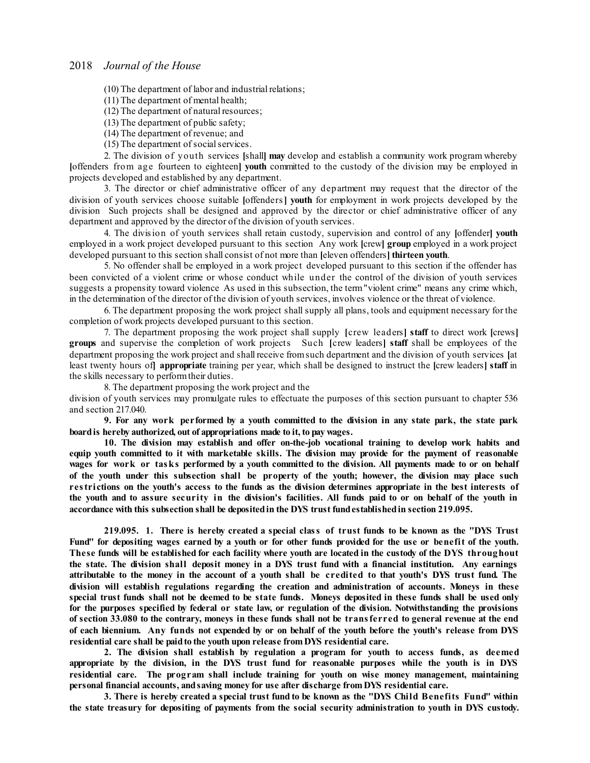(10) The department of labor and industrial relations;

(11) The department of mental health;

(12) The department of natural resources;

(13) The department of public safety;

- (14) The department of revenue; and
- (15) The department of social services.

2. The division of youth services **[**shall**] may** develop and establish a community work program whereby **[**offenders from age fourteen to eighteen**] youth** committed to the custody of the division may be employed in projects developed and established by any department.

3. The director or chief administrative officer of any department may request that the director of the division of youth services choose suitable **[**offenders**] youth** for employment in work projects developed by the division Such projects shall be designed and approved by the director or chief administrative officer of any department and approved by the director of the division of youth services.

4. The division of youth services shall retain custody, supervision and control of any **[**offender**] youth** employed in a work project developed pursuant to this section Any work **[**crew**] group** employed in a work project developed pursuant to this section shall consist of not more than **[**eleven offenders**] thirteen youth**.

5. No offender shall be employed in a work project developed pursuant to this section if the offender has been convicted of a violent crime or whose conduct while under the control of the division of youth services suggests a propensity toward violence As used in this subsection, the term"violent crime" means any crime which, in the determination of the director of the division of youth services, involves violence or the threat of violence.

6. The department proposing the work project shall supply all plans, tools and equipment necessary for the completion of work projects developed pursuant to this section.

7. The department proposing the work project shall supply **[**crew leaders**] staff** to direct work **[**crews**] groups** and supervise the completion of work projects Such **[**crew leaders**] staff** shall be employees of the department proposing the work project and shallreceive fromsuch department and the division of youth services **[**at least twenty hours of**] appropriate** training per year, which shall be designed to instruct the **[**crew leaders**] staff** in the skills necessary to performtheir duties.

8. The department proposing the work project and the

division of youth services may promulgate rules to effectuate the purposes of this section pursuant to chapter 536 and section 217.040.

9. For any work performed by a youth committed to the division in any state park, the state park **boardis hereby authorized, out of appropriations made to it, to pay wages.**

**10. The division may establish and offer on-the-job vocational training to develop work habits and** equip youth committed to it with marketable skills. The division may provide for the payment of reasonable wages for work or tasks performed by a youth committed to the division. All payments made to or on behalf of the youth under this subsection shall be property of the youth; however, the division may place such restrictions on the youth's access to the funds as the division determines appropriate in the best interests of the youth and to assure security in the division's facilities. All funds paid to or on behalf of the youth in **accordance with this subsection shall be depositedin the DYS trust fundestablishedin section 219.095.**

**219.095. 1. There is hereby created a special class of trust funds to be known as the "DYS Trust** Fund" for depositing wages earned by a youth or for other funds provided for the use or benefit of the youth. These funds will be established for each facility where youth are located in the custody of the DYS throughout the state. The division shall deposit money in a DYS trust fund with a financial institution. Any earnings attributable to the money in the account of a youth shall be credited to that youth's DYS trust fund. The **division will establish regulations regarding the creation and administration of accounts. Moneys in these** special trust funds shall not be deemed to be state funds. Moneys deposited in these funds shall be used only for the purposes specified by federal or state law, or regulation of the division. Notwithstanding the provisions of section 33.080 to the contrary, moneys in these funds shall not be transferred to general revenue at the end of each biennium. Any funds not expended by or on behalf of the youth before the youth's release from DYS **residential care shall be paidto the youth upon release fromDYS residential care.**

**2. The division shall establish by regulation a program for youth to access funds, as deemed** appropriate by the division, in the DYS trust fund for reasonable purposes while the youth is in DYS **residential care. The program shall include training for youth on wise money management, maintaining personal financial accounts, andsaving money for use after discharge from DYS residential care.**

3. There is hereby created a special trust fund to be known as the "DYS Child Benefits Fund" within the state treasury for depositing of payments from the social security administration to youth in DYS custody.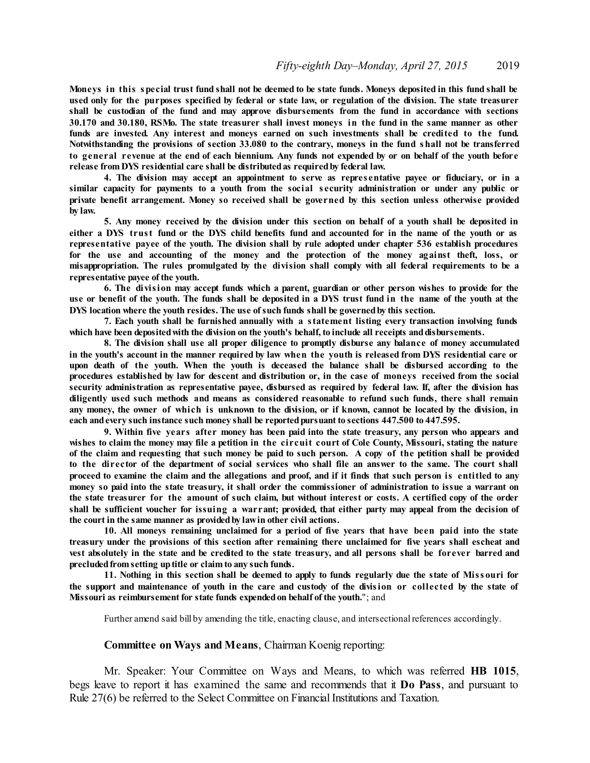Moneys in this special trust fund shall not be deemed to be state funds. Moneys deposited in this fund shall be used only for the purposes specified by federal or state law, or regulation of the division. The state treasurer **shall be custodian of the fund and may approve disbursements from the fund in accordance with sections** 30.170 and 30.180, RSMo. The state treasurer shall invest moneys in the fund in the same manner as other **funds are invested. Any interest and moneys earned on such investments shall be credited to the fund. Notwithstanding the provisions of section 33.080 to the contrary, moneys in the fund shall not be transferred** to general revenue at the end of each biennium. Any funds not expended by or on behalf of the youth before **release from DYS residential care shall be distributedas requiredby federal law.**

**4. The division may accept an appointment to serve as repres entative payee or fiduciary, or in a similar capacity for payments to a youth from the social s ecurity administration or under any public or private benefit arrangement. Money so received shall be governed by this section unless otherwise provided by law.**

5. Any money received by the division under this section on behalf of a youth shall be deposited in either a DYS trust fund or the DYS child benefits fund and accounted for in the name of the youth or as **representative payee of the youth. The division shall by rule adopted under chapter 536 establish procedures for the use and accounting of the money and the protection of the money against theft, loss, or misappropriation. The rules promulgated by the division shall comply with all federal requirements to be a representative payee of the youth.**

**6. The division may accept funds which a parent, guardian or other person wishes to provide for the** use or benefit of the youth. The funds shall be deposited in a DYS trust fund in the name of the youth at the **DYS location where the youth resides. The use ofsuch funds shall be governedby this section.**

**7. Each youth shall be furnished annually with a statement listing every transaction involving funds which have been depositedwith the division on the youth's behalf, to include all receipts anddisbursements.**

**8. The division shall use all proper diligence to promptly disburse any balance of money accumulated** in the youth's account in the manner required by law when the youth is released from DYS residential care or **upon death of the youth. When the youth is deceased the balance shall be disbursed according to the** procedures established by law for descent and distribution or, in the case of moneys received from the social security administration as representative payee, disbursed as required by federal law. If, after the division has **diligently used such methods and means as considered reasonable to refund such funds, there shall remain** any money, the owner of which is unknown to the division, or if known, cannot be located by the division, in **each andevery such instance such money shall be reportedpursuant to sections 447.500 to 447.595.**

**9. Within five years after money has been paid into the state treasury, any person who appears and** wishes to claim the money may file a petition in the circuit court of Cole County, Missouri, stating the nature of the claim and requesting that such money be paid to such person. A copy of the petition shall be provided to the director of the department of social services who shall file an answer to the same. The court shall proceed to examine the claim and the allegations and proof, and if it finds that such person is entitled to any money so paid into the state treasury, it shall order the commissioner of administration to issue a warrant on the state treasurer for the amount of such claim, but without interest or costs. A certified copy of the order shall be sufficient voucher for issuing a warrant; provided, that either party may appeal from the decision of **the court in the same manner as providedby lawin other civil actions.**

**10. All moneys remaining unclaimed for a period of five years that have been paid into the state** treasury under the provisions of this section after remaining there unclaimed for five years shall escheat and vest absolutely in the state and be credited to the state treasury, and all persons shall be forever barred and **precludedfrom setting uptitle or claim to any such funds.**

11. Nothing in this section shall be deemed to apply to funds regularly due the state of Missouri for the support and maintenance of youth in the care and custody of the division or collected by the state of **Missouri as reimbursement for state funds expendedon behalf of the youth.**"; and

Further amend said bill by amending the title, enacting clause, and intersectional references accordingly.

#### **Committee on Ways and Means**, Chairman Koenig reporting:

Mr. Speaker: Your Committee on Ways and Means, to which was referred **HB 1015**, begs leave to report it has examined the same and recommends that it **Do Pass**, and pursuant to Rule 27(6) be referred to the Select Committee on Financial Institutions and Taxation.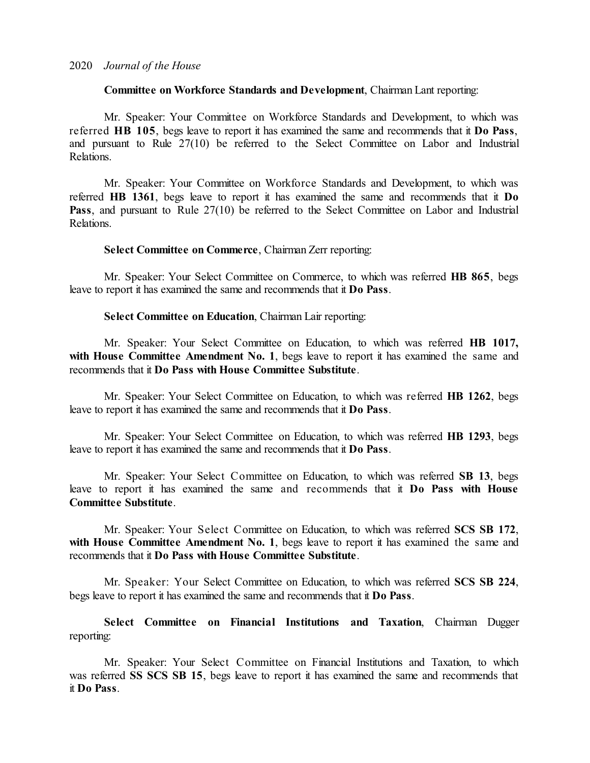## **Committee on Workforce Standards and Development**, Chairman Lant reporting:

Mr. Speaker: Your Committee on Workforce Standards and Development, to which was referred **HB 105**, begs leave to report it has examined the same and recommends that it **Do Pass**, and pursuant to Rule 27(10) be referred to the Select Committee on Labor and Industrial Relations.

Mr. Speaker: Your Committee on Workforce Standards and Development, to which was referred **HB 1361**, begs leave to report it has examined the same and recommends that it **Do** Pass, and pursuant to Rule 27(10) be referred to the Select Committee on Labor and Industrial Relations.

## **Select Committee on Commerce**, Chairman Zerr reporting:

Mr. Speaker: Your Select Committee on Commerce, to which was referred **HB 865**, begs leave to report it has examined the same and recommends that it **Do Pass**.

## **Select Committee on Education**, Chairman Lair reporting:

Mr. Speaker: Your Select Committee on Education, to which was referred **HB 1017, with House Committee Amendment No. 1**, begs leave to report it has examined the same and recommends that it **Do Pass with House Committee Substitute**.

Mr. Speaker: Your Select Committee on Education, to which was referred **HB 1262**, begs leave to report it has examined the same and recommends that it **Do Pass**.

Mr. Speaker: Your Select Committee on Education, to which was referred **HB 1293**, begs leave to report it has examined the same and recommends that it **Do Pass**.

Mr. Speaker: Your Select Committee on Education, to which was referred **SB 13**, begs leave to report it has examined the same and recommends that it **Do Pass with House Committee Substitute**.

Mr. Speaker: Your Select Committee on Education, to which was referred **SCS SB 172**, **with House Committee Amendment No. 1**, begs leave to report it has examined the same and recommends that it **Do Pass with House Committee Substitute**.

Mr. Speaker: Your Select Committee on Education, to which was referred **SCS SB 224**, begs leave to report it has examined the same and recommends that it **Do Pass**.

**Select Committee on Financial Institutions and Taxation**, Chairman Dugger reporting:

Mr. Speaker: Your Select Committee on Financial Institutions and Taxation, to which was referred **SS SCS SB 15**, begs leave to report it has examined the same and recommends that it **Do Pass**.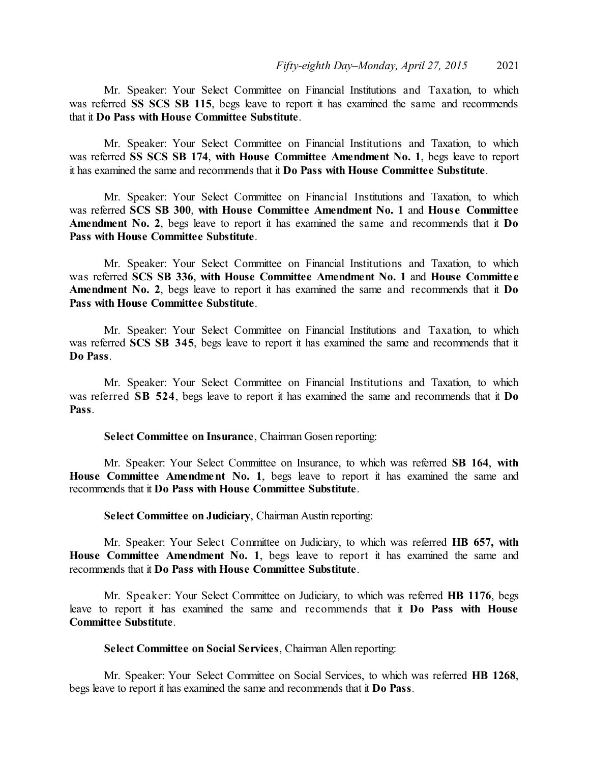Mr. Speaker: Your Select Committee on Financial Institutions and Taxation, to which was referred **SS SCS SB 115**, begs leave to report it has examined the same and recommends that it **Do Pass with House Committee Substitute**.

Mr. Speaker: Your Select Committee on Financial Institutions and Taxation, to which was referred **SS SCS SB 174**, **with House Committee Amendment No. 1**, begs leave to report it has examined the same and recommends that it **Do Pass with House Committee Substitute**.

Mr. Speaker: Your Select Committee on Financial Institutions and Taxation, to which was referred **SCS SB 300**, **with House Committee Amendment No. 1** and **Hous e Committee Amendment No. 2**, begs leave to report it has examined the same and recommends that it **Do Pass with House Committee Substitute**.

Mr. Speaker: Your Select Committee on Financial Institutions and Taxation, to which was referred **SCS SB 336**, **with House Committee Amendment No. 1** and **House Committe e Amendment No. 2**, begs leave to report it has examined the same and recommends that it **Do Pass with House Committee Substitute**.

Mr. Speaker: Your Select Committee on Financial Institutions and Taxation, to which was referred **SCS SB 345**, begs leave to report it has examined the same and recommends that it **Do Pass**.

Mr. Speaker: Your Select Committee on Financial Institutions and Taxation, to which was referred **SB 524**, begs leave to report it has examined the same and recommends that it **Do Pass**.

### **Select Committee on Insurance**, Chairman Gosen reporting:

Mr. Speaker: Your Select Committee on Insurance, to which was referred **SB 164**, **with House Committee Amendment No. 1**, begs leave to report it has examined the same and recommends that it **Do Pass with House Committee Substitute**.

**Select Committee on Judiciary**, Chairman Austin reporting:

Mr. Speaker: Your Select Committee on Judiciary, to which was referred **HB 657, with House Committee Amendment No. 1**, begs leave to report it has examined the same and recommends that it **Do Pass with House Committee Substitute**.

Mr. Speaker: Your Select Committee on Judiciary, to which was referred **HB 1176**, begs leave to report it has examined the same and recommends that it **Do Pass with House Committee Substitute**.

### **Select Committee on Social Services**, Chairman Allen reporting:

Mr. Speaker: Your Select Committee on Social Services, to which was referred **HB 1268**, begs leave to report it has examined the same and recommends that it **Do Pass**.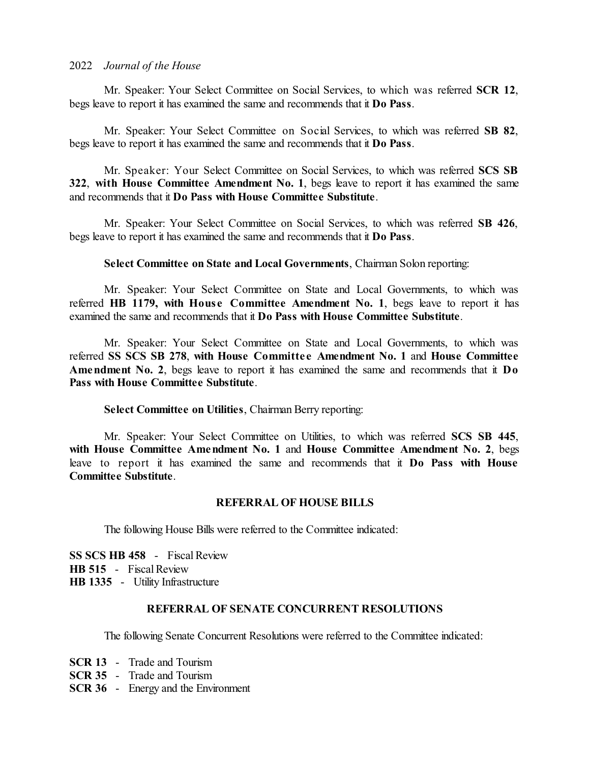Mr. Speaker: Your Select Committee on Social Services, to which was referred **SCR 12**, begs leave to report it has examined the same and recommends that it **Do Pass**.

Mr. Speaker: Your Select Committee on Social Services, to which was referred **SB 82**, begs leave to report it has examined the same and recommends that it **Do Pass**.

Mr. Speaker: Your Select Committee on Social Services, to which was referred **SCS SB 322**, **with House Committee Amendment No. 1**, begs leave to report it has examined the same and recommends that it **Do Pass with House Committee Substitute**.

Mr. Speaker: Your Select Committee on Social Services, to which was referred **SB 426**, begs leave to report it has examined the same and recommends that it **Do Pass**.

**Select Committee on State and Local Governments**, Chairman Solon reporting:

Mr. Speaker: Your Select Committee on State and Local Governments, to which was referred **HB 1179, with Hous e Committee Amendment No. 1**, begs leave to report it has examined the same and recommends that it **Do Pass with House Committee Substitute**.

Mr. Speaker: Your Select Committee on State and Local Governments, to which was referred **SS SCS SB 278**, **with House Committe e Amendment No. 1** and **House Committee Amendment No. 2**, begs leave to report it has examined the same and recommends that it **Do Pass with House Committee Substitute**.

**Select Committee on Utilities**, Chairman Berry reporting:

Mr. Speaker: Your Select Committee on Utilities, to which was referred **SCS SB 445**, **with House Committee Amendment No. 1** and **House Committee Amendment No. 2**, begs leave to report it has examined the same and recommends that it **Do Pass with House Committee Substitute**.

## **REFERRAL OF HOUSE BILLS**

The following House Bills were referred to the Committee indicated:

**SS SCS HB 458** - Fiscal Review **HB 515** - Fiscal Review **HB 1335** - Utility Infrastructure

## **REFERRAL OF SENATE CONCURRENT RESOLUTIONS**

The following Senate Concurrent Resolutions were referred to the Committee indicated:

- **SCR 13** Trade and Tourism
- **SCR 35** Trade and Tourism
- **SCR 36** Energy and the Environment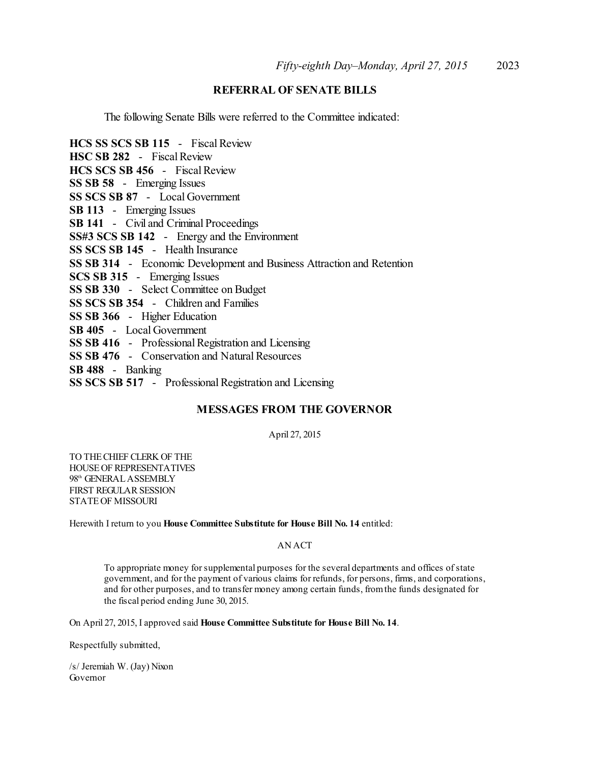# **REFERRAL OF SENATE BILLS**

The following Senate Bills were referred to the Committee indicated:

**HCS SS SCS SB 115** - Fiscal Review **HSC SB 282** - Fiscal Review **HCS SCS SB 456** - Fiscal Review **SS SB 58** - Emerging Issues **SS SCS SB 87** - Local Government **SB 113** - Emerging Issues **SB 141** - Civil and Criminal Proceedings **SS#3 SCS SB 142** - Energy and the Environment **SS SCS SB 145** - Health Insurance **SS SB 314** - Economic Development and Business Attraction and Retention **SCS SB 315** - Emerging Issues **SS SB 330** - Select Committee on Budget **SS SCS SB 354** - Children and Families **SS SB 366** - Higher Education **SB 405** - Local Government **SS SB 416** - Professional Registration and Licensing **SS SB 476** - Conservation and Natural Resources **SB 488** - Banking **SS SCS SB 517** - Professional Registration and Licensing

## **MESSAGES FROM THE GOVERNOR**

April 27, 2015

TO THECHIEF CLERK OF THE HOUSEOF REPRESENTATIVES 98<sup>th</sup> GENERAL ASSEMBLY FIRST REGULAR SESSION STATEOF MISSOURI

Herewith I return to you **House Committee Substitute for House Bill No. 14** entitled:

#### AN ACT

To appropriate money forsupplemental purposes for the several departments and offices ofstate government, and for the payment of various claims for refunds, for persons, firms, and corporations, and for other purposes, and to transfer money among certain funds, fromthe funds designated for the fiscal period ending June 30, 2015.

On April 27, 2015, I approved said **House Committee Substitute for House Bill No. 14**.

Respectfully submitted,

/s/ Jeremiah W. (Jay) Nixon Governor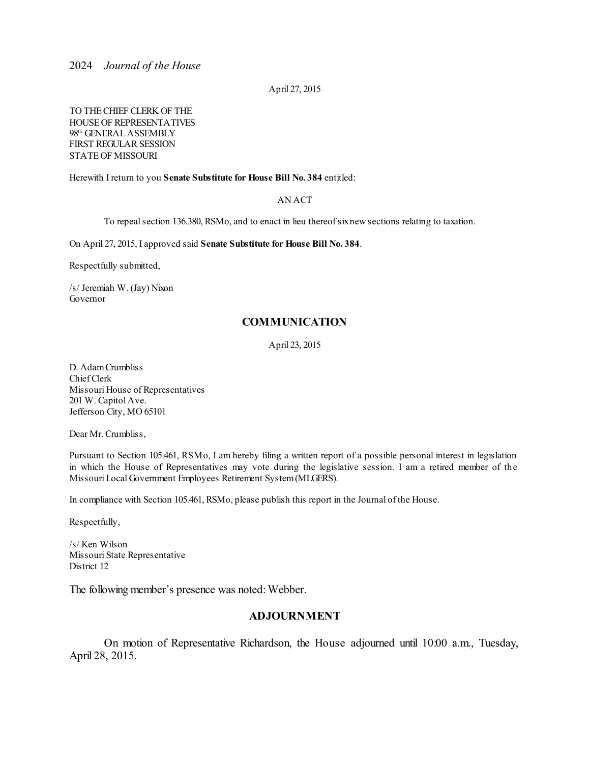April 27, 2015

TO THECHIEF CLERK OF THE HOUSEOF REPRESENTATIVES 98<sup>th</sup> GENERAL ASSEMBLY FIRST REGULAR SESSION STATEOF MISSOURI

Herewith I return to you **Senate Substitute for House Bill No. 384** entitled:

#### AN ACT

To repealsection 136.380, RSMo, and to enact in lieu thereofsixnew sections relating to taxation.

On April 27, 2015, I approved said **Senate Substitute for House Bill No. 384**.

Respectfully submitted,

/s/ Jeremiah W. (Jay) Nixon Governor

### **COMMUNICATION**

April 23, 2015

D. AdamCrumbliss Chief Clerk Missouri House of Representatives 201 W. Capitol Ave. Jefferson City, MO 65101

Dear Mr. Crumbliss,

Pursuant to Section 105.461, RSMo, I am hereby filing a written report of a possible personal interest in legislation in which the House of Representatives may vote during the legislative session. I am a retired member of the Missouri Local Government Employees Retirement System(MLGERS).

In compliance with Section 105.461, RSMo, please publish this report in the Journal of the House.

Respectfully,

/s/ Ken Wilson Missouri State Representative District 12

The following member's presence was noted: Webber.

### **ADJOURNMENT**

On motion of Representative Richardson, the House adjourned until 10:00 a.m., Tuesday, April 28, 2015.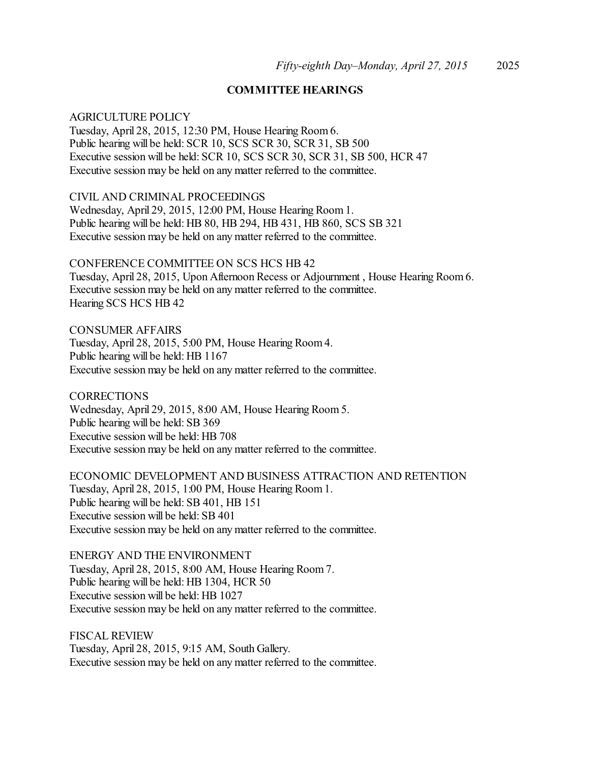## **COMMITTEE HEARINGS**

## AGRICULTURE POLICY

Tuesday, April 28, 2015, 12:30 PM, House Hearing Room 6. Public hearing will be held: SCR 10, SCS SCR 30, SCR 31, SB 500 Executive session will be held: SCR 10, SCS SCR 30, SCR 31, SB 500, HCR 47 Executive session may be held on any matter referred to the committee.

## CIVIL AND CRIMINAL PROCEEDINGS

Wednesday, April 29, 2015, 12:00 PM, House Hearing Room 1. Public hearing will be held: HB 80, HB 294, HB 431, HB 860, SCS SB 321 Executive session may be held on any matter referred to the committee.

CONFERENCE COMMITTEE ON SCS HCS HB 42 Tuesday, April 28, 2015, Upon Afternoon Recess or Adjournment , House Hearing Room 6. Executive session may be held on any matter referred to the committee. Hearing SCS HCS HB 42

CONSUMER AFFAIRS Tuesday, April 28, 2015, 5:00 PM, House Hearing Room 4. Public hearing will be held: HB 1167 Executive session may be held on any matter referred to the committee.

**CORRECTIONS** Wednesday, April 29, 2015, 8:00 AM, House Hearing Room 5. Public hearing will be held: SB 369 Executive session will be held: HB 708 Executive session may be held on any matter referred to the committee.

ECONOMIC DEVELOPMENT AND BUSINESS ATTRACTION AND RETENTION Tuesday, April 28, 2015, 1:00 PM, House Hearing Room 1. Public hearing will be held: SB 401, HB 151 Executive session will be held: SB 401 Executive session may be held on any matter referred to the committee.

ENERGY AND THE ENVIRONMENT Tuesday, April 28, 2015, 8:00 AM, House Hearing Room 7. Public hearing will be held: HB 1304, HCR 50 Executive session will be held: HB 1027 Executive session may be held on any matter referred to the committee.

FISCAL REVIEW Tuesday, April 28, 2015, 9:15 AM, South Gallery. Executive session may be held on any matter referred to the committee.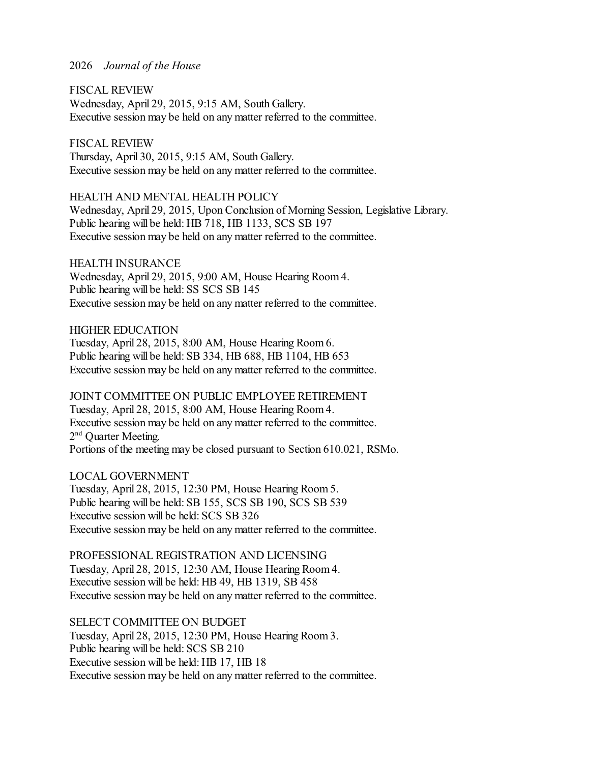FISCAL REVIEW Wednesday, April 29, 2015, 9:15 AM, South Gallery. Executive session may be held on any matter referred to the committee.

FISCAL REVIEW Thursday, April 30, 2015, 9:15 AM, South Gallery. Executive session may be held on any matter referred to the committee.

HEALTH AND MENTAL HEALTH POLICY Wednesday, April 29, 2015, Upon Conclusion of Morning Session, Legislative Library. Public hearing will be held: HB 718, HB 1133, SCS SB 197 Executive session may be held on any matter referred to the committee.

HEALTH INSURANCE Wednesday, April 29, 2015, 9:00 AM, House Hearing Room 4. Public hearing will be held: SS SCS SB 145 Executive session may be held on any matter referred to the committee.

HIGHER EDUCATION Tuesday, April 28, 2015, 8:00 AM, House Hearing Room 6. Public hearing will be held: SB 334, HB 688, HB 1104, HB 653 Executive session may be held on any matter referred to the committee.

JOINT COMMITTEE ON PUBLIC EMPLOYEE RETIREMENT Tuesday, April 28, 2015, 8:00 AM, House Hearing Room 4. Executive session may be held on any matter referred to the committee. 2<sup>nd</sup> Quarter Meeting. Portions of the meeting may be closed pursuant to Section 610.021, RSMo.

LOCAL GOVERNMENT Tuesday, April 28, 2015, 12:30 PM, House Hearing Room 5. Public hearing will be held: SB 155, SCS SB 190, SCS SB 539 Executive session will be held: SCS SB 326 Executive session may be held on any matter referred to the committee.

PROFESSIONAL REGISTRATION AND LICENSING Tuesday, April 28, 2015, 12:30 AM, House Hearing Room 4. Executive session will be held: HB 49, HB 1319, SB 458 Executive session may be held on any matter referred to the committee.

SELECT COMMITTEE ON BUDGET Tuesday, April 28, 2015, 12:30 PM, House Hearing Room 3. Public hearing will be held: SCS SB 210 Executive session will be held: HB 17, HB 18 Executive session may be held on any matter referred to the committee.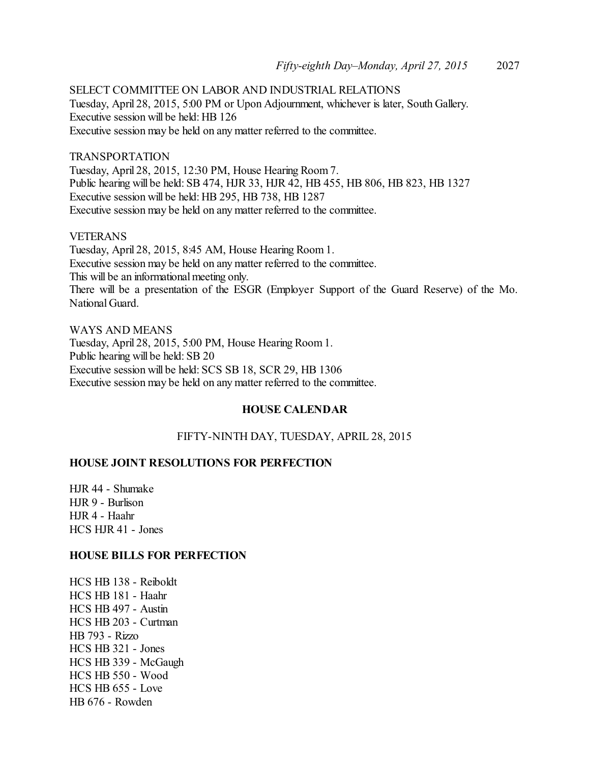SELECT COMMITTEE ON LABOR AND INDUSTRIAL RELATIONS Tuesday, April 28, 2015, 5:00 PM or Upon Adjournment, whichever is later, South Gallery. Executive session will be held: HB 126 Executive session may be held on any matter referred to the committee.

#### TRANSPORTATION

Tuesday, April 28, 2015, 12:30 PM, House Hearing Room 7. Public hearing will be held: SB 474, HJR 33, HJR 42, HB 455, HB 806, HB 823, HB 1327 Executive session will be held: HB 295, HB 738, HB 1287 Executive session may be held on any matter referred to the committee.

#### VETERANS

Tuesday, April 28, 2015, 8:45 AM, House Hearing Room 1. Executive session may be held on any matter referred to the committee. This will be an informational meeting only. There will be a presentation of the ESGR (Employer Support of the Guard Reserve) of the Mo. National Guard.

WAYS AND MEANS Tuesday, April 28, 2015, 5:00 PM, House Hearing Room 1. Public hearing will be held: SB 20 Executive session will be held: SCS SB 18, SCR 29, HB 1306 Executive session may be held on any matter referred to the committee.

## **HOUSE CALENDAR**

FIFTY-NINTH DAY, TUESDAY, APRIL 28, 2015

# **HOUSE JOINT RESOLUTIONS FOR PERFECTION**

HJR 44 - Shumake HJR 9 - Burlison HJR 4 - Haahr HCS HJR 41 - Jones

### **HOUSE BILLS FOR PERFECTION**

HCS HB 138 - Reiboldt HCS HB 181 - Haahr HCS HB 497 - Austin HCS HB 203 - Curtman HB 793 - Rizzo HCS HB 321 - Jones HCS HB 339 - McGaugh HCS HB 550 - Wood HCS HB 655 - Love HB 676 - Rowden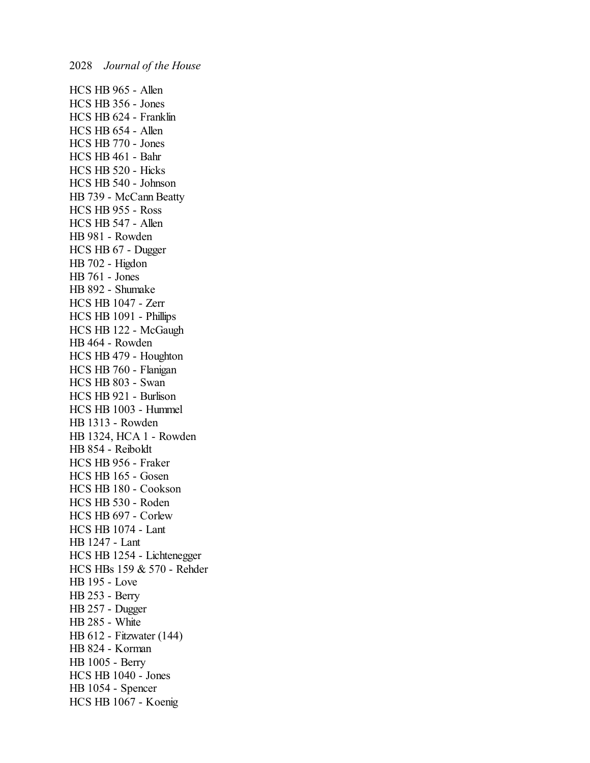HCS HB 965 - Allen HCS HB 356 - Jones HCS HB 624 - Franklin HCS HB 654 - Allen HCS HB 770 - Jones HCS HB 461 - Bahr HCS HB 520 - Hicks HCS HB 540 - Johnson HB 739 - McCann Beatty HCS HB 955 - Ross HCS HB 547 - Allen HB 981 - Rowden HCS HB 67 - Dugger HB 702 - Higdon HB 761 - Jones HB 892 - Shumake HCS HB 1047 - Zerr HCS HB 1091 - Phillips HCS HB 122 - McGaugh HB 464 - Rowden HCS HB 479 - Houghton HCS HB 760 - Flanigan HCS HB 803 - Swan HCS HB 921 - Burlison HCS HB 1003 - Hummel HB 1313 - Rowden HB 1324, HCA 1 - Rowden HB 854 - Reiboldt HCS HB 956 - Fraker HCS HB 165 - Gosen HCS HB 180 - Cookson HCS HB 530 - Roden HCS HB 697 - Corlew HCS HB 1074 - Lant HB 1247 - Lant HCS HB 1254 - Lichtenegger HCS HBs 159 & 570 - Rehder HB 195 - Love HB 253 - Berry HB 257 - Dugger HB 285 - White HB 612 - Fitzwater (144) HB 824 - Korman HB 1005 - Berry HCS HB 1040 - Jones HB 1054 - Spencer HCS HB 1067 - Koenig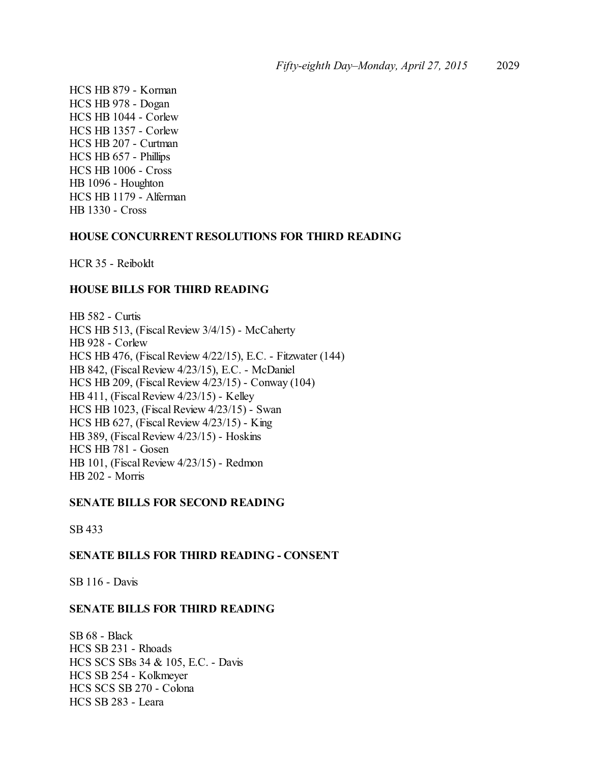HCS HB 879 - Korman HCS HB 978 - Dogan HCS HB 1044 - Corlew HCS HB 1357 - Corlew HCS HB 207 - Curtman HCS HB 657 - Phillips HCS HB 1006 - Cross HB 1096 - Houghton HCS HB 1179 - Alferman HB 1330 - Cross

## **HOUSE CONCURRENT RESOLUTIONS FOR THIRD READING**

HCR 35 - Reiboldt

## **HOUSE BILLS FOR THIRD READING**

HB 582 - Curtis HCS HB 513, (Fiscal Review 3/4/15) - McCaherty HB 928 - Corlew HCS HB 476, (Fiscal Review 4/22/15), E.C. - Fitzwater (144) HB 842, (Fiscal Review 4/23/15), E.C. - McDaniel HCS HB 209, (Fiscal Review 4/23/15) - Conway (104) HB 411, (Fiscal Review 4/23/15) - Kelley HCS HB 1023, (Fiscal Review 4/23/15) - Swan HCS HB 627, (Fiscal Review 4/23/15) - King HB 389, (Fiscal Review 4/23/15) - Hoskins HCS HB 781 - Gosen HB 101, (Fiscal Review 4/23/15) - Redmon HB 202 - Morris

## **SENATE BILLS FOR SECOND READING**

SB 433

## **SENATE BILLS FOR THIRD READING - CONSENT**

SB 116 - Davis

## **SENATE BILLS FOR THIRD READING**

SB 68 - Black HCS SB 231 - Rhoads HCS SCS SBs 34 & 105, E.C. - Davis HCS SB 254 - Kolkmeyer HCS SCS SB 270 - Colona HCS SB 283 - Leara